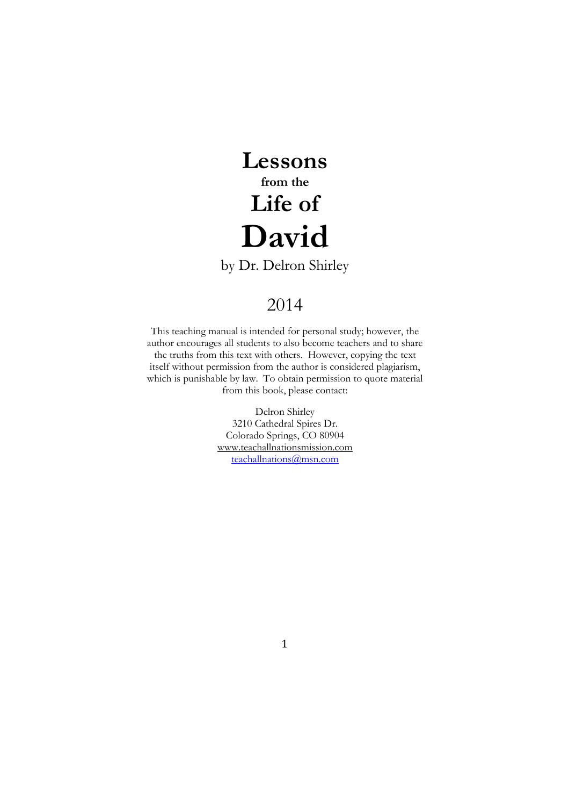# **Lessons from the Life of David**

by Dr. Delron Shirley

# 2014

This teaching manual is intended for personal study; however, the author encourages all students to also become teachers and to share the truths from this text with others. However, copying the text itself without permission from the author is considered plagiarism, which is punishable by law. To obtain permission to quote material from this book, please contact:

> Delron Shirley 3210 Cathedral Spires Dr. Colorado Springs, CO 80904 www.teachallnationsmission.com [teachallnations@msn.com](mailto:teachallnations@msn.com)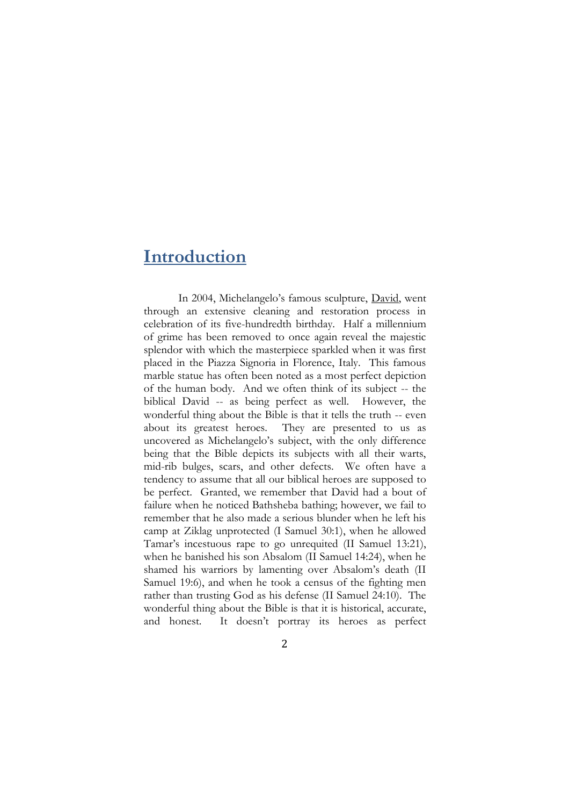#### **Introduction**

In 2004, Michelangelo's famous sculpture, David, went through an extensive cleaning and restoration process in celebration of its five-hundredth birthday. Half a millennium of grime has been removed to once again reveal the majestic splendor with which the masterpiece sparkled when it was first placed in the Piazza Signoria in Florence, Italy. This famous marble statue has often been noted as a most perfect depiction of the human body. And we often think of its subject -- the biblical David -- as being perfect as well. However, the wonderful thing about the Bible is that it tells the truth -- even about its greatest heroes. They are presented to us as uncovered as Michelangelo's subject, with the only difference being that the Bible depicts its subjects with all their warts, mid-rib bulges, scars, and other defects. We often have a tendency to assume that all our biblical heroes are supposed to be perfect. Granted, we remember that David had a bout of failure when he noticed Bathsheba bathing; however, we fail to remember that he also made a serious blunder when he left his camp at Ziklag unprotected (I Samuel 30:1), when he allowed Tamar's incestuous rape to go unrequited (II Samuel 13:21), when he banished his son Absalom (II Samuel 14:24), when he shamed his warriors by lamenting over Absalom's death (II Samuel 19:6), and when he took a census of the fighting men rather than trusting God as his defense (II Samuel 24:10). The wonderful thing about the Bible is that it is historical, accurate, and honest. It doesn't portray its heroes as perfect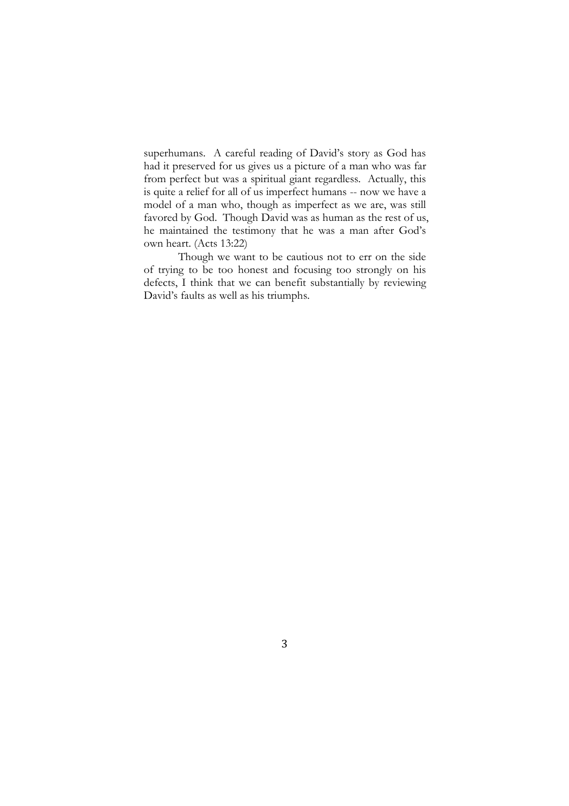superhumans. A careful reading of David's story as God has had it preserved for us gives us a picture of a man who was far from perfect but was a spiritual giant regardless. Actually, this is quite a relief for all of us imperfect humans -- now we have a model of a man who, though as imperfect as we are, was still favored by God. Though David was as human as the rest of us, he maintained the testimony that he was a man after God's own heart. (Acts 13:22)

Though we want to be cautious not to err on the side of trying to be too honest and focusing too strongly on his defects, I think that we can benefit substantially by reviewing David's faults as well as his triumphs.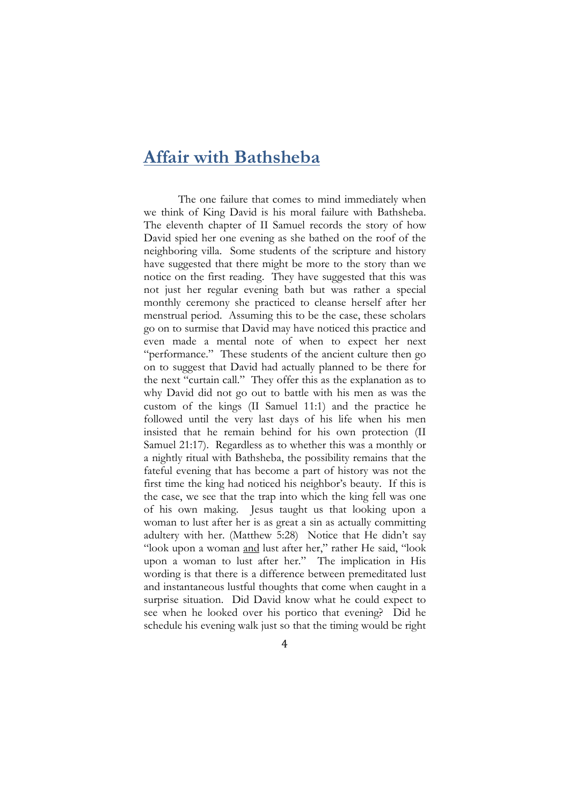#### **Affair with Bathsheba**

The one failure that comes to mind immediately when we think of King David is his moral failure with Bathsheba. The eleventh chapter of II Samuel records the story of how David spied her one evening as she bathed on the roof of the neighboring villa. Some students of the scripture and history have suggested that there might be more to the story than we notice on the first reading. They have suggested that this was not just her regular evening bath but was rather a special monthly ceremony she practiced to cleanse herself after her menstrual period. Assuming this to be the case, these scholars go on to surmise that David may have noticed this practice and even made a mental note of when to expect her next "performance." These students of the ancient culture then go on to suggest that David had actually planned to be there for the next "curtain call." They offer this as the explanation as to why David did not go out to battle with his men as was the custom of the kings (II Samuel 11:1) and the practice he followed until the very last days of his life when his men insisted that he remain behind for his own protection (II Samuel 21:17). Regardless as to whether this was a monthly or a nightly ritual with Bathsheba, the possibility remains that the fateful evening that has become a part of history was not the first time the king had noticed his neighbor's beauty. If this is the case, we see that the trap into which the king fell was one of his own making. Jesus taught us that looking upon a woman to lust after her is as great a sin as actually committing adultery with her. (Matthew 5:28) Notice that He didn't say "look upon a woman and lust after her," rather He said, "look upon a woman to lust after her." The implication in His wording is that there is a difference between premeditated lust and instantaneous lustful thoughts that come when caught in a surprise situation. Did David know what he could expect to see when he looked over his portico that evening? Did he schedule his evening walk just so that the timing would be right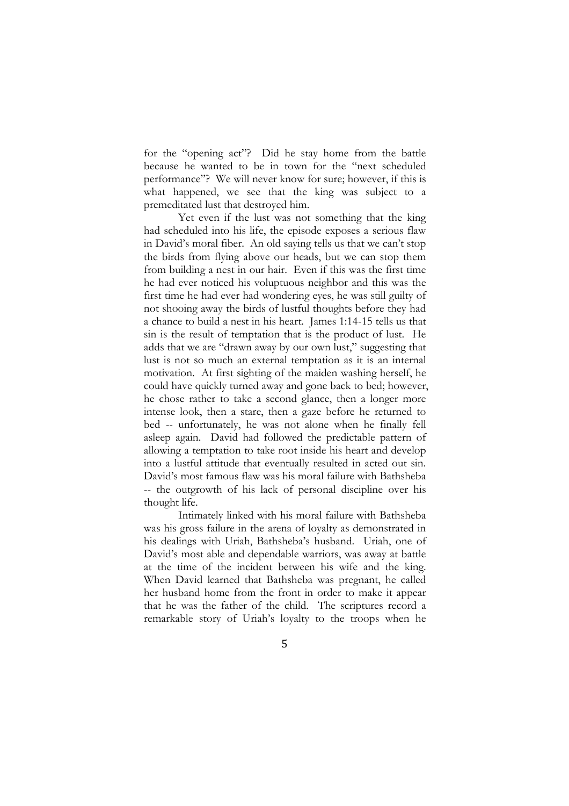for the "opening act"? Did he stay home from the battle because he wanted to be in town for the "next scheduled performance"? We will never know for sure; however, if this is what happened, we see that the king was subject to a premeditated lust that destroyed him.

Yet even if the lust was not something that the king had scheduled into his life, the episode exposes a serious flaw in David's moral fiber. An old saying tells us that we can't stop the birds from flying above our heads, but we can stop them from building a nest in our hair. Even if this was the first time he had ever noticed his voluptuous neighbor and this was the first time he had ever had wondering eyes, he was still guilty of not shooing away the birds of lustful thoughts before they had a chance to build a nest in his heart. James 1:14-15 tells us that sin is the result of temptation that is the product of lust. He adds that we are "drawn away by our own lust," suggesting that lust is not so much an external temptation as it is an internal motivation. At first sighting of the maiden washing herself, he could have quickly turned away and gone back to bed; however, he chose rather to take a second glance, then a longer more intense look, then a stare, then a gaze before he returned to bed -- unfortunately, he was not alone when he finally fell asleep again. David had followed the predictable pattern of allowing a temptation to take root inside his heart and develop into a lustful attitude that eventually resulted in acted out sin. David's most famous flaw was his moral failure with Bathsheba -- the outgrowth of his lack of personal discipline over his thought life.

Intimately linked with his moral failure with Bathsheba was his gross failure in the arena of loyalty as demonstrated in his dealings with Uriah, Bathsheba's husband. Uriah, one of David's most able and dependable warriors, was away at battle at the time of the incident between his wife and the king. When David learned that Bathsheba was pregnant, he called her husband home from the front in order to make it appear that he was the father of the child. The scriptures record a remarkable story of Uriah's loyalty to the troops when he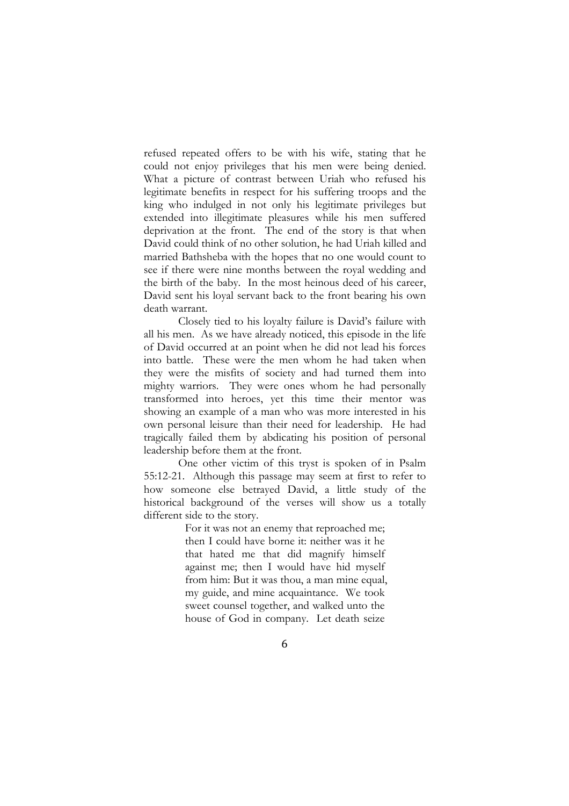refused repeated offers to be with his wife, stating that he could not enjoy privileges that his men were being denied. What a picture of contrast between Uriah who refused his legitimate benefits in respect for his suffering troops and the king who indulged in not only his legitimate privileges but extended into illegitimate pleasures while his men suffered deprivation at the front. The end of the story is that when David could think of no other solution, he had Uriah killed and married Bathsheba with the hopes that no one would count to see if there were nine months between the royal wedding and the birth of the baby. In the most heinous deed of his career, David sent his loyal servant back to the front bearing his own death warrant.

Closely tied to his loyalty failure is David's failure with all his men. As we have already noticed, this episode in the life of David occurred at an point when he did not lead his forces into battle. These were the men whom he had taken when they were the misfits of society and had turned them into mighty warriors. They were ones whom he had personally transformed into heroes, yet this time their mentor was showing an example of a man who was more interested in his own personal leisure than their need for leadership. He had tragically failed them by abdicating his position of personal leadership before them at the front.

One other victim of this tryst is spoken of in Psalm 55:12-21. Although this passage may seem at first to refer to how someone else betrayed David, a little study of the historical background of the verses will show us a totally different side to the story.

> For it was not an enemy that reproached me; then I could have borne it: neither was it he that hated me that did magnify himself against me; then I would have hid myself from him: But it was thou, a man mine equal, my guide, and mine acquaintance. We took sweet counsel together, and walked unto the house of God in company. Let death seize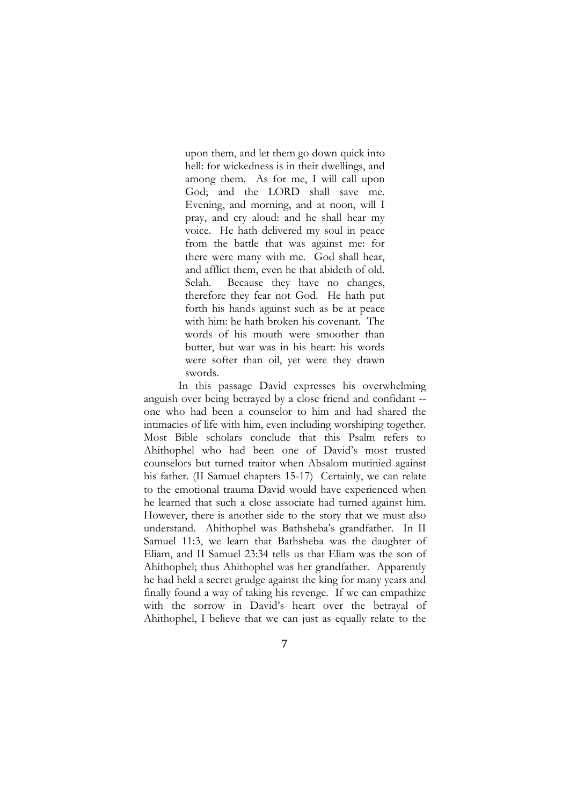upon them, and let them go down quick into hell: for wickedness is in their dwellings, and among them. As for me, I will call upon God; and the LORD shall save me. Evening, and morning, and at noon, will I pray, and cry aloud: and he shall hear my voice. He hath delivered my soul in peace from the battle that was against me: for there were many with me. God shall hear, and afflict them, even he that abideth of old. Selah. Because they have no changes, therefore they fear not God. He hath put forth his hands against such as be at peace with him: he hath broken his covenant. The words of his mouth were smoother than butter, but war was in his heart: his words were softer than oil, yet were they drawn swords.

In this passage David expresses his overwhelming anguish over being betrayed by a close friend and confidant - one who had been a counselor to him and had shared the intimacies of life with him, even including worshiping together. Most Bible scholars conclude that this Psalm refers to Ahithophel who had been one of David's most trusted counselors but turned traitor when Absalom mutinied against his father. (II Samuel chapters 15-17) Certainly, we can relate to the emotional trauma David would have experienced when he learned that such a close associate had turned against him. However, there is another side to the story that we must also understand. Ahithophel was Bathsheba's grandfather. In II Samuel 11:3, we learn that Bathsheba was the daughter of Eliam, and II Samuel 23:34 tells us that Eliam was the son of Ahithophel; thus Ahithophel was her grandfather. Apparently he had held a secret grudge against the king for many years and finally found a way of taking his revenge. If we can empathize with the sorrow in David's heart over the betrayal of Ahithophel, I believe that we can just as equally relate to the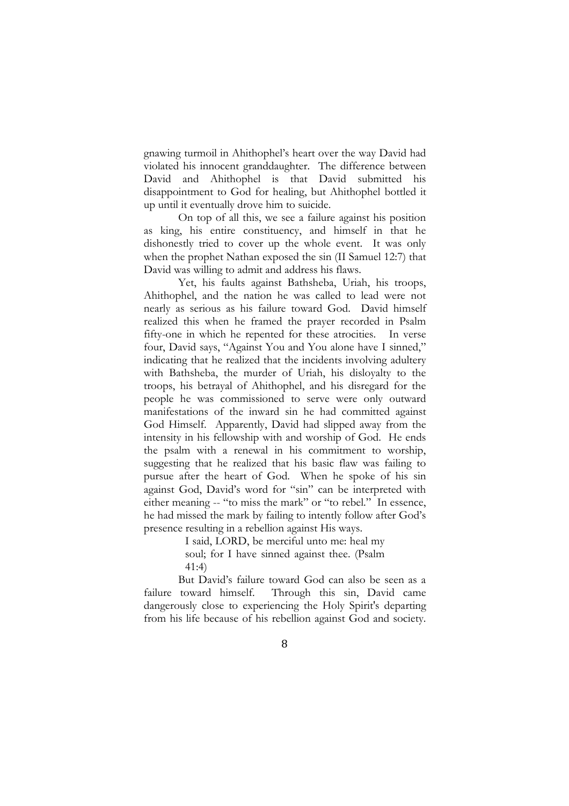gnawing turmoil in Ahithophel's heart over the way David had violated his innocent granddaughter. The difference between David and Ahithophel is that David submitted his disappointment to God for healing, but Ahithophel bottled it up until it eventually drove him to suicide.

On top of all this, we see a failure against his position as king, his entire constituency, and himself in that he dishonestly tried to cover up the whole event. It was only when the prophet Nathan exposed the sin (II Samuel 12:7) that David was willing to admit and address his flaws.

Yet, his faults against Bathsheba, Uriah, his troops, Ahithophel, and the nation he was called to lead were not nearly as serious as his failure toward God. David himself realized this when he framed the prayer recorded in Psalm fifty-one in which he repented for these atrocities. In verse four, David says, "Against You and You alone have I sinned," indicating that he realized that the incidents involving adultery with Bathsheba, the murder of Uriah, his disloyalty to the troops, his betrayal of Ahithophel, and his disregard for the people he was commissioned to serve were only outward manifestations of the inward sin he had committed against God Himself. Apparently, David had slipped away from the intensity in his fellowship with and worship of God. He ends the psalm with a renewal in his commitment to worship, suggesting that he realized that his basic flaw was failing to pursue after the heart of God. When he spoke of his sin against God, David's word for "sin" can be interpreted with either meaning -- "to miss the mark" or "to rebel." In essence, he had missed the mark by failing to intently follow after God's presence resulting in a rebellion against His ways.

I said, LORD, be merciful unto me: heal my

soul; for I have sinned against thee. (Psalm 41:4)

But David's failure toward God can also be seen as a failure toward himself. Through this sin, David came dangerously close to experiencing the Holy Spirit's departing from his life because of his rebellion against God and society.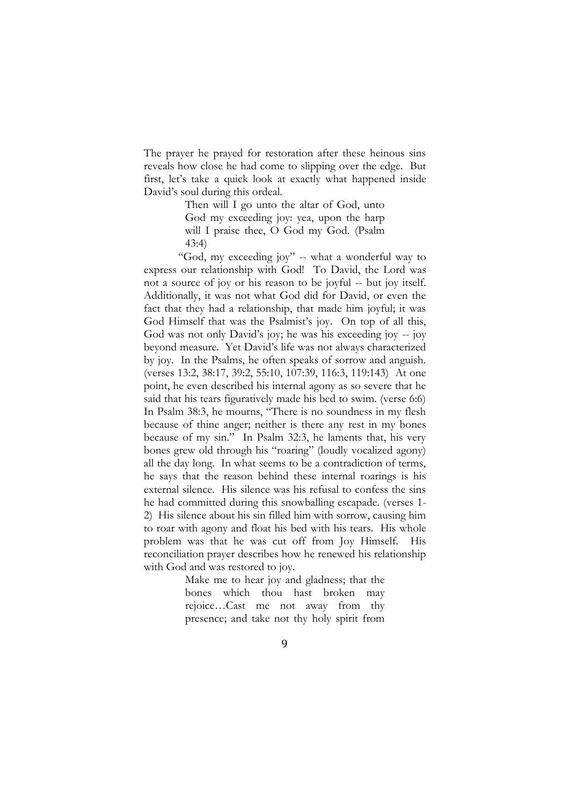The prayer he prayed for restoration after these heinous sins reveals how close he had come to slipping over the edge. But first, let's take a quick look at exactly what happened inside David's soul during this ordeal.

> Then will I go unto the altar of God, unto God my exceeding joy: yea, upon the harp will I praise thee, O God my God. (Psalm 43:4)

"God, my exceeding joy" -- what a wonderful way to express our relationship with God! To David, the Lord was not a source of joy or his reason to be joyful -- but joy itself. Additionally, it was not what God did for David, or even the fact that they had a relationship, that made him joyful; it was God Himself that was the Psalmist's joy. On top of all this, God was not only David's joy; he was his exceeding joy -- joy beyond measure. Yet David's life was not always characterized by joy. In the Psalms, he often speaks of sorrow and anguish. (verses 13:2, 38:17, 39:2, 55:10, 107:39, 116:3, 119:143) At one point, he even described his internal agony as so severe that he said that his tears figuratively made his bed to swim. (verse 6:6) In Psalm 38:3, he mourns, "There is no soundness in my flesh because of thine anger; neither is there any rest in my bones because of my sin." In Psalm 32:3, he laments that, his very bones grew old through his "roaring" (loudly vocalized agony) all the day long. In what seems to be a contradiction of terms, he says that the reason behind these internal roarings is his external silence. His silence was his refusal to confess the sins he had committed during this snowballing escapade. (verses 1- 2) His silence about his sin filled him with sorrow, causing him to roar with agony and float his bed with his tears. His whole problem was that he was cut off from Joy Himself. His reconciliation prayer describes how he renewed his relationship with God and was restored to joy.

> Make me to hear joy and gladness; that the bones which thou hast broken may rejoice…Cast me not away from thy presence; and take not thy holy spirit from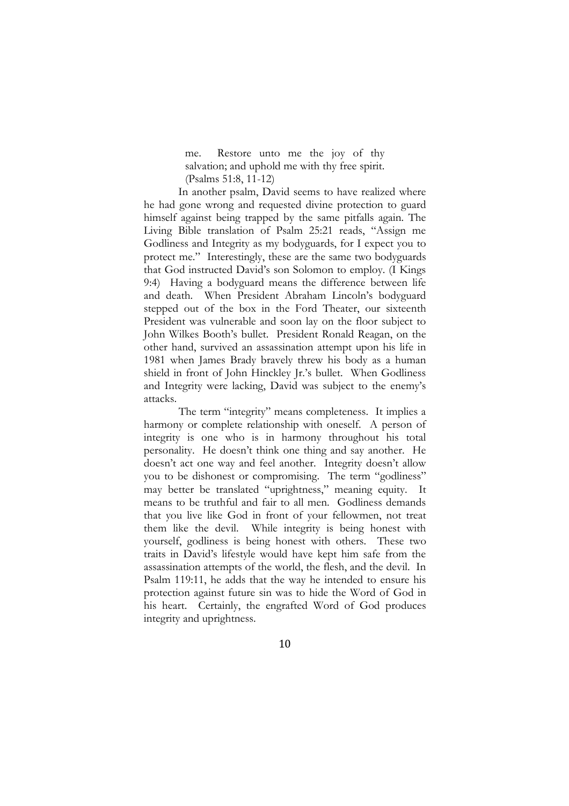me. Restore unto me the joy of thy salvation; and uphold me with thy free spirit. (Psalms 51:8, 11-12)

In another psalm, David seems to have realized where he had gone wrong and requested divine protection to guard himself against being trapped by the same pitfalls again. The Living Bible translation of Psalm 25:21 reads, "Assign me Godliness and Integrity as my bodyguards, for I expect you to protect me." Interestingly, these are the same two bodyguards that God instructed David's son Solomon to employ. (I Kings 9:4) Having a bodyguard means the difference between life and death. When President Abraham Lincoln's bodyguard stepped out of the box in the Ford Theater, our sixteenth President was vulnerable and soon lay on the floor subject to John Wilkes Booth's bullet. President Ronald Reagan, on the other hand, survived an assassination attempt upon his life in 1981 when James Brady bravely threw his body as a human shield in front of John Hinckley Jr.'s bullet. When Godliness and Integrity were lacking, David was subject to the enemy's attacks.

The term "integrity" means completeness. It implies a harmony or complete relationship with oneself. A person of integrity is one who is in harmony throughout his total personality. He doesn't think one thing and say another. He doesn't act one way and feel another. Integrity doesn't allow you to be dishonest or compromising. The term "godliness" may better be translated "uprightness," meaning equity. It means to be truthful and fair to all men. Godliness demands that you live like God in front of your fellowmen, not treat them like the devil. While integrity is being honest with yourself, godliness is being honest with others. These two traits in David's lifestyle would have kept him safe from the assassination attempts of the world, the flesh, and the devil. In Psalm 119:11, he adds that the way he intended to ensure his protection against future sin was to hide the Word of God in his heart. Certainly, the engrafted Word of God produces integrity and uprightness.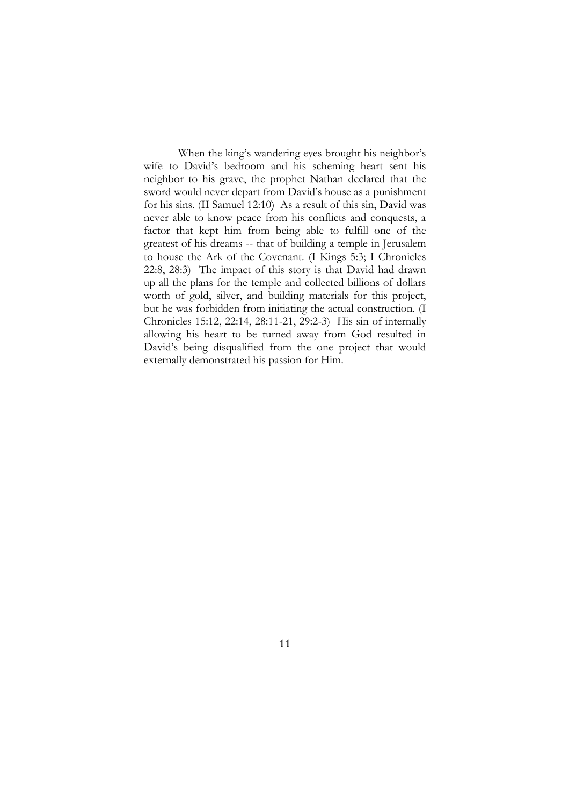When the king's wandering eyes brought his neighbor's wife to David's bedroom and his scheming heart sent his neighbor to his grave, the prophet Nathan declared that the sword would never depart from David's house as a punishment for his sins. (II Samuel 12:10) As a result of this sin, David was never able to know peace from his conflicts and conquests, a factor that kept him from being able to fulfill one of the greatest of his dreams -- that of building a temple in Jerusalem to house the Ark of the Covenant. (I Kings 5:3; I Chronicles 22:8, 28:3) The impact of this story is that David had drawn up all the plans for the temple and collected billions of dollars worth of gold, silver, and building materials for this project, but he was forbidden from initiating the actual construction. (I Chronicles 15:12, 22:14, 28:11-21, 29:2-3) His sin of internally allowing his heart to be turned away from God resulted in David's being disqualified from the one project that would externally demonstrated his passion for Him.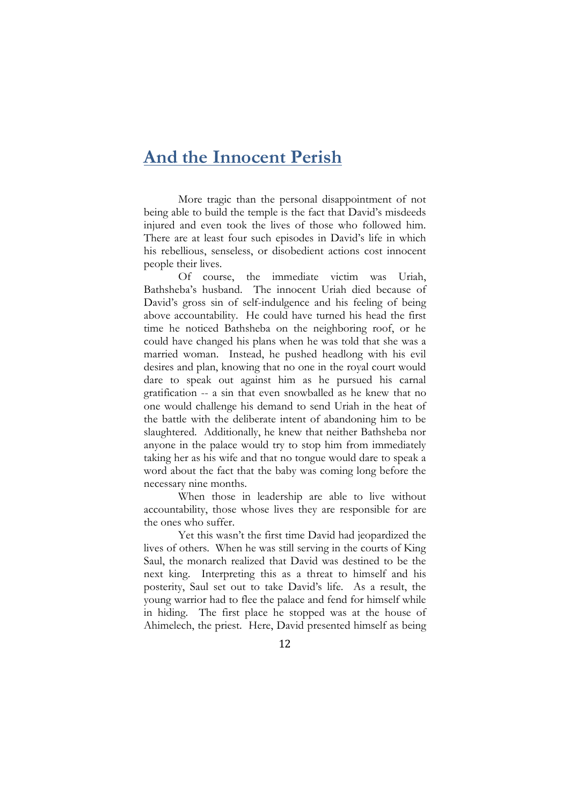#### **And the Innocent Perish**

More tragic than the personal disappointment of not being able to build the temple is the fact that David's misdeeds injured and even took the lives of those who followed him. There are at least four such episodes in David's life in which his rebellious, senseless, or disobedient actions cost innocent people their lives.

Of course, the immediate victim was Uriah, Bathsheba's husband. The innocent Uriah died because of David's gross sin of self-indulgence and his feeling of being above accountability. He could have turned his head the first time he noticed Bathsheba on the neighboring roof, or he could have changed his plans when he was told that she was a married woman. Instead, he pushed headlong with his evil desires and plan, knowing that no one in the royal court would dare to speak out against him as he pursued his carnal gratification -- a sin that even snowballed as he knew that no one would challenge his demand to send Uriah in the heat of the battle with the deliberate intent of abandoning him to be slaughtered. Additionally, he knew that neither Bathsheba nor anyone in the palace would try to stop him from immediately taking her as his wife and that no tongue would dare to speak a word about the fact that the baby was coming long before the necessary nine months.

When those in leadership are able to live without accountability, those whose lives they are responsible for are the ones who suffer.

Yet this wasn't the first time David had jeopardized the lives of others. When he was still serving in the courts of King Saul, the monarch realized that David was destined to be the next king. Interpreting this as a threat to himself and his posterity, Saul set out to take David's life. As a result, the young warrior had to flee the palace and fend for himself while in hiding. The first place he stopped was at the house of Ahimelech, the priest. Here, David presented himself as being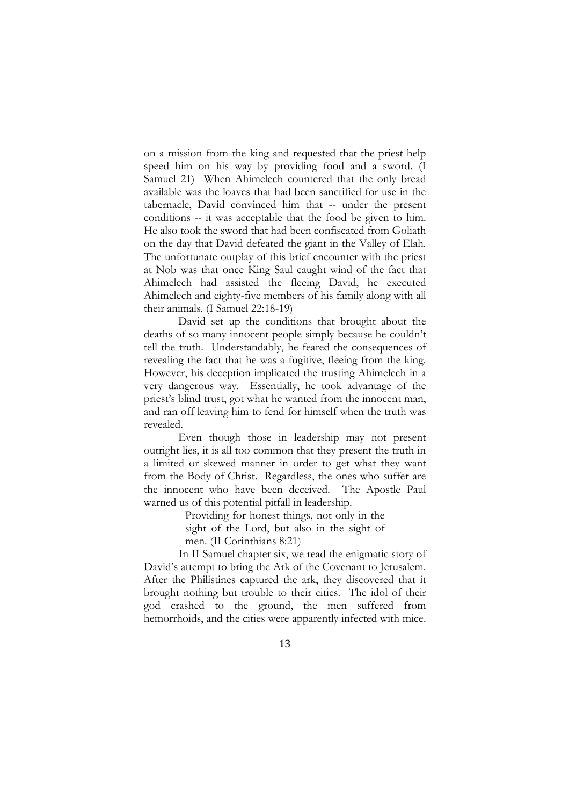on a mission from the king and requested that the priest help speed him on his way by providing food and a sword. (I Samuel 21) When Ahimelech countered that the only bread available was the loaves that had been sanctified for use in the tabernacle, David convinced him that -- under the present conditions -- it was acceptable that the food be given to him. He also took the sword that had been confiscated from Goliath on the day that David defeated the giant in the Valley of Elah. The unfortunate outplay of this brief encounter with the priest at Nob was that once King Saul caught wind of the fact that Ahimelech had assisted the fleeing David, he executed Ahimelech and eighty-five members of his family along with all their animals. (I Samuel 22:18-19)

David set up the conditions that brought about the deaths of so many innocent people simply because he couldn't tell the truth. Understandably, he feared the consequences of revealing the fact that he was a fugitive, fleeing from the king. However, his deception implicated the trusting Ahimelech in a very dangerous way. Essentially, he took advantage of the priest's blind trust, got what he wanted from the innocent man, and ran off leaving him to fend for himself when the truth was revealed.

Even though those in leadership may not present outright lies, it is all too common that they present the truth in a limited or skewed manner in order to get what they want from the Body of Christ. Regardless, the ones who suffer are the innocent who have been deceived. The Apostle Paul warned us of this potential pitfall in leadership.

> Providing for honest things, not only in the sight of the Lord, but also in the sight of

men. (II Corinthians 8:21)

In II Samuel chapter six, we read the enigmatic story of David's attempt to bring the Ark of the Covenant to Jerusalem. After the Philistines captured the ark, they discovered that it brought nothing but trouble to their cities. The idol of their god crashed to the ground, the men suffered from hemorrhoids, and the cities were apparently infected with mice.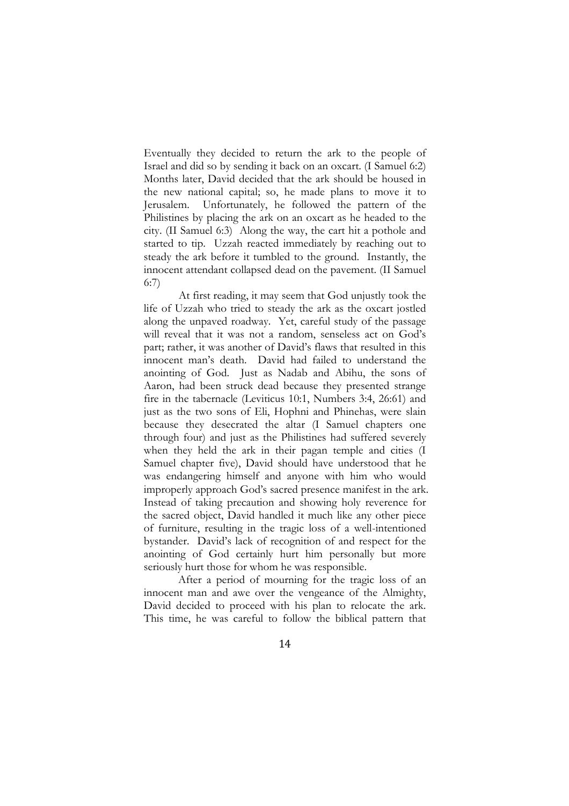Eventually they decided to return the ark to the people of Israel and did so by sending it back on an oxcart. (I Samuel 6:2) Months later, David decided that the ark should be housed in the new national capital; so, he made plans to move it to Jerusalem. Unfortunately, he followed the pattern of the Philistines by placing the ark on an oxcart as he headed to the city. (II Samuel 6:3) Along the way, the cart hit a pothole and started to tip. Uzzah reacted immediately by reaching out to steady the ark before it tumbled to the ground. Instantly, the innocent attendant collapsed dead on the pavement. (II Samuel 6:7)

At first reading, it may seem that God unjustly took the life of Uzzah who tried to steady the ark as the oxcart jostled along the unpaved roadway. Yet, careful study of the passage will reveal that it was not a random, senseless act on God's part; rather, it was another of David's flaws that resulted in this innocent man's death. David had failed to understand the anointing of God. Just as Nadab and Abihu, the sons of Aaron, had been struck dead because they presented strange fire in the tabernacle (Leviticus 10:1, Numbers 3:4, 26:61) and just as the two sons of Eli, Hophni and Phinehas, were slain because they desecrated the altar (I Samuel chapters one through four) and just as the Philistines had suffered severely when they held the ark in their pagan temple and cities (I Samuel chapter five), David should have understood that he was endangering himself and anyone with him who would improperly approach God's sacred presence manifest in the ark. Instead of taking precaution and showing holy reverence for the sacred object, David handled it much like any other piece of furniture, resulting in the tragic loss of a well-intentioned bystander. David's lack of recognition of and respect for the anointing of God certainly hurt him personally but more seriously hurt those for whom he was responsible.

After a period of mourning for the tragic loss of an innocent man and awe over the vengeance of the Almighty, David decided to proceed with his plan to relocate the ark. This time, he was careful to follow the biblical pattern that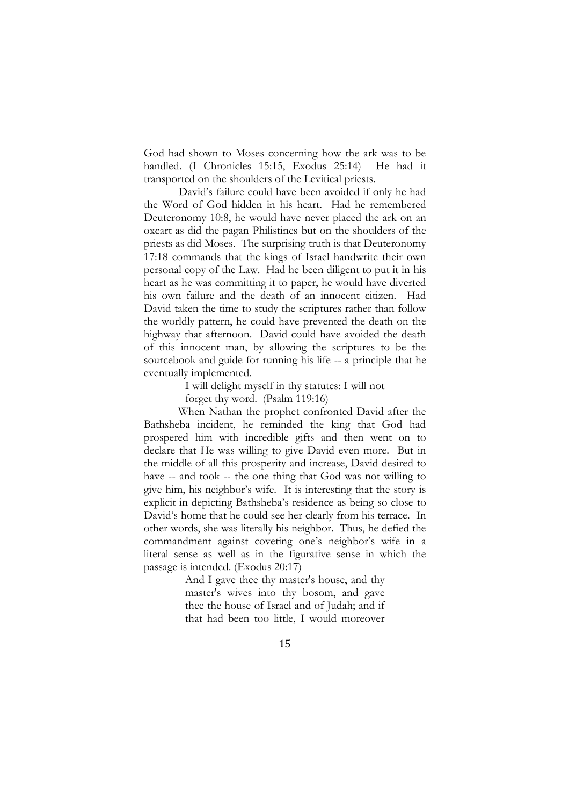God had shown to Moses concerning how the ark was to be handled. (I Chronicles 15:15, Exodus 25:14) He had it transported on the shoulders of the Levitical priests.

David's failure could have been avoided if only he had the Word of God hidden in his heart. Had he remembered Deuteronomy 10:8, he would have never placed the ark on an oxcart as did the pagan Philistines but on the shoulders of the priests as did Moses. The surprising truth is that Deuteronomy 17:18 commands that the kings of Israel handwrite their own personal copy of the Law. Had he been diligent to put it in his heart as he was committing it to paper, he would have diverted his own failure and the death of an innocent citizen. Had David taken the time to study the scriptures rather than follow the worldly pattern, he could have prevented the death on the highway that afternoon. David could have avoided the death of this innocent man, by allowing the scriptures to be the sourcebook and guide for running his life -- a principle that he eventually implemented.

I will delight myself in thy statutes: I will not

forget thy word. (Psalm 119:16)

When Nathan the prophet confronted David after the Bathsheba incident, he reminded the king that God had prospered him with incredible gifts and then went on to declare that He was willing to give David even more. But in the middle of all this prosperity and increase, David desired to have -- and took -- the one thing that God was not willing to give him, his neighbor's wife. It is interesting that the story is explicit in depicting Bathsheba's residence as being so close to David's home that he could see her clearly from his terrace. In other words, she was literally his neighbor. Thus, he defied the commandment against coveting one's neighbor's wife in a literal sense as well as in the figurative sense in which the passage is intended. (Exodus 20:17)

> And I gave thee thy master's house, and thy master's wives into thy bosom, and gave thee the house of Israel and of Judah; and if that had been too little, I would moreover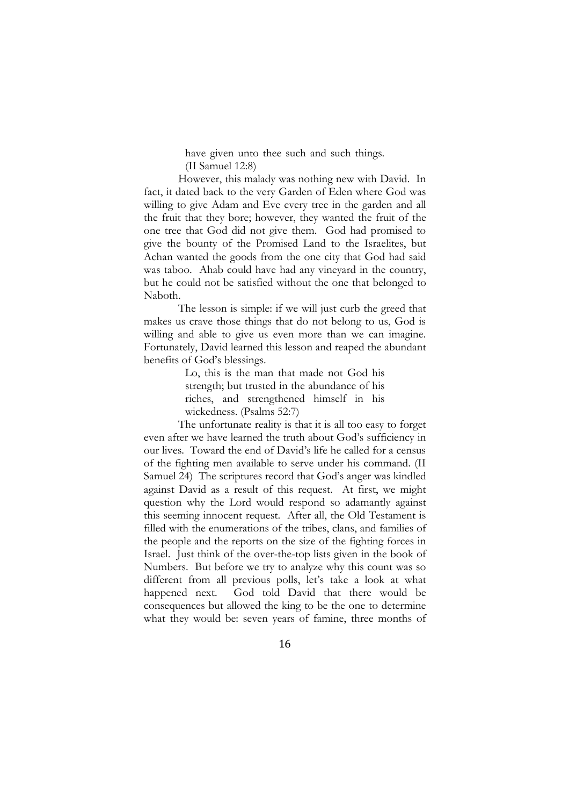have given unto thee such and such things.

(II Samuel 12:8)

However, this malady was nothing new with David. In fact, it dated back to the very Garden of Eden where God was willing to give Adam and Eve every tree in the garden and all the fruit that they bore; however, they wanted the fruit of the one tree that God did not give them. God had promised to give the bounty of the Promised Land to the Israelites, but Achan wanted the goods from the one city that God had said was taboo. Ahab could have had any vineyard in the country, but he could not be satisfied without the one that belonged to Naboth.

The lesson is simple: if we will just curb the greed that makes us crave those things that do not belong to us, God is willing and able to give us even more than we can imagine. Fortunately, David learned this lesson and reaped the abundant benefits of God's blessings.

> Lo, this is the man that made not God his strength; but trusted in the abundance of his riches, and strengthened himself in his wickedness. (Psalms 52:7)

The unfortunate reality is that it is all too easy to forget even after we have learned the truth about God's sufficiency in our lives. Toward the end of David's life he called for a census of the fighting men available to serve under his command. (II Samuel 24) The scriptures record that God's anger was kindled against David as a result of this request. At first, we might question why the Lord would respond so adamantly against this seeming innocent request. After all, the Old Testament is filled with the enumerations of the tribes, clans, and families of the people and the reports on the size of the fighting forces in Israel. Just think of the over-the-top lists given in the book of Numbers. But before we try to analyze why this count was so different from all previous polls, let's take a look at what happened next. God told David that there would be consequences but allowed the king to be the one to determine what they would be: seven years of famine, three months of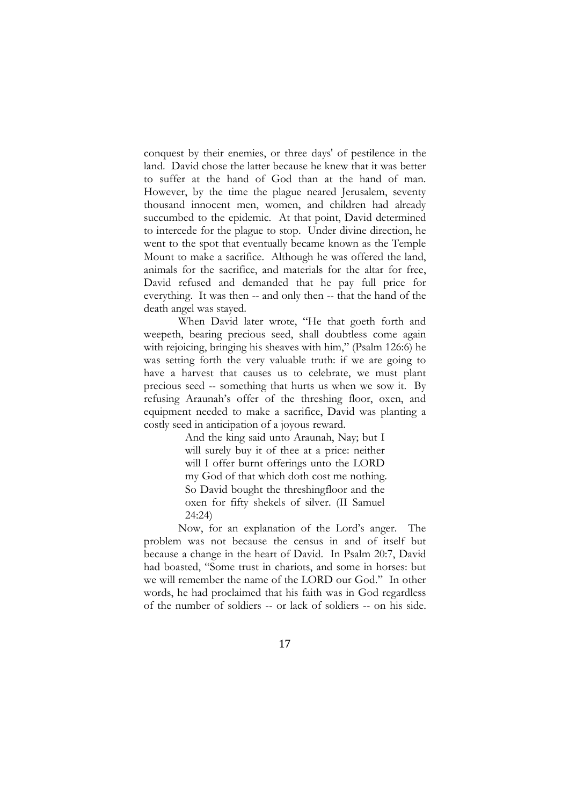conquest by their enemies, or three days' of pestilence in the land. David chose the latter because he knew that it was better to suffer at the hand of God than at the hand of man. However, by the time the plague neared Jerusalem, seventy thousand innocent men, women, and children had already succumbed to the epidemic. At that point, David determined to intercede for the plague to stop. Under divine direction, he went to the spot that eventually became known as the Temple Mount to make a sacrifice. Although he was offered the land, animals for the sacrifice, and materials for the altar for free, David refused and demanded that he pay full price for everything. It was then -- and only then -- that the hand of the death angel was stayed.

When David later wrote, "He that goeth forth and weepeth, bearing precious seed, shall doubtless come again with rejoicing, bringing his sheaves with him," (Psalm 126:6) he was setting forth the very valuable truth: if we are going to have a harvest that causes us to celebrate, we must plant precious seed -- something that hurts us when we sow it. By refusing Araunah's offer of the threshing floor, oxen, and equipment needed to make a sacrifice, David was planting a costly seed in anticipation of a joyous reward.

> And the king said unto Araunah, Nay; but I will surely buy it of thee at a price: neither will I offer burnt offerings unto the LORD my God of that which doth cost me nothing. So David bought the threshingfloor and the oxen for fifty shekels of silver. (II Samuel 24:24)

Now, for an explanation of the Lord's anger. The problem was not because the census in and of itself but because a change in the heart of David. In Psalm 20:7, David had boasted, "Some trust in chariots, and some in horses: but we will remember the name of the LORD our God." In other words, he had proclaimed that his faith was in God regardless of the number of soldiers -- or lack of soldiers -- on his side.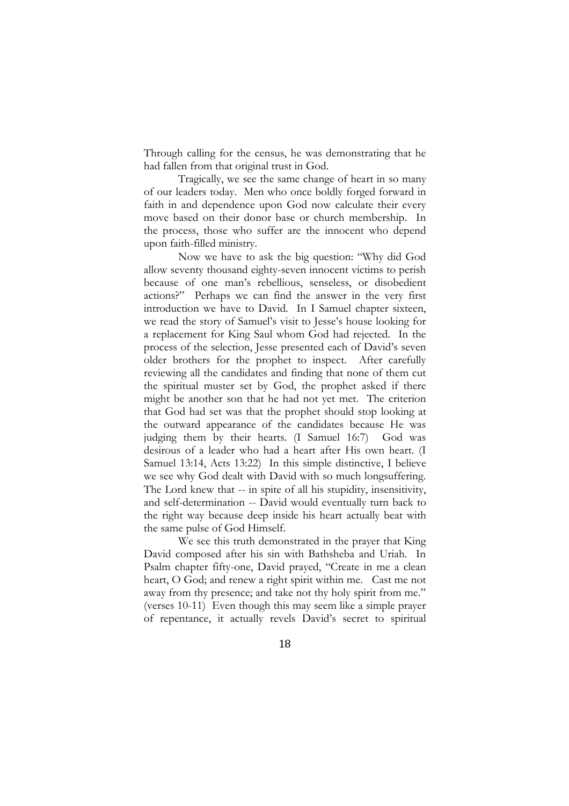Through calling for the census, he was demonstrating that he had fallen from that original trust in God.

Tragically, we see the same change of heart in so many of our leaders today. Men who once boldly forged forward in faith in and dependence upon God now calculate their every move based on their donor base or church membership. In the process, those who suffer are the innocent who depend upon faith-filled ministry.

Now we have to ask the big question: "Why did God allow seventy thousand eighty-seven innocent victims to perish because of one man's rebellious, senseless, or disobedient actions?" Perhaps we can find the answer in the very first introduction we have to David. In I Samuel chapter sixteen, we read the story of Samuel's visit to Jesse's house looking for a replacement for King Saul whom God had rejected. In the process of the selection, Jesse presented each of David's seven older brothers for the prophet to inspect. After carefully reviewing all the candidates and finding that none of them cut the spiritual muster set by God, the prophet asked if there might be another son that he had not yet met. The criterion that God had set was that the prophet should stop looking at the outward appearance of the candidates because He was judging them by their hearts. (I Samuel 16:7) God was desirous of a leader who had a heart after His own heart. (I Samuel 13:14, Acts 13:22) In this simple distinctive, I believe we see why God dealt with David with so much longsuffering. The Lord knew that -- in spite of all his stupidity, insensitivity, and self-determination -- David would eventually turn back to the right way because deep inside his heart actually beat with the same pulse of God Himself.

We see this truth demonstrated in the prayer that King David composed after his sin with Bathsheba and Uriah. In Psalm chapter fifty-one, David prayed, "Create in me a clean heart, O God; and renew a right spirit within me. Cast me not away from thy presence; and take not thy holy spirit from me." (verses 10-11) Even though this may seem like a simple prayer of repentance, it actually revels David's secret to spiritual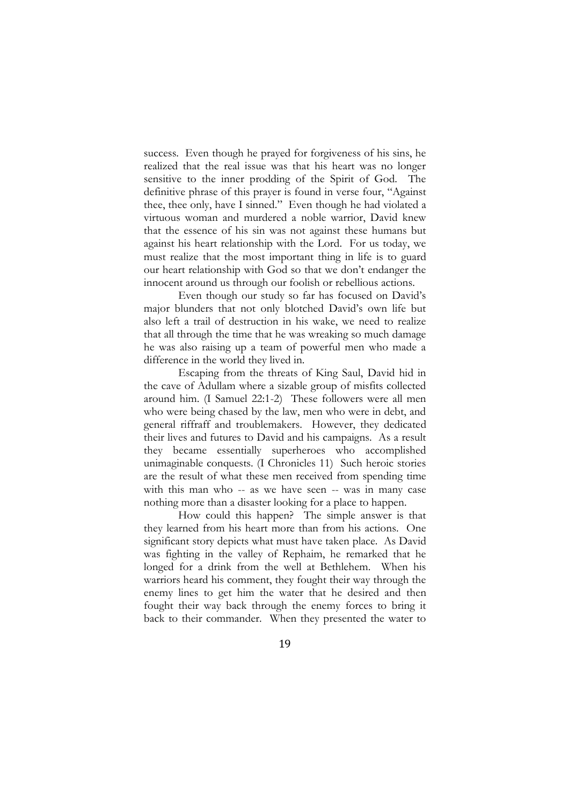success. Even though he prayed for forgiveness of his sins, he realized that the real issue was that his heart was no longer sensitive to the inner prodding of the Spirit of God. The definitive phrase of this prayer is found in verse four, "Against thee, thee only, have I sinned." Even though he had violated a virtuous woman and murdered a noble warrior, David knew that the essence of his sin was not against these humans but against his heart relationship with the Lord. For us today, we must realize that the most important thing in life is to guard our heart relationship with God so that we don't endanger the innocent around us through our foolish or rebellious actions.

Even though our study so far has focused on David's major blunders that not only blotched David's own life but also left a trail of destruction in his wake, we need to realize that all through the time that he was wreaking so much damage he was also raising up a team of powerful men who made a difference in the world they lived in.

Escaping from the threats of King Saul, David hid in the cave of Adullam where a sizable group of misfits collected around him. (I Samuel 22:1-2) These followers were all men who were being chased by the law, men who were in debt, and general riffraff and troublemakers. However, they dedicated their lives and futures to David and his campaigns. As a result they became essentially superheroes who accomplished unimaginable conquests. (I Chronicles 11) Such heroic stories are the result of what these men received from spending time with this man who -- as we have seen -- was in many case nothing more than a disaster looking for a place to happen.

How could this happen? The simple answer is that they learned from his heart more than from his actions. One significant story depicts what must have taken place. As David was fighting in the valley of Rephaim, he remarked that he longed for a drink from the well at Bethlehem. When his warriors heard his comment, they fought their way through the enemy lines to get him the water that he desired and then fought their way back through the enemy forces to bring it back to their commander. When they presented the water to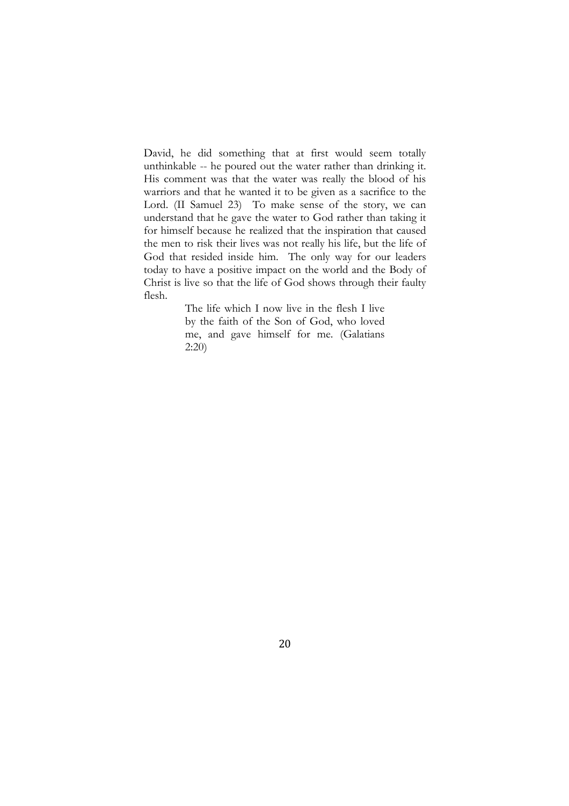David, he did something that at first would seem totally unthinkable -- he poured out the water rather than drinking it. His comment was that the water was really the blood of his warriors and that he wanted it to be given as a sacrifice to the Lord. (II Samuel 23) To make sense of the story, we can understand that he gave the water to God rather than taking it for himself because he realized that the inspiration that caused the men to risk their lives was not really his life, but the life of God that resided inside him. The only way for our leaders today to have a positive impact on the world and the Body of Christ is live so that the life of God shows through their faulty flesh.

> The life which I now live in the flesh I live by the faith of the Son of God, who loved me, and gave himself for me. (Galatians 2:20)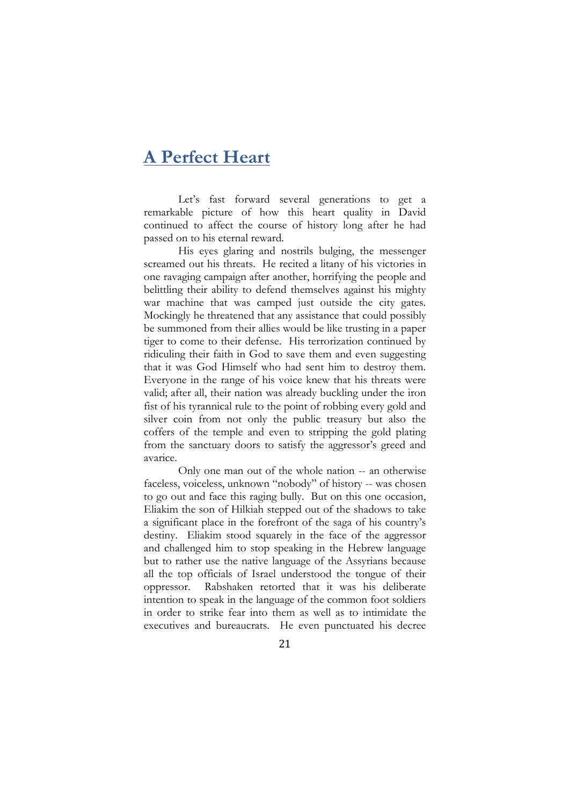### **A Perfect Heart**

Let's fast forward several generations to get a remarkable picture of how this heart quality in David continued to affect the course of history long after he had passed on to his eternal reward.

His eyes glaring and nostrils bulging, the messenger screamed out his threats. He recited a litany of his victories in one ravaging campaign after another, horrifying the people and belittling their ability to defend themselves against his mighty war machine that was camped just outside the city gates. Mockingly he threatened that any assistance that could possibly be summoned from their allies would be like trusting in a paper tiger to come to their defense. His terrorization continued by ridiculing their faith in God to save them and even suggesting that it was God Himself who had sent him to destroy them. Everyone in the range of his voice knew that his threats were valid; after all, their nation was already buckling under the iron fist of his tyrannical rule to the point of robbing every gold and silver coin from not only the public treasury but also the coffers of the temple and even to stripping the gold plating from the sanctuary doors to satisfy the aggressor's greed and avarice.

Only one man out of the whole nation -- an otherwise faceless, voiceless, unknown "nobody" of history -- was chosen to go out and face this raging bully. But on this one occasion, Eliakim the son of Hilkiah stepped out of the shadows to take a significant place in the forefront of the saga of his country's destiny. Eliakim stood squarely in the face of the aggressor and challenged him to stop speaking in the Hebrew language but to rather use the native language of the Assyrians because all the top officials of Israel understood the tongue of their oppressor. Rabshaken retorted that it was his deliberate intention to speak in the language of the common foot soldiers in order to strike fear into them as well as to intimidate the executives and bureaucrats. He even punctuated his decree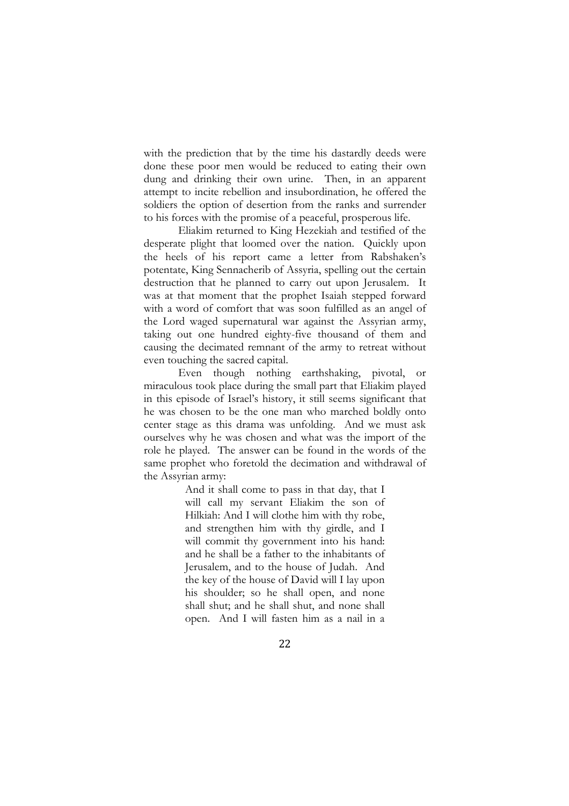with the prediction that by the time his dastardly deeds were done these poor men would be reduced to eating their own dung and drinking their own urine. Then, in an apparent attempt to incite rebellion and insubordination, he offered the soldiers the option of desertion from the ranks and surrender to his forces with the promise of a peaceful, prosperous life.

Eliakim returned to King Hezekiah and testified of the desperate plight that loomed over the nation. Quickly upon the heels of his report came a letter from Rabshaken's potentate, King Sennacherib of Assyria, spelling out the certain destruction that he planned to carry out upon Jerusalem. It was at that moment that the prophet Isaiah stepped forward with a word of comfort that was soon fulfilled as an angel of the Lord waged supernatural war against the Assyrian army, taking out one hundred eighty-five thousand of them and causing the decimated remnant of the army to retreat without even touching the sacred capital.

Even though nothing earthshaking, pivotal, or miraculous took place during the small part that Eliakim played in this episode of Israel's history, it still seems significant that he was chosen to be the one man who marched boldly onto center stage as this drama was unfolding. And we must ask ourselves why he was chosen and what was the import of the role he played. The answer can be found in the words of the same prophet who foretold the decimation and withdrawal of the Assyrian army:

> And it shall come to pass in that day, that I will call my servant Eliakim the son of Hilkiah: And I will clothe him with thy robe, and strengthen him with thy girdle, and I will commit thy government into his hand: and he shall be a father to the inhabitants of Jerusalem, and to the house of Judah. And the key of the house of David will I lay upon his shoulder; so he shall open, and none shall shut; and he shall shut, and none shall open. And I will fasten him as a nail in a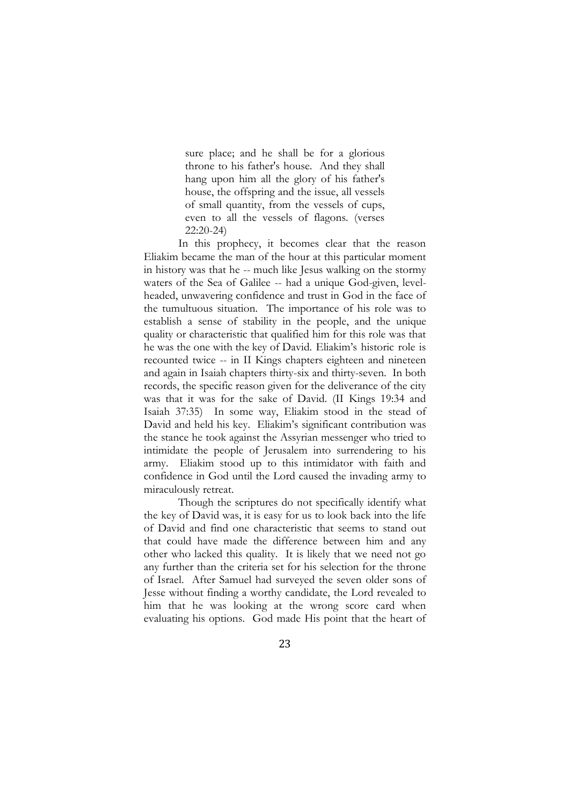sure place; and he shall be for a glorious throne to his father's house. And they shall hang upon him all the glory of his father's house, the offspring and the issue, all vessels of small quantity, from the vessels of cups, even to all the vessels of flagons. (verses 22:20-24)

In this prophecy, it becomes clear that the reason Eliakim became the man of the hour at this particular moment in history was that he -- much like Jesus walking on the stormy waters of the Sea of Galilee -- had a unique God-given, levelheaded, unwavering confidence and trust in God in the face of the tumultuous situation. The importance of his role was to establish a sense of stability in the people, and the unique quality or characteristic that qualified him for this role was that he was the one with the key of David. Eliakim's historic role is recounted twice -- in II Kings chapters eighteen and nineteen and again in Isaiah chapters thirty-six and thirty-seven. In both records, the specific reason given for the deliverance of the city was that it was for the sake of David. (II Kings 19:34 and Isaiah 37:35) In some way, Eliakim stood in the stead of David and held his key. Eliakim's significant contribution was the stance he took against the Assyrian messenger who tried to intimidate the people of Jerusalem into surrendering to his army. Eliakim stood up to this intimidator with faith and confidence in God until the Lord caused the invading army to miraculously retreat.

Though the scriptures do not specifically identify what the key of David was, it is easy for us to look back into the life of David and find one characteristic that seems to stand out that could have made the difference between him and any other who lacked this quality. It is likely that we need not go any further than the criteria set for his selection for the throne of Israel. After Samuel had surveyed the seven older sons of Jesse without finding a worthy candidate, the Lord revealed to him that he was looking at the wrong score card when evaluating his options. God made His point that the heart of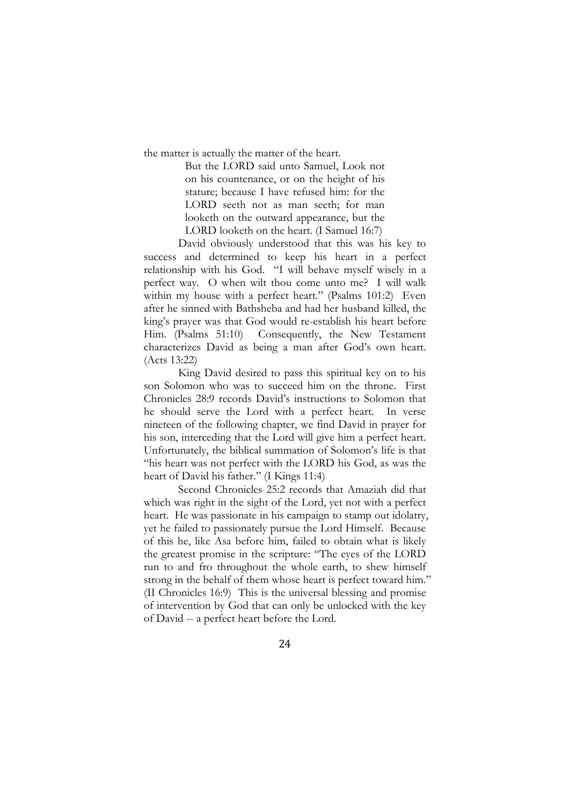the matter is actually the matter of the heart.

But the LORD said unto Samuel, Look not on his countenance, or on the height of his stature; because I have refused him: for the LORD seeth not as man seeth; for man looketh on the outward appearance, but the LORD looketh on the heart. (I Samuel 16:7)

David obviously understood that this was his key to success and determined to keep his heart in a perfect relationship with his God. "I will behave myself wisely in a perfect way. O when wilt thou come unto me? I will walk within my house with a perfect heart." (Psalms 101:2) Even after he sinned with Bathsheba and had her husband killed, the king's prayer was that God would re-establish his heart before Him. (Psalms 51:10) Consequently, the New Testament characterizes David as being a man after God's own heart. (Acts 13:22)

King David desired to pass this spiritual key on to his son Solomon who was to succeed him on the throne. First Chronicles 28:9 records David's instructions to Solomon that he should serve the Lord with a perfect heart. In verse nineteen of the following chapter, we find David in prayer for his son, interceding that the Lord will give him a perfect heart. Unfortunately, the biblical summation of Solomon's life is that "his heart was not perfect with the LORD his God, as was the heart of David his father." (I Kings 11:4)

Second Chronicles 25:2 records that Amaziah did that which was right in the sight of the Lord, yet not with a perfect heart. He was passionate in his campaign to stamp out idolatry, yet he failed to passionately pursue the Lord Himself. Because of this he, like Asa before him, failed to obtain what is likely the greatest promise in the scripture: "The eyes of the LORD run to and fro throughout the whole earth, to shew himself strong in the behalf of them whose heart is perfect toward him." (II Chronicles 16:9) This is the universal blessing and promise of intervention by God that can only be unlocked with the key of David -- a perfect heart before the Lord.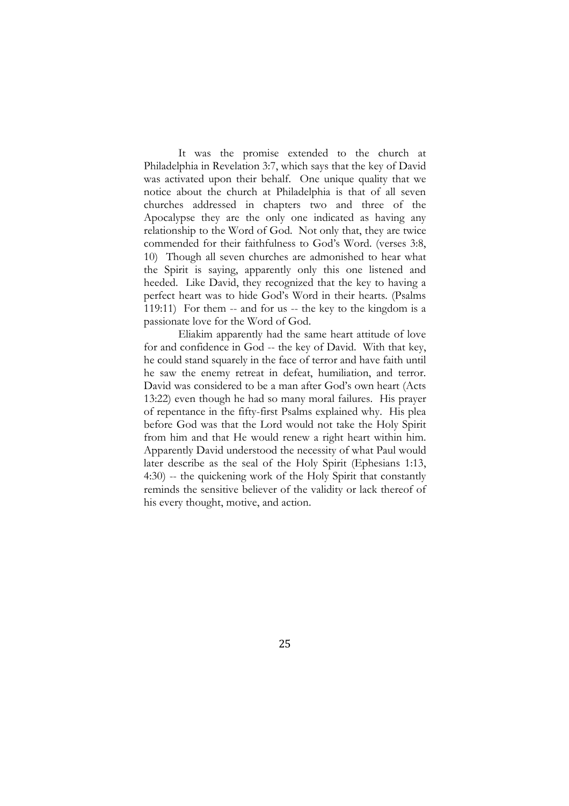It was the promise extended to the church at Philadelphia in Revelation 3:7, which says that the key of David was activated upon their behalf. One unique quality that we notice about the church at Philadelphia is that of all seven churches addressed in chapters two and three of the Apocalypse they are the only one indicated as having any relationship to the Word of God. Not only that, they are twice commended for their faithfulness to God's Word. (verses 3:8, 10) Though all seven churches are admonished to hear what the Spirit is saying, apparently only this one listened and heeded. Like David, they recognized that the key to having a perfect heart was to hide God's Word in their hearts. (Psalms 119:11) For them -- and for us -- the key to the kingdom is a passionate love for the Word of God.

Eliakim apparently had the same heart attitude of love for and confidence in God -- the key of David. With that key, he could stand squarely in the face of terror and have faith until he saw the enemy retreat in defeat, humiliation, and terror. David was considered to be a man after God's own heart (Acts 13:22) even though he had so many moral failures. His prayer of repentance in the fifty-first Psalms explained why. His plea before God was that the Lord would not take the Holy Spirit from him and that He would renew a right heart within him. Apparently David understood the necessity of what Paul would later describe as the seal of the Holy Spirit (Ephesians 1:13, 4:30) -- the quickening work of the Holy Spirit that constantly reminds the sensitive believer of the validity or lack thereof of his every thought, motive, and action.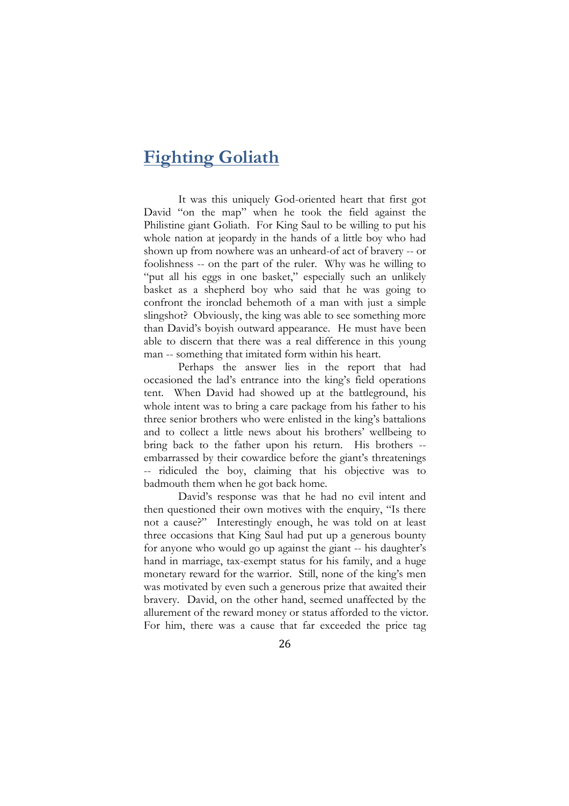## **Fighting Goliath**

It was this uniquely God-oriented heart that first got David "on the map" when he took the field against the Philistine giant Goliath. For King Saul to be willing to put his whole nation at jeopardy in the hands of a little boy who had shown up from nowhere was an unheard-of act of bravery -- or foolishness -- on the part of the ruler. Why was he willing to "put all his eggs in one basket," especially such an unlikely basket as a shepherd boy who said that he was going to confront the ironclad behemoth of a man with just a simple slingshot? Obviously, the king was able to see something more than David's boyish outward appearance. He must have been able to discern that there was a real difference in this young man -- something that imitated form within his heart.

Perhaps the answer lies in the report that had occasioned the lad's entrance into the king's field operations tent. When David had showed up at the battleground, his whole intent was to bring a care package from his father to his three senior brothers who were enlisted in the king's battalions and to collect a little news about his brothers' wellbeing to bring back to the father upon his return. His brothers - embarrassed by their cowardice before the giant's threatenings -- ridiculed the boy, claiming that his objective was to badmouth them when he got back home.

David's response was that he had no evil intent and then questioned their own motives with the enquiry, "Is there not a cause?" Interestingly enough, he was told on at least three occasions that King Saul had put up a generous bounty for anyone who would go up against the giant -- his daughter's hand in marriage, tax-exempt status for his family, and a huge monetary reward for the warrior. Still, none of the king's men was motivated by even such a generous prize that awaited their bravery. David, on the other hand, seemed unaffected by the allurement of the reward money or status afforded to the victor. For him, there was a cause that far exceeded the price tag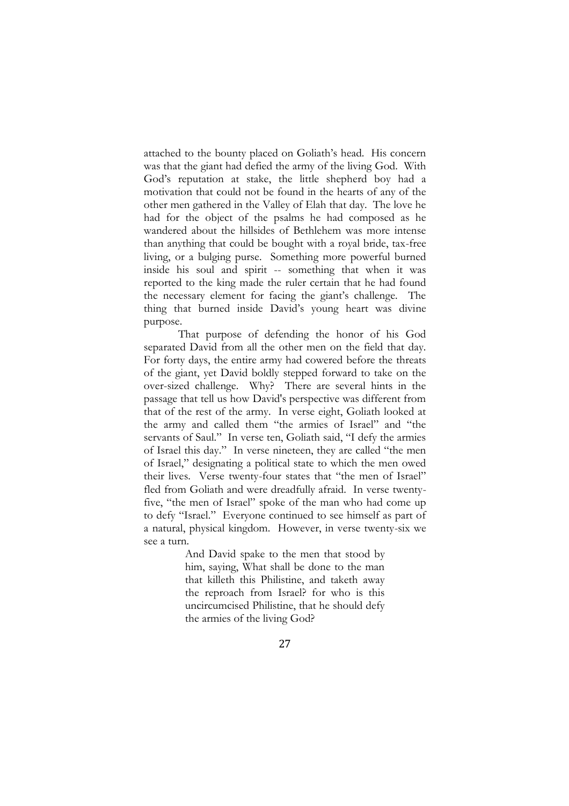attached to the bounty placed on Goliath's head. His concern was that the giant had defied the army of the living God. With God's reputation at stake, the little shepherd boy had a motivation that could not be found in the hearts of any of the other men gathered in the Valley of Elah that day. The love he had for the object of the psalms he had composed as he wandered about the hillsides of Bethlehem was more intense than anything that could be bought with a royal bride, tax-free living, or a bulging purse. Something more powerful burned inside his soul and spirit -- something that when it was reported to the king made the ruler certain that he had found the necessary element for facing the giant's challenge. The thing that burned inside David's young heart was divine purpose.

That purpose of defending the honor of his God separated David from all the other men on the field that day. For forty days, the entire army had cowered before the threats of the giant, yet David boldly stepped forward to take on the over-sized challenge. Why? There are several hints in the passage that tell us how David's perspective was different from that of the rest of the army. In verse eight, Goliath looked at the army and called them "the armies of Israel" and "the servants of Saul." In verse ten, Goliath said, "I defy the armies of Israel this day." In verse nineteen, they are called "the men of Israel," designating a political state to which the men owed their lives. Verse twenty-four states that "the men of Israel" fled from Goliath and were dreadfully afraid. In verse twentyfive, "the men of Israel" spoke of the man who had come up to defy "Israel." Everyone continued to see himself as part of a natural, physical kingdom. However, in verse twenty-six we see a turn.

> And David spake to the men that stood by him, saying, What shall be done to the man that killeth this Philistine, and taketh away the reproach from Israel? for who is this uncircumcised Philistine, that he should defy the armies of the living God?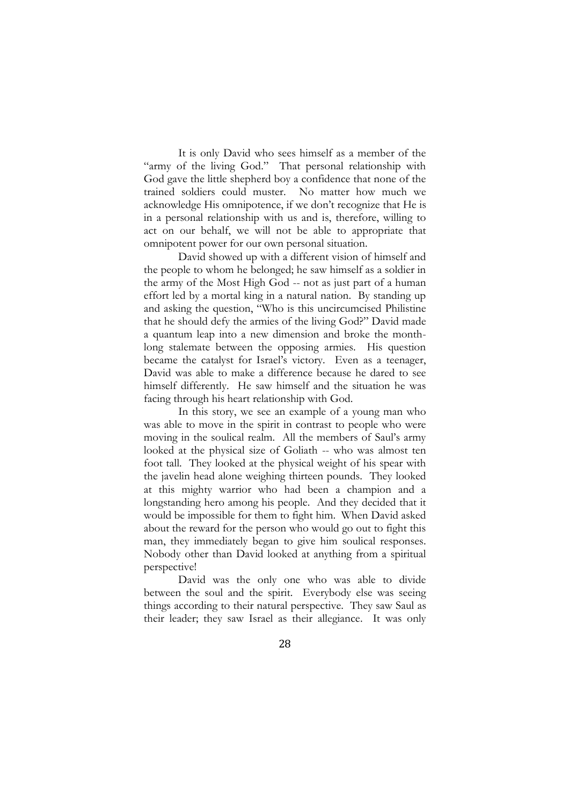It is only David who sees himself as a member of the "army of the living God." That personal relationship with God gave the little shepherd boy a confidence that none of the trained soldiers could muster. No matter how much we acknowledge His omnipotence, if we don't recognize that He is in a personal relationship with us and is, therefore, willing to act on our behalf, we will not be able to appropriate that omnipotent power for our own personal situation.

David showed up with a different vision of himself and the people to whom he belonged; he saw himself as a soldier in the army of the Most High God -- not as just part of a human effort led by a mortal king in a natural nation. By standing up and asking the question, "Who is this uncircumcised Philistine that he should defy the armies of the living God?" David made a quantum leap into a new dimension and broke the monthlong stalemate between the opposing armies. His question became the catalyst for Israel's victory. Even as a teenager, David was able to make a difference because he dared to see himself differently. He saw himself and the situation he was facing through his heart relationship with God.

In this story, we see an example of a young man who was able to move in the spirit in contrast to people who were moving in the soulical realm. All the members of Saul's army looked at the physical size of Goliath -- who was almost ten foot tall. They looked at the physical weight of his spear with the javelin head alone weighing thirteen pounds. They looked at this mighty warrior who had been a champion and a longstanding hero among his people. And they decided that it would be impossible for them to fight him. When David asked about the reward for the person who would go out to fight this man, they immediately began to give him soulical responses. Nobody other than David looked at anything from a spiritual perspective!

David was the only one who was able to divide between the soul and the spirit. Everybody else was seeing things according to their natural perspective. They saw Saul as their leader; they saw Israel as their allegiance. It was only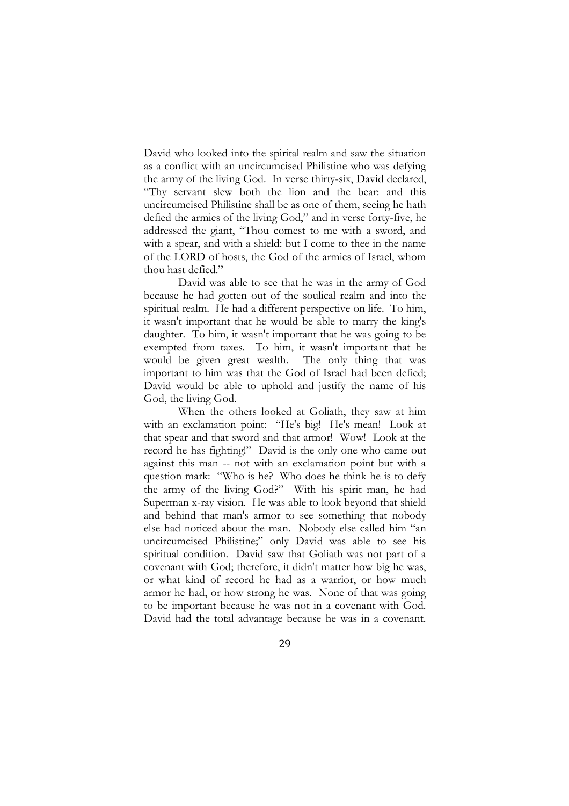David who looked into the spirital realm and saw the situation as a conflict with an uncircumcised Philistine who was defying the army of the living God. In verse thirty-six, David declared, "Thy servant slew both the lion and the bear: and this uncircumcised Philistine shall be as one of them, seeing he hath defied the armies of the living God," and in verse forty-five, he addressed the giant, "Thou comest to me with a sword, and with a spear, and with a shield: but I come to thee in the name of the LORD of hosts, the God of the armies of Israel, whom thou hast defied."

David was able to see that he was in the army of God because he had gotten out of the soulical realm and into the spiritual realm. He had a different perspective on life. To him, it wasn't important that he would be able to marry the king's daughter. To him, it wasn't important that he was going to be exempted from taxes. To him, it wasn't important that he would be given great wealth. The only thing that was important to him was that the God of Israel had been defied; David would be able to uphold and justify the name of his God, the living God.

When the others looked at Goliath, they saw at him with an exclamation point: "He's big! He's mean! Look at that spear and that sword and that armor! Wow! Look at the record he has fighting!" David is the only one who came out against this man -- not with an exclamation point but with a question mark: "Who is he? Who does he think he is to defy the army of the living God?" With his spirit man, he had Superman x-ray vision. He was able to look beyond that shield and behind that man's armor to see something that nobody else had noticed about the man. Nobody else called him "an uncircumcised Philistine;" only David was able to see his spiritual condition. David saw that Goliath was not part of a covenant with God; therefore, it didn't matter how big he was, or what kind of record he had as a warrior, or how much armor he had, or how strong he was. None of that was going to be important because he was not in a covenant with God. David had the total advantage because he was in a covenant.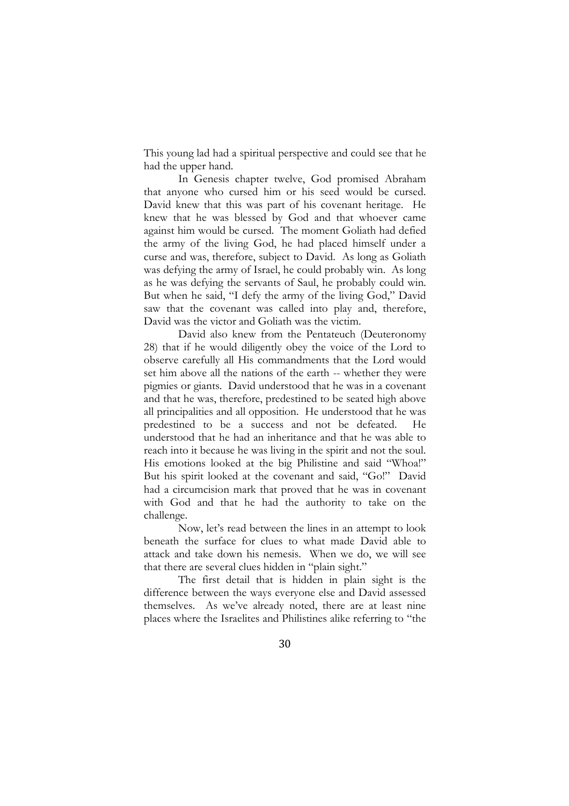This young lad had a spiritual perspective and could see that he had the upper hand.

In Genesis chapter twelve, God promised Abraham that anyone who cursed him or his seed would be cursed. David knew that this was part of his covenant heritage. He knew that he was blessed by God and that whoever came against him would be cursed. The moment Goliath had defied the army of the living God, he had placed himself under a curse and was, therefore, subject to David. As long as Goliath was defying the army of Israel, he could probably win. As long as he was defying the servants of Saul, he probably could win. But when he said, "I defy the army of the living God," David saw that the covenant was called into play and, therefore, David was the victor and Goliath was the victim.

David also knew from the Pentateuch (Deuteronomy 28) that if he would diligently obey the voice of the Lord to observe carefully all His commandments that the Lord would set him above all the nations of the earth -- whether they were pigmies or giants. David understood that he was in a covenant and that he was, therefore, predestined to be seated high above all principalities and all opposition. He understood that he was predestined to be a success and not be defeated. understood that he had an inheritance and that he was able to reach into it because he was living in the spirit and not the soul. His emotions looked at the big Philistine and said "Whoa!" But his spirit looked at the covenant and said, "Go!" David had a circumcision mark that proved that he was in covenant with God and that he had the authority to take on the challenge.

Now, let's read between the lines in an attempt to look beneath the surface for clues to what made David able to attack and take down his nemesis. When we do, we will see that there are several clues hidden in "plain sight."

The first detail that is hidden in plain sight is the difference between the ways everyone else and David assessed themselves. As we've already noted, there are at least nine places where the Israelites and Philistines alike referring to "the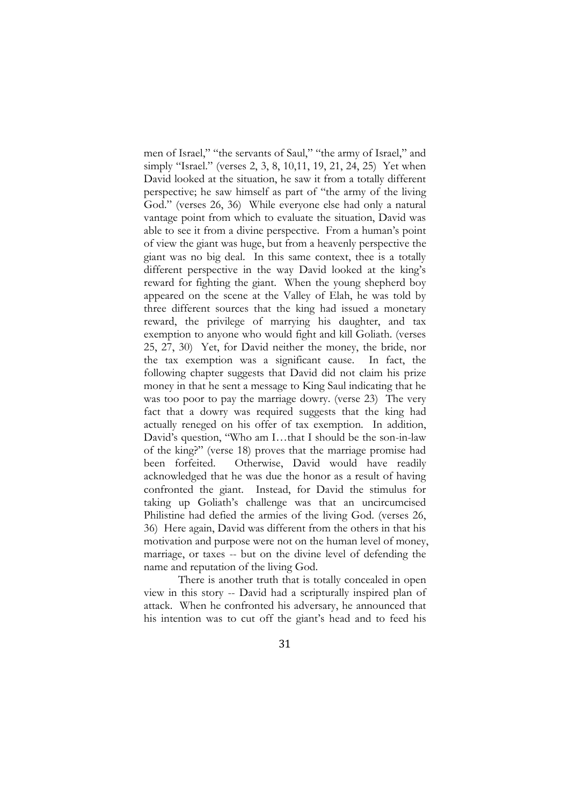men of Israel," "the servants of Saul," "the army of Israel," and simply "Israel." (verses 2, 3, 8, 10,11, 19, 21, 24, 25) Yet when David looked at the situation, he saw it from a totally different perspective; he saw himself as part of "the army of the living God." (verses 26, 36) While everyone else had only a natural vantage point from which to evaluate the situation, David was able to see it from a divine perspective. From a human's point of view the giant was huge, but from a heavenly perspective the giant was no big deal. In this same context, thee is a totally different perspective in the way David looked at the king's reward for fighting the giant. When the young shepherd boy appeared on the scene at the Valley of Elah, he was told by three different sources that the king had issued a monetary reward, the privilege of marrying his daughter, and tax exemption to anyone who would fight and kill Goliath. (verses 25, 27, 30) Yet, for David neither the money, the bride, nor the tax exemption was a significant cause. In fact, the following chapter suggests that David did not claim his prize money in that he sent a message to King Saul indicating that he was too poor to pay the marriage dowry. (verse 23) The very fact that a dowry was required suggests that the king had actually reneged on his offer of tax exemption. In addition, David's question, "Who am I…that I should be the son-in-law of the king?" (verse 18) proves that the marriage promise had been forfeited. Otherwise, David would have readily acknowledged that he was due the honor as a result of having confronted the giant. Instead, for David the stimulus for taking up Goliath's challenge was that an uncircumcised Philistine had defied the armies of the living God. (verses 26, 36) Here again, David was different from the others in that his motivation and purpose were not on the human level of money, marriage, or taxes -- but on the divine level of defending the name and reputation of the living God.

There is another truth that is totally concealed in open view in this story -- David had a scripturally inspired plan of attack. When he confronted his adversary, he announced that his intention was to cut off the giant's head and to feed his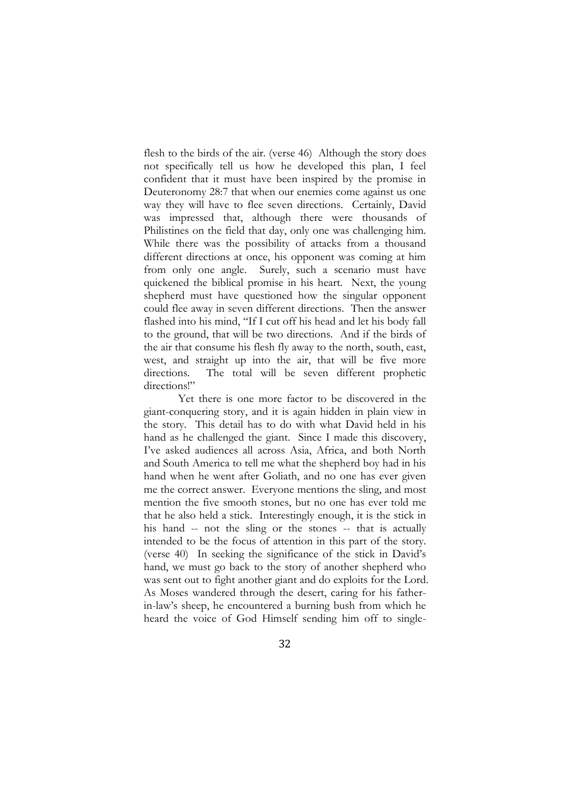flesh to the birds of the air. (verse 46) Although the story does not specifically tell us how he developed this plan, I feel confident that it must have been inspired by the promise in Deuteronomy 28:7 that when our enemies come against us one way they will have to flee seven directions. Certainly, David was impressed that, although there were thousands of Philistines on the field that day, only one was challenging him. While there was the possibility of attacks from a thousand different directions at once, his opponent was coming at him from only one angle. Surely, such a scenario must have quickened the biblical promise in his heart. Next, the young shepherd must have questioned how the singular opponent could flee away in seven different directions. Then the answer flashed into his mind, "If I cut off his head and let his body fall to the ground, that will be two directions. And if the birds of the air that consume his flesh fly away to the north, south, east, west, and straight up into the air, that will be five more directions. The total will be seven different prophetic directions!"

Yet there is one more factor to be discovered in the giant-conquering story, and it is again hidden in plain view in the story. This detail has to do with what David held in his hand as he challenged the giant. Since I made this discovery, I've asked audiences all across Asia, Africa, and both North and South America to tell me what the shepherd boy had in his hand when he went after Goliath, and no one has ever given me the correct answer. Everyone mentions the sling, and most mention the five smooth stones, but no one has ever told me that he also held a stick. Interestingly enough, it is the stick in his hand -- not the sling or the stones -- that is actually intended to be the focus of attention in this part of the story. (verse 40) In seeking the significance of the stick in David's hand, we must go back to the story of another shepherd who was sent out to fight another giant and do exploits for the Lord. As Moses wandered through the desert, caring for his fatherin-law's sheep, he encountered a burning bush from which he heard the voice of God Himself sending him off to single-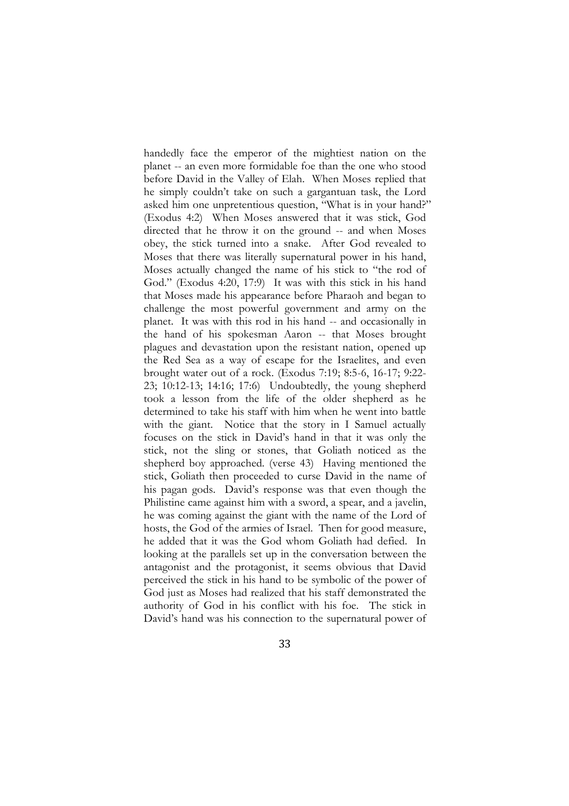handedly face the emperor of the mightiest nation on the planet -- an even more formidable foe than the one who stood before David in the Valley of Elah. When Moses replied that he simply couldn't take on such a gargantuan task, the Lord asked him one unpretentious question, "What is in your hand?" (Exodus 4:2) When Moses answered that it was stick, God directed that he throw it on the ground -- and when Moses obey, the stick turned into a snake. After God revealed to Moses that there was literally supernatural power in his hand, Moses actually changed the name of his stick to "the rod of God." (Exodus 4:20, 17:9) It was with this stick in his hand that Moses made his appearance before Pharaoh and began to challenge the most powerful government and army on the planet. It was with this rod in his hand -- and occasionally in the hand of his spokesman Aaron -- that Moses brought plagues and devastation upon the resistant nation, opened up the Red Sea as a way of escape for the Israelites, and even brought water out of a rock. (Exodus 7:19; 8:5-6, 16-17; 9:22- 23; 10:12-13; 14:16; 17:6) Undoubtedly, the young shepherd took a lesson from the life of the older shepherd as he determined to take his staff with him when he went into battle with the giant. Notice that the story in I Samuel actually focuses on the stick in David's hand in that it was only the stick, not the sling or stones, that Goliath noticed as the shepherd boy approached. (verse 43) Having mentioned the stick, Goliath then proceeded to curse David in the name of his pagan gods. David's response was that even though the Philistine came against him with a sword, a spear, and a javelin, he was coming against the giant with the name of the Lord of hosts, the God of the armies of Israel. Then for good measure, he added that it was the God whom Goliath had defied. In looking at the parallels set up in the conversation between the antagonist and the protagonist, it seems obvious that David perceived the stick in his hand to be symbolic of the power of God just as Moses had realized that his staff demonstrated the authority of God in his conflict with his foe. The stick in David's hand was his connection to the supernatural power of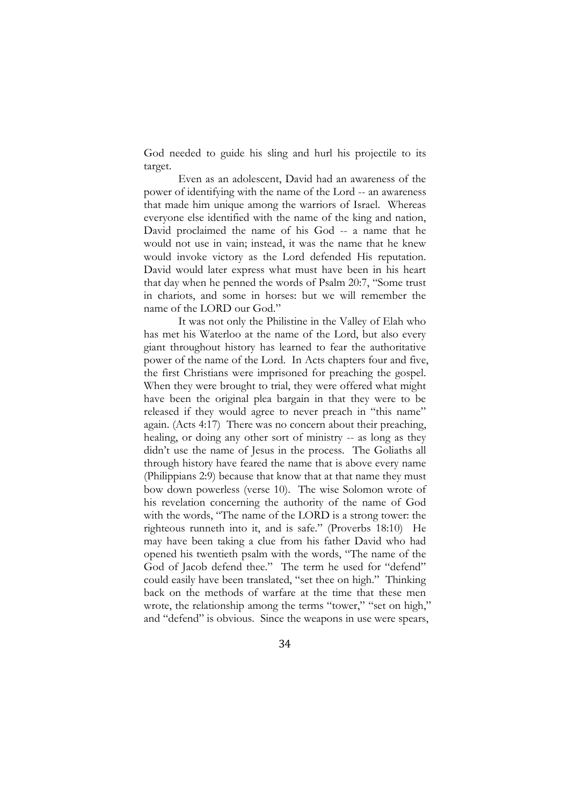God needed to guide his sling and hurl his projectile to its target.

Even as an adolescent, David had an awareness of the power of identifying with the name of the Lord -- an awareness that made him unique among the warriors of Israel. Whereas everyone else identified with the name of the king and nation, David proclaimed the name of his God -- a name that he would not use in vain; instead, it was the name that he knew would invoke victory as the Lord defended His reputation. David would later express what must have been in his heart that day when he penned the words of Psalm 20:7, "Some trust in chariots, and some in horses: but we will remember the name of the LORD our God."

It was not only the Philistine in the Valley of Elah who has met his Waterloo at the name of the Lord, but also every giant throughout history has learned to fear the authoritative power of the name of the Lord. In Acts chapters four and five, the first Christians were imprisoned for preaching the gospel. When they were brought to trial, they were offered what might have been the original plea bargain in that they were to be released if they would agree to never preach in "this name" again. (Acts 4:17) There was no concern about their preaching, healing, or doing any other sort of ministry -- as long as they didn't use the name of Jesus in the process. The Goliaths all through history have feared the name that is above every name (Philippians 2:9) because that know that at that name they must bow down powerless (verse 10). The wise Solomon wrote of his revelation concerning the authority of the name of God with the words, "The name of the LORD is a strong tower: the righteous runneth into it, and is safe." (Proverbs 18:10) He may have been taking a clue from his father David who had opened his twentieth psalm with the words, "The name of the God of Jacob defend thee." The term he used for "defend" could easily have been translated, "set thee on high." Thinking back on the methods of warfare at the time that these men wrote, the relationship among the terms "tower," "set on high," and "defend" is obvious. Since the weapons in use were spears,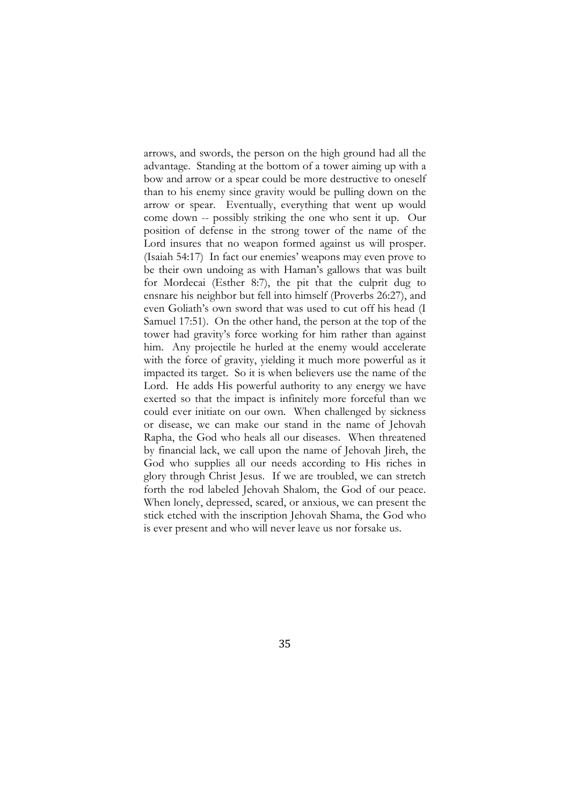arrows, and swords, the person on the high ground had all the advantage. Standing at the bottom of a tower aiming up with a bow and arrow or a spear could be more destructive to oneself than to his enemy since gravity would be pulling down on the arrow or spear. Eventually, everything that went up would come down -- possibly striking the one who sent it up. Our position of defense in the strong tower of the name of the Lord insures that no weapon formed against us will prosper. (Isaiah 54:17) In fact our enemies' weapons may even prove to be their own undoing as with Haman's gallows that was built for Mordecai (Esther 8:7), the pit that the culprit dug to ensnare his neighbor but fell into himself (Proverbs 26:27), and even Goliath's own sword that was used to cut off his head (I Samuel 17:51). On the other hand, the person at the top of the tower had gravity's force working for him rather than against him. Any projectile he hurled at the enemy would accelerate with the force of gravity, yielding it much more powerful as it impacted its target. So it is when believers use the name of the Lord. He adds His powerful authority to any energy we have exerted so that the impact is infinitely more forceful than we could ever initiate on our own. When challenged by sickness or disease, we can make our stand in the name of Jehovah Rapha, the God who heals all our diseases. When threatened by financial lack, we call upon the name of Jehovah Jireh, the God who supplies all our needs according to His riches in glory through Christ Jesus. If we are troubled, we can stretch forth the rod labeled Jehovah Shalom, the God of our peace. When lonely, depressed, scared, or anxious, we can present the stick etched with the inscription Jehovah Shama, the God who is ever present and who will never leave us nor forsake us.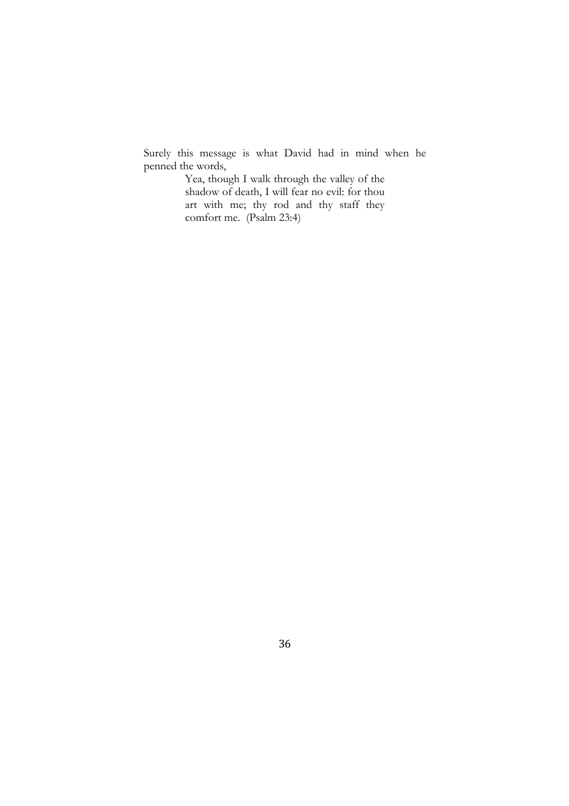Surely this message is what David had in mind when he penned the words,

Yea, though I walk through the valley of the shadow of death, I will fear no evil: for thou art with me; thy rod and thy staff they comfort me. (Psalm 23:4)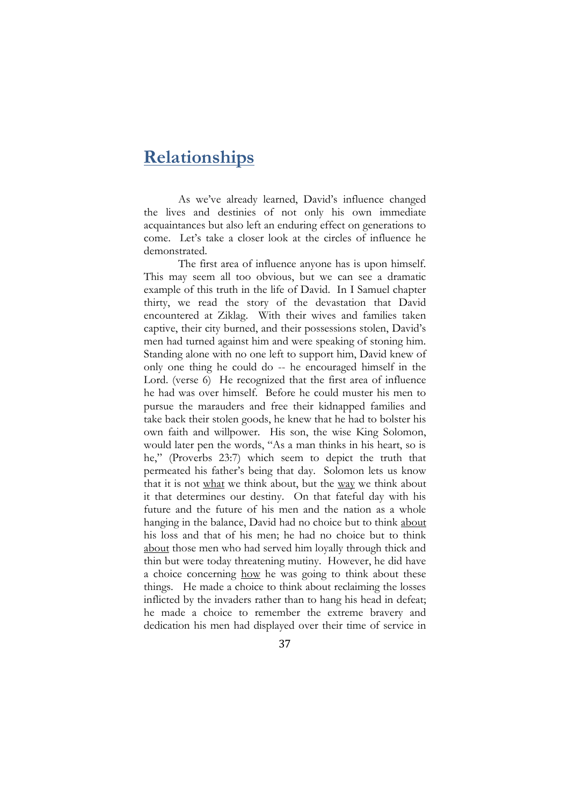### **Relationships**

As we've already learned, David's influence changed the lives and destinies of not only his own immediate acquaintances but also left an enduring effect on generations to come. Let's take a closer look at the circles of influence he demonstrated.

The first area of influence anyone has is upon himself. This may seem all too obvious, but we can see a dramatic example of this truth in the life of David. In I Samuel chapter thirty, we read the story of the devastation that David encountered at Ziklag. With their wives and families taken captive, their city burned, and their possessions stolen, David's men had turned against him and were speaking of stoning him. Standing alone with no one left to support him, David knew of only one thing he could do -- he encouraged himself in the Lord. (verse 6) He recognized that the first area of influence he had was over himself. Before he could muster his men to pursue the marauders and free their kidnapped families and take back their stolen goods, he knew that he had to bolster his own faith and willpower. His son, the wise King Solomon, would later pen the words, "As a man thinks in his heart, so is he," (Proverbs 23:7) which seem to depict the truth that permeated his father's being that day. Solomon lets us know that it is not what we think about, but the way we think about it that determines our destiny. On that fateful day with his future and the future of his men and the nation as a whole hanging in the balance, David had no choice but to think about his loss and that of his men; he had no choice but to think about those men who had served him loyally through thick and thin but were today threatening mutiny. However, he did have a choice concerning how he was going to think about these things. He made a choice to think about reclaiming the losses inflicted by the invaders rather than to hang his head in defeat; he made a choice to remember the extreme bravery and dedication his men had displayed over their time of service in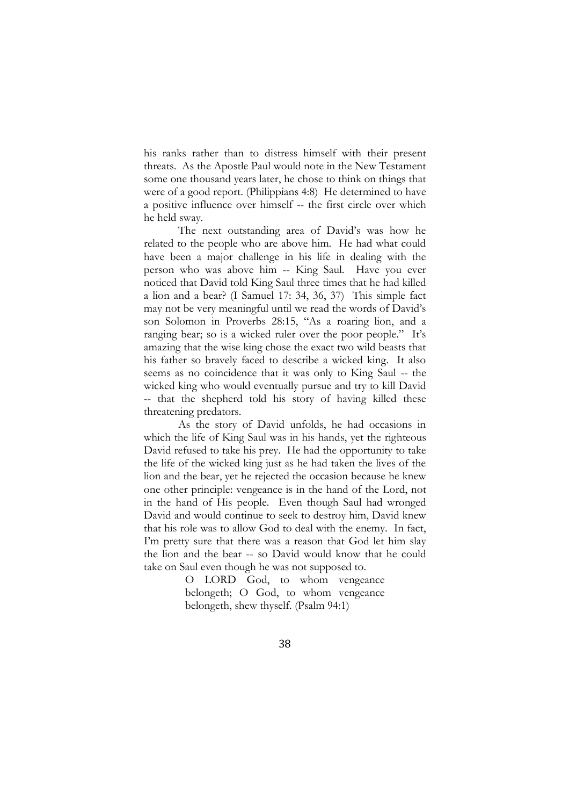his ranks rather than to distress himself with their present threats. As the Apostle Paul would note in the New Testament some one thousand years later, he chose to think on things that were of a good report. (Philippians 4:8) He determined to have a positive influence over himself -- the first circle over which he held sway.

The next outstanding area of David's was how he related to the people who are above him. He had what could have been a major challenge in his life in dealing with the person who was above him -- King Saul. Have you ever noticed that David told King Saul three times that he had killed a lion and a bear? (I Samuel 17: 34, 36, 37) This simple fact may not be very meaningful until we read the words of David's son Solomon in Proverbs 28:15, "As a roaring lion, and a ranging bear; so is a wicked ruler over the poor people." It's amazing that the wise king chose the exact two wild beasts that his father so bravely faced to describe a wicked king. It also seems as no coincidence that it was only to King Saul -- the wicked king who would eventually pursue and try to kill David -- that the shepherd told his story of having killed these threatening predators.

As the story of David unfolds, he had occasions in which the life of King Saul was in his hands, yet the righteous David refused to take his prey. He had the opportunity to take the life of the wicked king just as he had taken the lives of the lion and the bear, yet he rejected the occasion because he knew one other principle: vengeance is in the hand of the Lord, not in the hand of His people. Even though Saul had wronged David and would continue to seek to destroy him, David knew that his role was to allow God to deal with the enemy. In fact, I'm pretty sure that there was a reason that God let him slay the lion and the bear -- so David would know that he could take on Saul even though he was not supposed to.

> O LORD God, to whom vengeance belongeth; O God, to whom vengeance belongeth, shew thyself. (Psalm 94:1)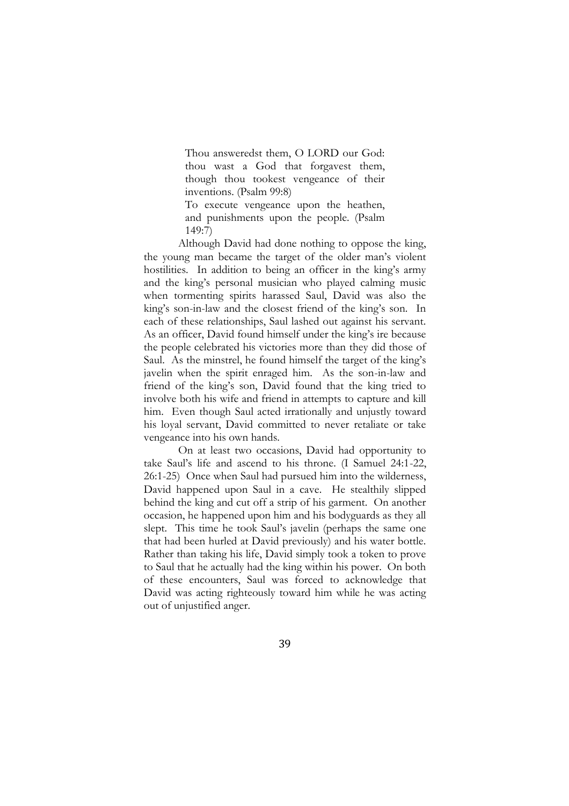Thou answeredst them, O LORD our God: thou wast a God that forgavest them, though thou tookest vengeance of their inventions. (Psalm 99:8)

To execute vengeance upon the heathen, and punishments upon the people. (Psalm 149:7)

Although David had done nothing to oppose the king, the young man became the target of the older man's violent hostilities. In addition to being an officer in the king's army and the king's personal musician who played calming music when tormenting spirits harassed Saul, David was also the king's son-in-law and the closest friend of the king's son. In each of these relationships, Saul lashed out against his servant. As an officer, David found himself under the king's ire because the people celebrated his victories more than they did those of Saul. As the minstrel, he found himself the target of the king's javelin when the spirit enraged him. As the son-in-law and friend of the king's son, David found that the king tried to involve both his wife and friend in attempts to capture and kill him. Even though Saul acted irrationally and unjustly toward his loyal servant, David committed to never retaliate or take vengeance into his own hands.

On at least two occasions, David had opportunity to take Saul's life and ascend to his throne. (I Samuel 24:1-22, 26:1-25) Once when Saul had pursued him into the wilderness, David happened upon Saul in a cave. He stealthily slipped behind the king and cut off a strip of his garment. On another occasion, he happened upon him and his bodyguards as they all slept. This time he took Saul's javelin (perhaps the same one that had been hurled at David previously) and his water bottle. Rather than taking his life, David simply took a token to prove to Saul that he actually had the king within his power. On both of these encounters, Saul was forced to acknowledge that David was acting righteously toward him while he was acting out of unjustified anger.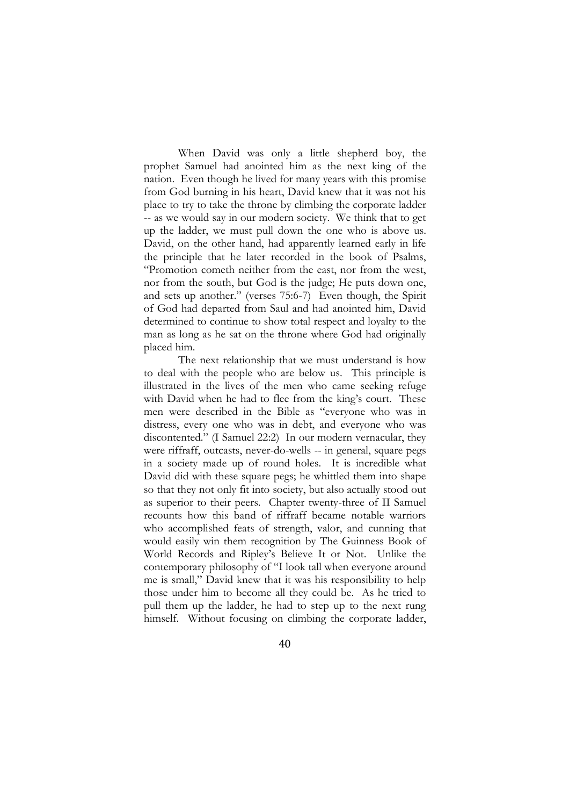When David was only a little shepherd boy, the prophet Samuel had anointed him as the next king of the nation. Even though he lived for many years with this promise from God burning in his heart, David knew that it was not his place to try to take the throne by climbing the corporate ladder -- as we would say in our modern society. We think that to get up the ladder, we must pull down the one who is above us. David, on the other hand, had apparently learned early in life the principle that he later recorded in the book of Psalms, "Promotion cometh neither from the east, nor from the west, nor from the south, but God is the judge; He puts down one, and sets up another." (verses 75:6-7) Even though, the Spirit of God had departed from Saul and had anointed him, David determined to continue to show total respect and loyalty to the man as long as he sat on the throne where God had originally placed him.

The next relationship that we must understand is how to deal with the people who are below us. This principle is illustrated in the lives of the men who came seeking refuge with David when he had to flee from the king's court. These men were described in the Bible as "everyone who was in distress, every one who was in debt, and everyone who was discontented." (I Samuel 22:2) In our modern vernacular, they were riffraff, outcasts, never-do-wells -- in general, square pegs in a society made up of round holes. It is incredible what David did with these square pegs; he whittled them into shape so that they not only fit into society, but also actually stood out as superior to their peers. Chapter twenty-three of II Samuel recounts how this band of riffraff became notable warriors who accomplished feats of strength, valor, and cunning that would easily win them recognition by The Guinness Book of World Records and Ripley's Believe It or Not. Unlike the contemporary philosophy of "I look tall when everyone around me is small," David knew that it was his responsibility to help those under him to become all they could be. As he tried to pull them up the ladder, he had to step up to the next rung himself. Without focusing on climbing the corporate ladder,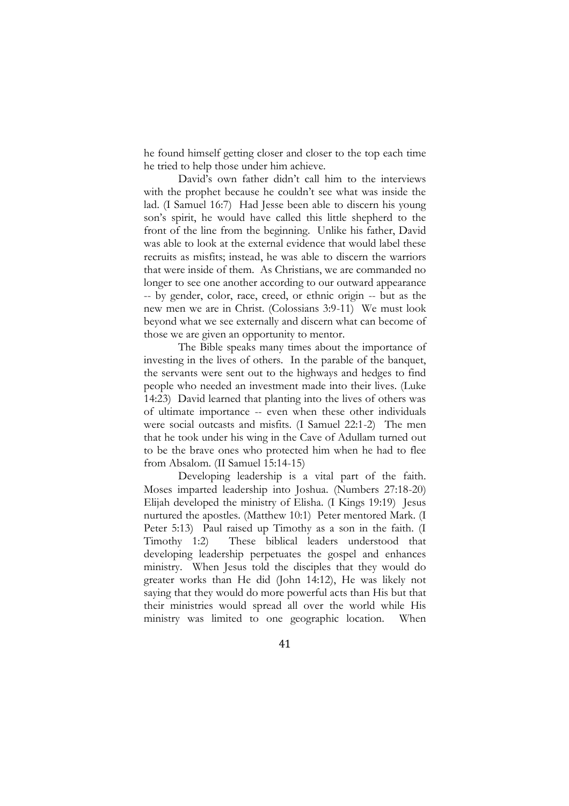he found himself getting closer and closer to the top each time he tried to help those under him achieve.

David's own father didn't call him to the interviews with the prophet because he couldn't see what was inside the lad. (I Samuel 16:7) Had Jesse been able to discern his young son's spirit, he would have called this little shepherd to the front of the line from the beginning. Unlike his father, David was able to look at the external evidence that would label these recruits as misfits; instead, he was able to discern the warriors that were inside of them. As Christians, we are commanded no longer to see one another according to our outward appearance -- by gender, color, race, creed, or ethnic origin -- but as the new men we are in Christ. (Colossians 3:9-11) We must look beyond what we see externally and discern what can become of those we are given an opportunity to mentor.

The Bible speaks many times about the importance of investing in the lives of others. In the parable of the banquet, the servants were sent out to the highways and hedges to find people who needed an investment made into their lives. (Luke 14:23) David learned that planting into the lives of others was of ultimate importance -- even when these other individuals were social outcasts and misfits. (I Samuel 22:1-2) The men that he took under his wing in the Cave of Adullam turned out to be the brave ones who protected him when he had to flee from Absalom. (II Samuel 15:14-15)

Developing leadership is a vital part of the faith. Moses imparted leadership into Joshua. (Numbers 27:18-20) Elijah developed the ministry of Elisha. (I Kings 19:19) Jesus nurtured the apostles. (Matthew 10:1) Peter mentored Mark. (I Peter 5:13) Paul raised up Timothy as a son in the faith. (I Timothy 1:2) These biblical leaders understood that developing leadership perpetuates the gospel and enhances ministry. When Jesus told the disciples that they would do greater works than He did (John 14:12), He was likely not saying that they would do more powerful acts than His but that their ministries would spread all over the world while His ministry was limited to one geographic location. When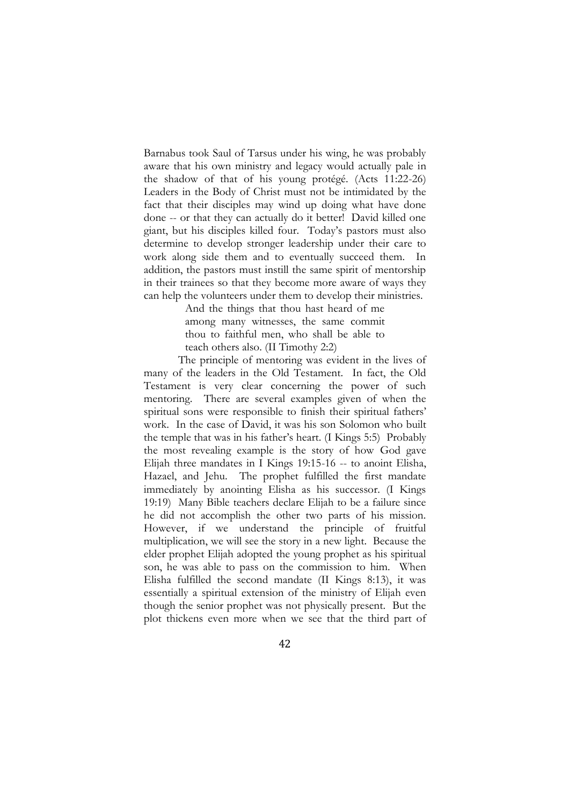Barnabus took Saul of Tarsus under his wing, he was probably aware that his own ministry and legacy would actually pale in the shadow of that of his young protégé. (Acts 11:22-26) Leaders in the Body of Christ must not be intimidated by the fact that their disciples may wind up doing what have done done -- or that they can actually do it better! David killed one giant, but his disciples killed four. Today's pastors must also determine to develop stronger leadership under their care to work along side them and to eventually succeed them. In addition, the pastors must instill the same spirit of mentorship in their trainees so that they become more aware of ways they can help the volunteers under them to develop their ministries.

> And the things that thou hast heard of me among many witnesses, the same commit thou to faithful men, who shall be able to teach others also. (II Timothy 2:2)

The principle of mentoring was evident in the lives of many of the leaders in the Old Testament. In fact, the Old Testament is very clear concerning the power of such mentoring. There are several examples given of when the spiritual sons were responsible to finish their spiritual fathers' work. In the case of David, it was his son Solomon who built the temple that was in his father's heart. (I Kings 5:5) Probably the most revealing example is the story of how God gave Elijah three mandates in I Kings 19:15-16 -- to anoint Elisha, Hazael, and Jehu. The prophet fulfilled the first mandate immediately by anointing Elisha as his successor. (I Kings 19:19) Many Bible teachers declare Elijah to be a failure since he did not accomplish the other two parts of his mission. However, if we understand the principle of fruitful multiplication, we will see the story in a new light. Because the elder prophet Elijah adopted the young prophet as his spiritual son, he was able to pass on the commission to him. When Elisha fulfilled the second mandate (II Kings 8:13), it was essentially a spiritual extension of the ministry of Elijah even though the senior prophet was not physically present. But the plot thickens even more when we see that the third part of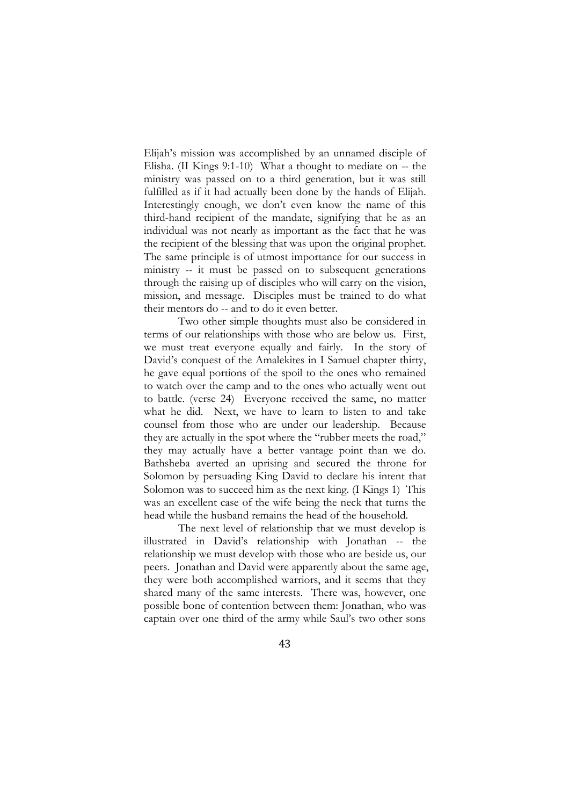Elijah's mission was accomplished by an unnamed disciple of Elisha. (II Kings 9:1-10) What a thought to mediate on -- the ministry was passed on to a third generation, but it was still fulfilled as if it had actually been done by the hands of Elijah. Interestingly enough, we don't even know the name of this third-hand recipient of the mandate, signifying that he as an individual was not nearly as important as the fact that he was the recipient of the blessing that was upon the original prophet. The same principle is of utmost importance for our success in ministry -- it must be passed on to subsequent generations through the raising up of disciples who will carry on the vision, mission, and message. Disciples must be trained to do what their mentors do -- and to do it even better.

Two other simple thoughts must also be considered in terms of our relationships with those who are below us. First, we must treat everyone equally and fairly. In the story of David's conquest of the Amalekites in I Samuel chapter thirty, he gave equal portions of the spoil to the ones who remained to watch over the camp and to the ones who actually went out to battle. (verse 24) Everyone received the same, no matter what he did. Next, we have to learn to listen to and take counsel from those who are under our leadership. Because they are actually in the spot where the "rubber meets the road," they may actually have a better vantage point than we do. Bathsheba averted an uprising and secured the throne for Solomon by persuading King David to declare his intent that Solomon was to succeed him as the next king. (I Kings 1) This was an excellent case of the wife being the neck that turns the head while the husband remains the head of the household.

The next level of relationship that we must develop is illustrated in David's relationship with Jonathan -- the relationship we must develop with those who are beside us, our peers. Jonathan and David were apparently about the same age, they were both accomplished warriors, and it seems that they shared many of the same interests. There was, however, one possible bone of contention between them: Jonathan, who was captain over one third of the army while Saul's two other sons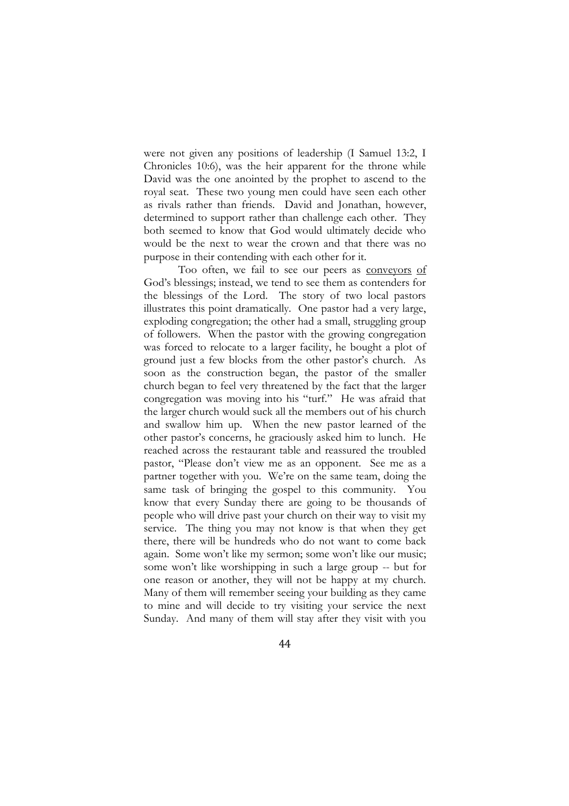were not given any positions of leadership (I Samuel 13:2, I Chronicles 10:6), was the heir apparent for the throne while David was the one anointed by the prophet to ascend to the royal seat. These two young men could have seen each other as rivals rather than friends. David and Jonathan, however, determined to support rather than challenge each other. They both seemed to know that God would ultimately decide who would be the next to wear the crown and that there was no purpose in their contending with each other for it.

Too often, we fail to see our peers as conveyors of God's blessings; instead, we tend to see them as contenders for the blessings of the Lord. The story of two local pastors illustrates this point dramatically. One pastor had a very large, exploding congregation; the other had a small, struggling group of followers. When the pastor with the growing congregation was forced to relocate to a larger facility, he bought a plot of ground just a few blocks from the other pastor's church. As soon as the construction began, the pastor of the smaller church began to feel very threatened by the fact that the larger congregation was moving into his "turf." He was afraid that the larger church would suck all the members out of his church and swallow him up. When the new pastor learned of the other pastor's concerns, he graciously asked him to lunch. He reached across the restaurant table and reassured the troubled pastor, "Please don't view me as an opponent. See me as a partner together with you. We're on the same team, doing the same task of bringing the gospel to this community. You know that every Sunday there are going to be thousands of people who will drive past your church on their way to visit my service. The thing you may not know is that when they get there, there will be hundreds who do not want to come back again. Some won't like my sermon; some won't like our music; some won't like worshipping in such a large group -- but for one reason or another, they will not be happy at my church. Many of them will remember seeing your building as they came to mine and will decide to try visiting your service the next Sunday. And many of them will stay after they visit with you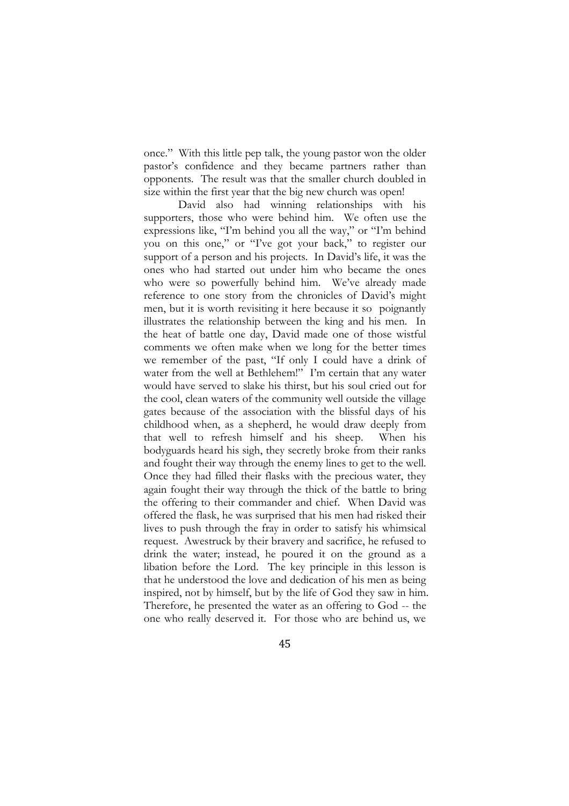once." With this little pep talk, the young pastor won the older pastor's confidence and they became partners rather than opponents. The result was that the smaller church doubled in size within the first year that the big new church was open!

David also had winning relationships with his supporters, those who were behind him. We often use the expressions like, "I'm behind you all the way," or "I'm behind you on this one," or "I've got your back," to register our support of a person and his projects. In David's life, it was the ones who had started out under him who became the ones who were so powerfully behind him. We've already made reference to one story from the chronicles of David's might men, but it is worth revisiting it here because it so poignantly illustrates the relationship between the king and his men. In the heat of battle one day, David made one of those wistful comments we often make when we long for the better times we remember of the past, "If only I could have a drink of water from the well at Bethlehem!" I'm certain that any water would have served to slake his thirst, but his soul cried out for the cool, clean waters of the community well outside the village gates because of the association with the blissful days of his childhood when, as a shepherd, he would draw deeply from that well to refresh himself and his sheep. When his bodyguards heard his sigh, they secretly broke from their ranks and fought their way through the enemy lines to get to the well. Once they had filled their flasks with the precious water, they again fought their way through the thick of the battle to bring the offering to their commander and chief. When David was offered the flask, he was surprised that his men had risked their lives to push through the fray in order to satisfy his whimsical request. Awestruck by their bravery and sacrifice, he refused to drink the water; instead, he poured it on the ground as a libation before the Lord. The key principle in this lesson is that he understood the love and dedication of his men as being inspired, not by himself, but by the life of God they saw in him. Therefore, he presented the water as an offering to God -- the one who really deserved it. For those who are behind us, we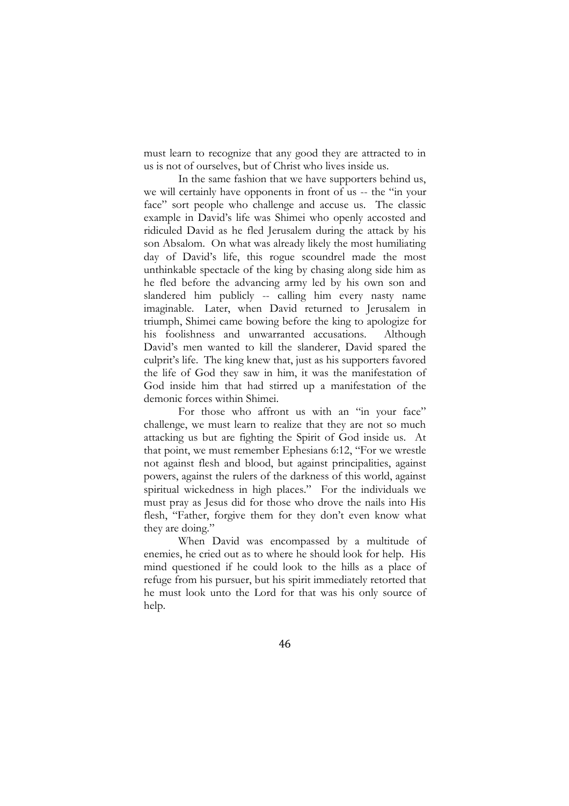must learn to recognize that any good they are attracted to in us is not of ourselves, but of Christ who lives inside us.

In the same fashion that we have supporters behind us, we will certainly have opponents in front of us -- the "in your face" sort people who challenge and accuse us. The classic example in David's life was Shimei who openly accosted and ridiculed David as he fled Jerusalem during the attack by his son Absalom. On what was already likely the most humiliating day of David's life, this rogue scoundrel made the most unthinkable spectacle of the king by chasing along side him as he fled before the advancing army led by his own son and slandered him publicly -- calling him every nasty name imaginable. Later, when David returned to Jerusalem in triumph, Shimei came bowing before the king to apologize for his foolishness and unwarranted accusations. Although David's men wanted to kill the slanderer, David spared the culprit's life. The king knew that, just as his supporters favored the life of God they saw in him, it was the manifestation of God inside him that had stirred up a manifestation of the demonic forces within Shimei.

For those who affront us with an "in your face" challenge, we must learn to realize that they are not so much attacking us but are fighting the Spirit of God inside us. At that point, we must remember Ephesians 6:12, "For we wrestle not against flesh and blood, but against principalities, against powers, against the rulers of the darkness of this world, against spiritual wickedness in high places." For the individuals we must pray as Jesus did for those who drove the nails into His flesh, "Father, forgive them for they don't even know what they are doing."

When David was encompassed by a multitude of enemies, he cried out as to where he should look for help. His mind questioned if he could look to the hills as a place of refuge from his pursuer, but his spirit immediately retorted that he must look unto the Lord for that was his only source of help.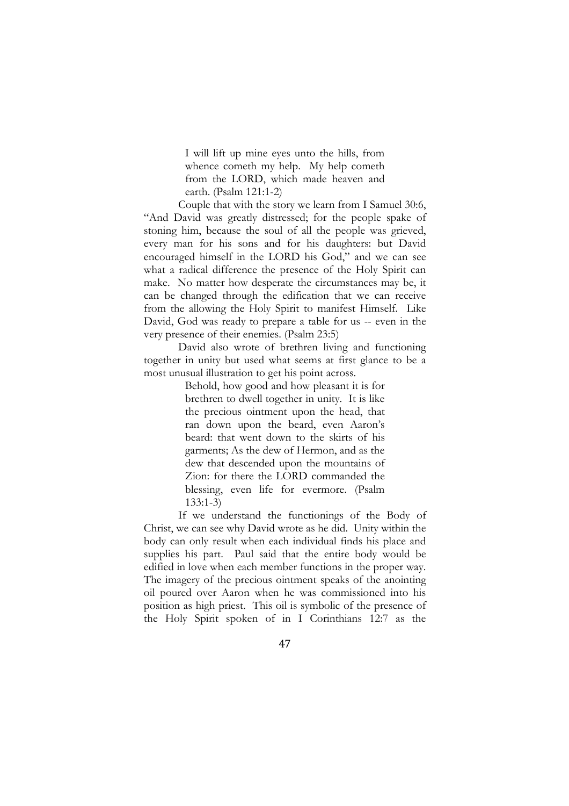I will lift up mine eyes unto the hills, from whence cometh my help. My help cometh from the LORD, which made heaven and earth. (Psalm 121:1-2)

Couple that with the story we learn from I Samuel 30:6, "And David was greatly distressed; for the people spake of stoning him, because the soul of all the people was grieved, every man for his sons and for his daughters: but David encouraged himself in the LORD his God," and we can see what a radical difference the presence of the Holy Spirit can make. No matter how desperate the circumstances may be, it can be changed through the edification that we can receive from the allowing the Holy Spirit to manifest Himself. Like David, God was ready to prepare a table for us -- even in the very presence of their enemies. (Psalm 23:5)

David also wrote of brethren living and functioning together in unity but used what seems at first glance to be a most unusual illustration to get his point across.

> Behold, how good and how pleasant it is for brethren to dwell together in unity. It is like the precious ointment upon the head, that ran down upon the beard, even Aaron's beard: that went down to the skirts of his garments; As the dew of Hermon, and as the dew that descended upon the mountains of Zion: for there the LORD commanded the blessing, even life for evermore. (Psalm 133:1-3)

If we understand the functionings of the Body of Christ, we can see why David wrote as he did. Unity within the body can only result when each individual finds his place and supplies his part. Paul said that the entire body would be edified in love when each member functions in the proper way. The imagery of the precious ointment speaks of the anointing oil poured over Aaron when he was commissioned into his position as high priest. This oil is symbolic of the presence of the Holy Spirit spoken of in I Corinthians 12:7 as the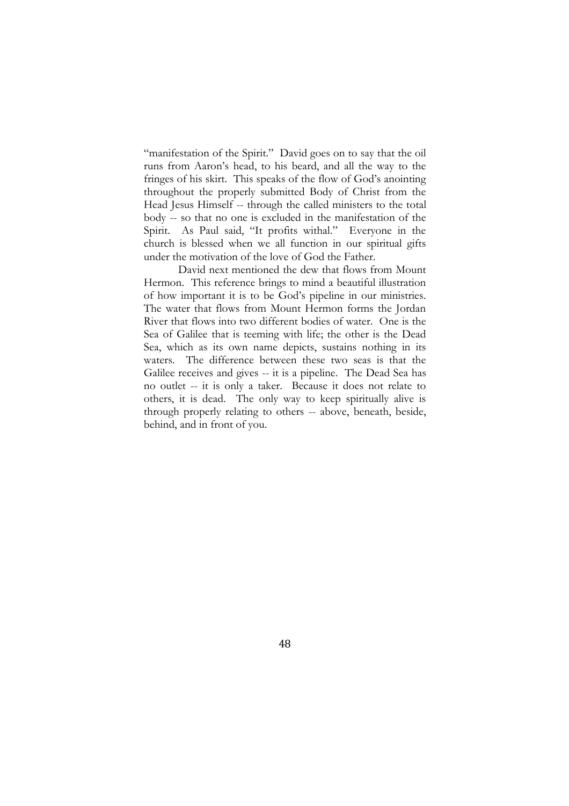"manifestation of the Spirit." David goes on to say that the oil runs from Aaron's head, to his beard, and all the way to the fringes of his skirt. This speaks of the flow of God's anointing throughout the properly submitted Body of Christ from the Head Jesus Himself -- through the called ministers to the total body -- so that no one is excluded in the manifestation of the Spirit. As Paul said, "It profits withal." Everyone in the church is blessed when we all function in our spiritual gifts under the motivation of the love of God the Father.

David next mentioned the dew that flows from Mount Hermon. This reference brings to mind a beautiful illustration of how important it is to be God's pipeline in our ministries. The water that flows from Mount Hermon forms the Jordan River that flows into two different bodies of water. One is the Sea of Galilee that is teeming with life; the other is the Dead Sea, which as its own name depicts, sustains nothing in its waters. The difference between these two seas is that the Galilee receives and gives -- it is a pipeline. The Dead Sea has no outlet -- it is only a taker. Because it does not relate to others, it is dead. The only way to keep spiritually alive is through properly relating to others -- above, beneath, beside, behind, and in front of you.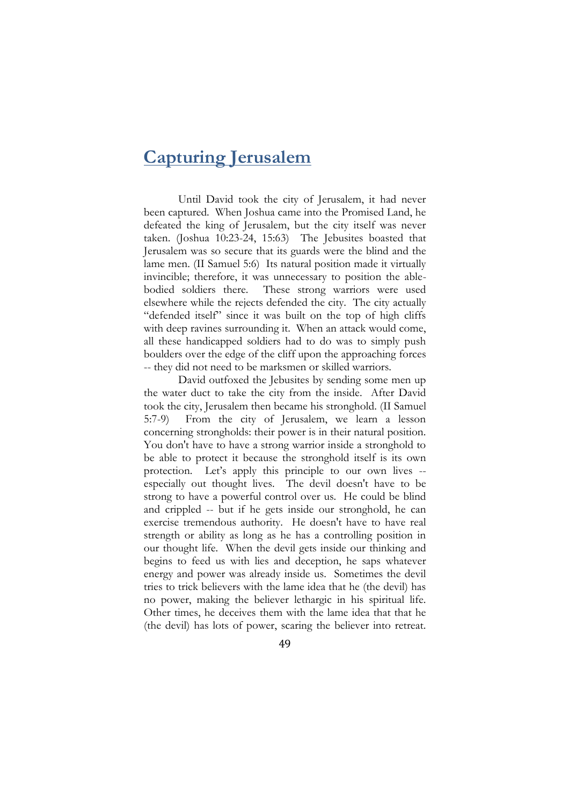# **Capturing Jerusalem**

Until David took the city of Jerusalem, it had never been captured. When Joshua came into the Promised Land, he defeated the king of Jerusalem, but the city itself was never taken. (Joshua 10:23-24, 15:63) The Jebusites boasted that Jerusalem was so secure that its guards were the blind and the lame men. (II Samuel 5:6) Its natural position made it virtually invincible; therefore, it was unnecessary to position the ablebodied soldiers there. These strong warriors were used elsewhere while the rejects defended the city. The city actually "defended itself" since it was built on the top of high cliffs with deep ravines surrounding it. When an attack would come, all these handicapped soldiers had to do was to simply push boulders over the edge of the cliff upon the approaching forces -- they did not need to be marksmen or skilled warriors.

David outfoxed the Jebusites by sending some men up the water duct to take the city from the inside. After David took the city, Jerusalem then became his stronghold. (II Samuel 5:7-9) From the city of Jerusalem, we learn a lesson concerning strongholds: their power is in their natural position. You don't have to have a strong warrior inside a stronghold to be able to protect it because the stronghold itself is its own protection. Let's apply this principle to our own lives - especially out thought lives. The devil doesn't have to be strong to have a powerful control over us. He could be blind and crippled -- but if he gets inside our stronghold, he can exercise tremendous authority. He doesn't have to have real strength or ability as long as he has a controlling position in our thought life. When the devil gets inside our thinking and begins to feed us with lies and deception, he saps whatever energy and power was already inside us. Sometimes the devil tries to trick believers with the lame idea that he (the devil) has no power, making the believer lethargic in his spiritual life. Other times, he deceives them with the lame idea that that he (the devil) has lots of power, scaring the believer into retreat.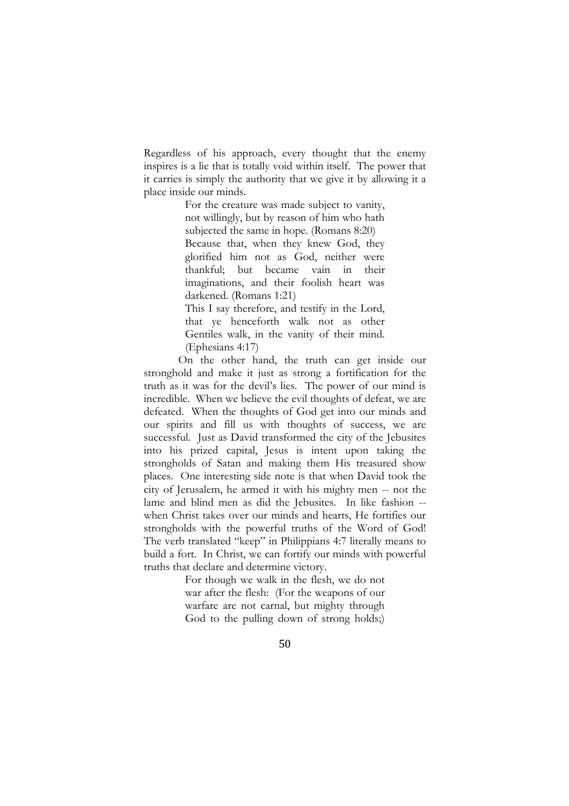Regardless of his approach, every thought that the enemy inspires is a lie that is totally void within itself. The power that it carries is simply the authority that we give it by allowing it a place inside our minds.

> For the creature was made subject to vanity, not willingly, but by reason of him who hath subjected the same in hope. (Romans 8:20) Because that, when they knew God, they glorified him not as God, neither were thankful; but became vain in their imaginations, and their foolish heart was darkened. (Romans 1:21) This I say therefore, and testify in the Lord,

> that ye henceforth walk not as other Gentiles walk, in the vanity of their mind. (Ephesians 4:17)

On the other hand, the truth can get inside our stronghold and make it just as strong a fortification for the truth as it was for the devil's lies. The power of our mind is incredible. When we believe the evil thoughts of defeat, we are defeated. When the thoughts of God get into our minds and our spirits and fill us with thoughts of success, we are successful. Just as David transformed the city of the Jebusites into his prized capital, Jesus is intent upon taking the strongholds of Satan and making them His treasured show places. One interesting side note is that when David took the city of Jerusalem, he armed it with his mighty men -- not the lame and blind men as did the Jebusites. In like fashion - when Christ takes over our minds and hearts, He fortifies our strongholds with the powerful truths of the Word of God! The verb translated "keep" in Philippians 4:7 literally means to build a fort. In Christ, we can fortify our minds with powerful truths that declare and determine victory.

> For though we walk in the flesh, we do not war after the flesh: (For the weapons of our warfare are not carnal, but mighty through God to the pulling down of strong holds;)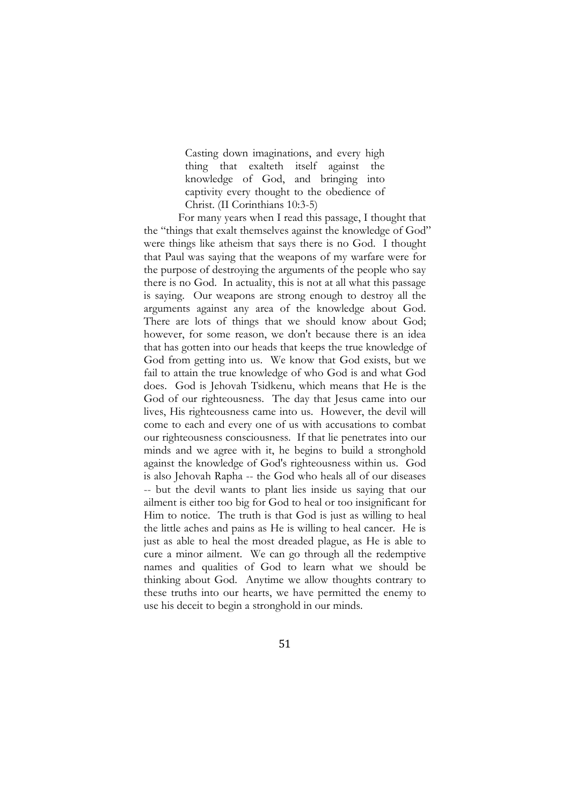Casting down imaginations, and every high thing that exalteth itself against the knowledge of God, and bringing into captivity every thought to the obedience of Christ. (II Corinthians 10:3-5)

For many years when I read this passage, I thought that the "things that exalt themselves against the knowledge of God" were things like atheism that says there is no God. I thought that Paul was saying that the weapons of my warfare were for the purpose of destroying the arguments of the people who say there is no God. In actuality, this is not at all what this passage is saying. Our weapons are strong enough to destroy all the arguments against any area of the knowledge about God. There are lots of things that we should know about God: however, for some reason, we don't because there is an idea that has gotten into our heads that keeps the true knowledge of God from getting into us. We know that God exists, but we fail to attain the true knowledge of who God is and what God does. God is Jehovah Tsidkenu, which means that He is the God of our righteousness. The day that Jesus came into our lives, His righteousness came into us. However, the devil will come to each and every one of us with accusations to combat our righteousness consciousness. If that lie penetrates into our minds and we agree with it, he begins to build a stronghold against the knowledge of God's righteousness within us. God is also Jehovah Rapha -- the God who heals all of our diseases -- but the devil wants to plant lies inside us saying that our ailment is either too big for God to heal or too insignificant for Him to notice. The truth is that God is just as willing to heal the little aches and pains as He is willing to heal cancer. He is just as able to heal the most dreaded plague, as He is able to cure a minor ailment. We can go through all the redemptive names and qualities of God to learn what we should be thinking about God. Anytime we allow thoughts contrary to these truths into our hearts, we have permitted the enemy to use his deceit to begin a stronghold in our minds.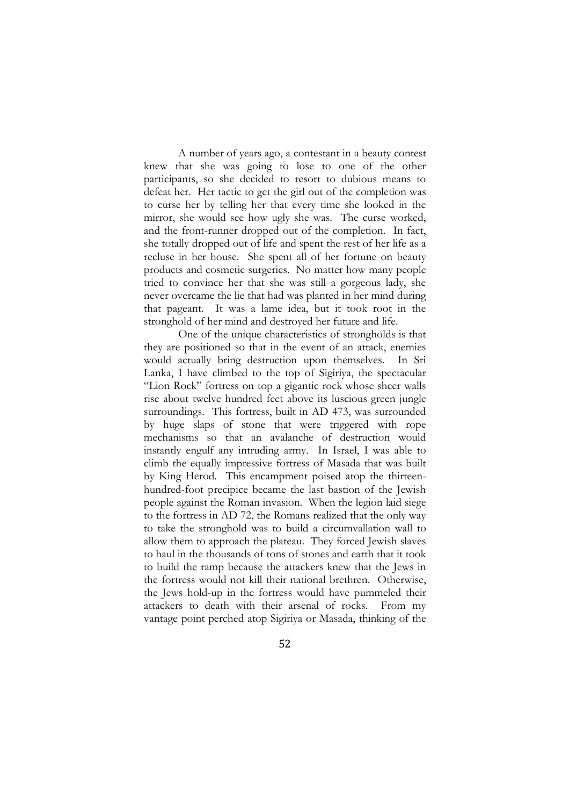A number of years ago, a contestant in a beauty contest knew that she was going to lose to one of the other participants, so she decided to resort to dubious means to defeat her. Her tactic to get the girl out of the completion was to curse her by telling her that every time she looked in the mirror, she would see how ugly she was. The curse worked, and the front-runner dropped out of the completion. In fact, she totally dropped out of life and spent the rest of her life as a recluse in her house. She spent all of her fortune on beauty products and cosmetic surgeries. No matter how many people tried to convince her that she was still a gorgeous lady, she never overcame the lie that had was planted in her mind during that pageant. It was a lame idea, but it took root in the stronghold of her mind and destroyed her future and life.

One of the unique characteristics of strongholds is that they are positioned so that in the event of an attack, enemies would actually bring destruction upon themselves. In Sri Lanka, I have climbed to the top of Sigiriya, the spectacular "Lion Rock" fortress on top a gigantic rock whose sheer walls rise about twelve hundred feet above its luscious green jungle surroundings. This fortress, built in AD 473, was surrounded by huge slaps of stone that were triggered with rope mechanisms so that an avalanche of destruction would instantly engulf any intruding army. In Israel, I was able to climb the equally impressive fortress of Masada that was built by King Herod. This encampment poised atop the thirteenhundred-foot precipice became the last bastion of the Jewish people against the Roman invasion. When the [legion](http://en.wikipedia.org/wiki/Roman_legion) laid siege to the fortress in AD 72, the Romans realized that the only way to take the stronghold was to build a [circumvallation](http://en.wikipedia.org/wiki/Circumvallation) wall to allow them to approach the plateau. They forced Jewish slaves to haul in the thousands of tons of stones and earth that it took to build the ramp because the attackers knew that the Jews in the fortress would not kill their national brethren. Otherwise, the Jews hold-up in the fortress would have pummeled their attackers to death with their arsenal of rocks. From my vantage point perched atop Sigiriya or Masada, thinking of the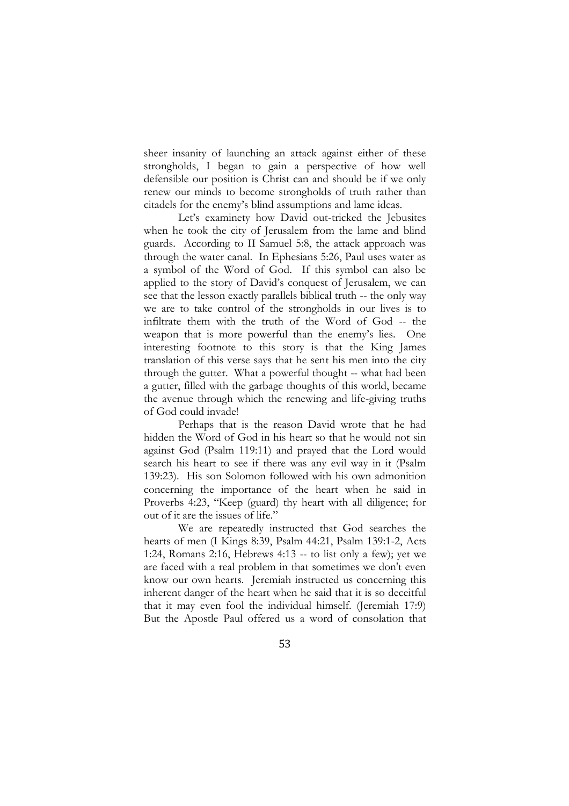sheer insanity of launching an attack against either of these strongholds, I began to gain a perspective of how well defensible our position is Christ can and should be if we only renew our minds to become strongholds of truth rather than citadels for the enemy's blind assumptions and lame ideas.

Let's examinety how David out-tricked the Jebusites when he took the city of Jerusalem from the lame and blind guards. According to II Samuel 5:8, the attack approach was through the water canal. In Ephesians 5:26, Paul uses water as a symbol of the Word of God. If this symbol can also be applied to the story of David's conquest of Jerusalem, we can see that the lesson exactly parallels biblical truth -- the only way we are to take control of the strongholds in our lives is to infiltrate them with the truth of the Word of God -- the weapon that is more powerful than the enemy's lies. One interesting footnote to this story is that the King James translation of this verse says that he sent his men into the city through the gutter. What a powerful thought -- what had been a gutter, filled with the garbage thoughts of this world, became the avenue through which the renewing and life-giving truths of God could invade!

Perhaps that is the reason David wrote that he had hidden the Word of God in his heart so that he would not sin against God (Psalm 119:11) and prayed that the Lord would search his heart to see if there was any evil way in it (Psalm 139:23). His son Solomon followed with his own admonition concerning the importance of the heart when he said in Proverbs 4:23, "Keep (guard) thy heart with all diligence; for out of it are the issues of life."

We are repeatedly instructed that God searches the hearts of men (I Kings 8:39, Psalm 44:21, Psalm 139:1-2, Acts 1:24, Romans 2:16, Hebrews 4:13 -- to list only a few); yet we are faced with a real problem in that sometimes we don't even know our own hearts. Jeremiah instructed us concerning this inherent danger of the heart when he said that it is so deceitful that it may even fool the individual himself. (Jeremiah 17:9) But the Apostle Paul offered us a word of consolation that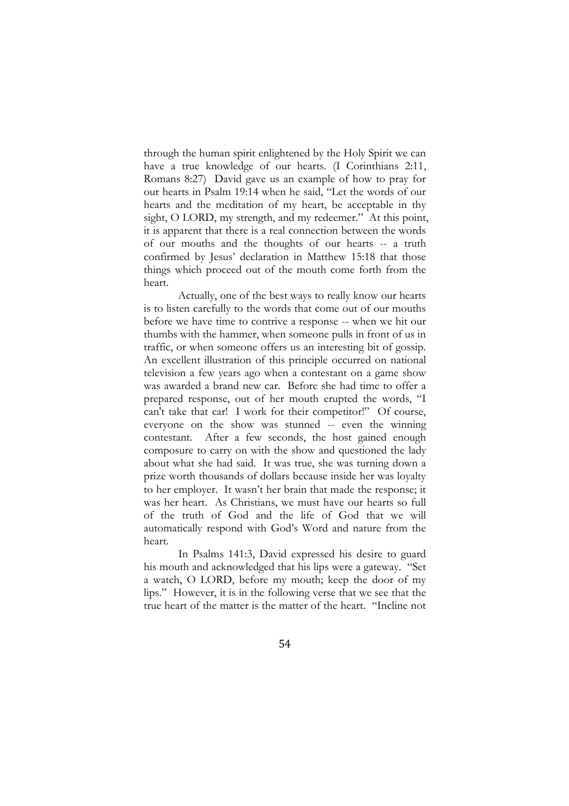through the human spirit enlightened by the Holy Spirit we can have a true knowledge of our hearts. (I Corinthians 2:11, Romans 8:27) David gave us an example of how to pray for our hearts in Psalm 19:14 when he said, "Let the words of our hearts and the meditation of my heart, be acceptable in thy sight, O LORD, my strength, and my redeemer." At this point, it is apparent that there is a real connection between the words of our mouths and the thoughts of our hearts -- a truth confirmed by Jesus' declaration in Matthew 15:18 that those things which proceed out of the mouth come forth from the heart.

Actually, one of the best ways to really know our hearts is to listen carefully to the words that come out of our mouths before we have time to contrive a response -- when we hit our thumbs with the hammer, when someone pulls in front of us in traffic, or when someone offers us an interesting bit of gossip. An excellent illustration of this principle occurred on national television a few years ago when a contestant on a game show was awarded a brand new car. Before she had time to offer a prepared response, out of her mouth erupted the words, "I can't take that car! I work for their competitor!" Of course, everyone on the show was stunned -- even the winning contestant. After a few seconds, the host gained enough composure to carry on with the show and questioned the lady about what she had said. It was true, she was turning down a prize worth thousands of dollars because inside her was loyalty to her employer. It wasn't her brain that made the response; it was her heart. As Christians, we must have our hearts so full of the truth of God and the life of God that we will automatically respond with God's Word and nature from the heart.

In Psalms 141:3, David expressed his desire to guard his mouth and acknowledged that his lips were a gateway. "Set a watch, O LORD, before my mouth; keep the door of my lips." However, it is in the following verse that we see that the true heart of the matter is the matter of the heart. "Incline not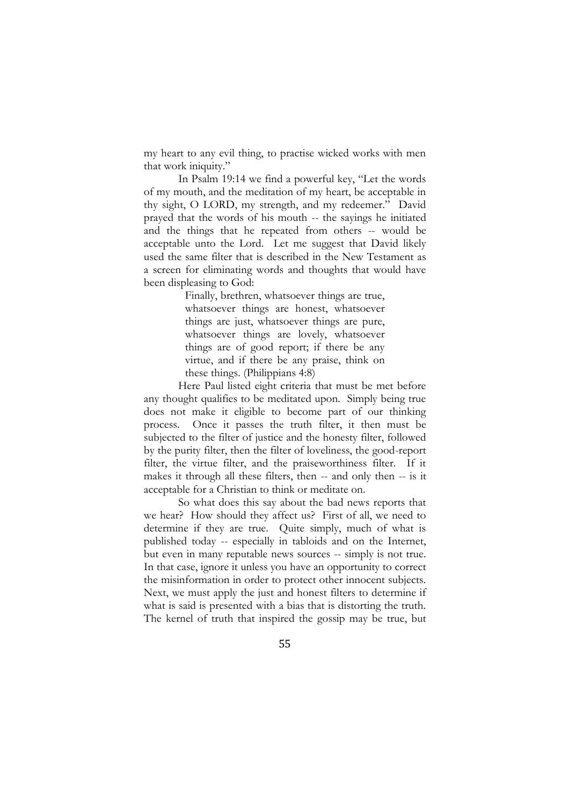my heart to any evil thing, to practise wicked works with men that work iniquity."

In Psalm 19:14 we find a powerful key, "Let the words of my mouth, and the meditation of my heart, be acceptable in thy sight, O LORD, my strength, and my redeemer." David prayed that the words of his mouth -- the sayings he initiated and the things that he repeated from others -- would be acceptable unto the Lord. Let me suggest that David likely used the same filter that is described in the New Testament as a screen for eliminating words and thoughts that would have been displeasing to God:

> Finally, brethren, whatsoever things are true, whatsoever things are honest, whatsoever things are just, whatsoever things are pure, whatsoever things are lovely, whatsoever things are of good report; if there be any virtue, and if there be any praise, think on these things. (Philippians 4:8)

Here Paul listed eight criteria that must be met before any thought qualifies to be meditated upon. Simply being true does not make it eligible to become part of our thinking process. Once it passes the truth filter, it then must be subjected to the filter of justice and the honesty filter, followed by the purity filter, then the filter of loveliness, the good-report filter, the virtue filter, and the praiseworthiness filter. If it makes it through all these filters, then -- and only then -- is it acceptable for a Christian to think or meditate on.

So what does this say about the bad news reports that we hear? How should they affect us? First of all, we need to determine if they are true. Quite simply, much of what is published today -- especially in tabloids and on the Internet, but even in many reputable news sources -- simply is not true. In that case, ignore it unless you have an opportunity to correct the misinformation in order to protect other innocent subjects. Next, we must apply the just and honest filters to determine if what is said is presented with a bias that is distorting the truth. The kernel of truth that inspired the gossip may be true, but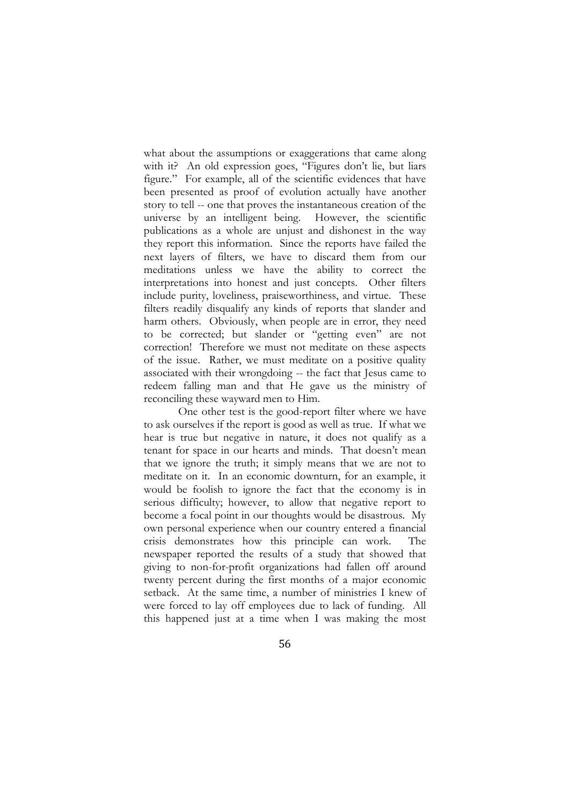what about the assumptions or exaggerations that came along with it? An old expression goes, "Figures don't lie, but liars figure." For example, all of the scientific evidences that have been presented as proof of evolution actually have another story to tell -- one that proves the instantaneous creation of the universe by an intelligent being. However, the scientific publications as a whole are unjust and dishonest in the way they report this information. Since the reports have failed the next layers of filters, we have to discard them from our meditations unless we have the ability to correct the interpretations into honest and just concepts. Other filters include purity, loveliness, praiseworthiness, and virtue. These filters readily disqualify any kinds of reports that slander and harm others. Obviously, when people are in error, they need to be corrected; but slander or "getting even" are not correction! Therefore we must not meditate on these aspects of the issue. Rather, we must meditate on a positive quality associated with their wrongdoing -- the fact that Jesus came to redeem falling man and that He gave us the ministry of reconciling these wayward men to Him.

One other test is the good-report filter where we have to ask ourselves if the report is good as well as true. If what we hear is true but negative in nature, it does not qualify as a tenant for space in our hearts and minds. That doesn't mean that we ignore the truth; it simply means that we are not to meditate on it. In an economic downturn, for an example, it would be foolish to ignore the fact that the economy is in serious difficulty; however, to allow that negative report to become a focal point in our thoughts would be disastrous. My own personal experience when our country entered a financial crisis demonstrates how this principle can work. The newspaper reported the results of a study that showed that giving to non-for-profit organizations had fallen off around twenty percent during the first months of a major economic setback. At the same time, a number of ministries I knew of were forced to lay off employees due to lack of funding. All this happened just at a time when I was making the most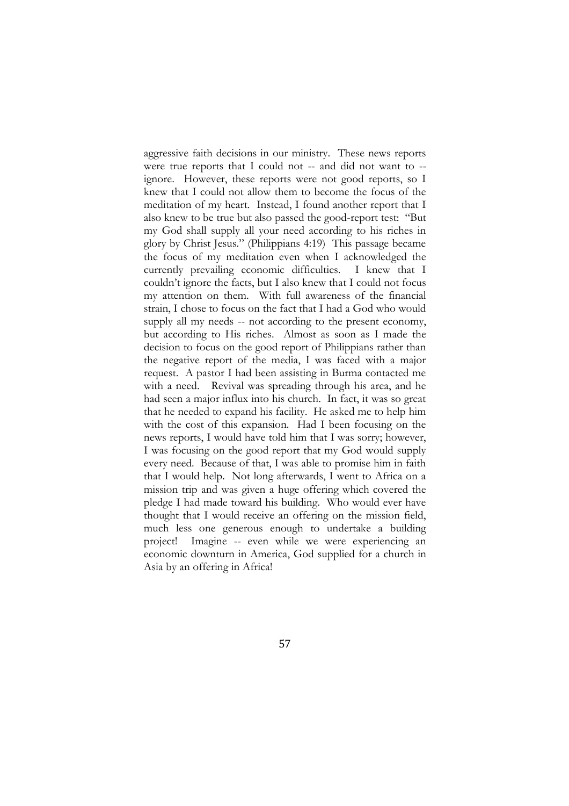aggressive faith decisions in our ministry. These news reports were true reports that I could not -- and did not want to -ignore. However, these reports were not good reports, so I knew that I could not allow them to become the focus of the meditation of my heart. Instead, I found another report that I also knew to be true but also passed the good-report test: "But my God shall supply all your need according to his riches in glory by Christ Jesus." (Philippians 4:19) This passage became the focus of my meditation even when I acknowledged the currently prevailing economic difficulties. I knew that I couldn't ignore the facts, but I also knew that I could not focus my attention on them. With full awareness of the financial strain, I chose to focus on the fact that I had a God who would supply all my needs -- not according to the present economy, but according to His riches. Almost as soon as I made the decision to focus on the good report of Philippians rather than the negative report of the media, I was faced with a major request. A pastor I had been assisting in Burma contacted me with a need. Revival was spreading through his area, and he had seen a major influx into his church. In fact, it was so great that he needed to expand his facility. He asked me to help him with the cost of this expansion. Had I been focusing on the news reports, I would have told him that I was sorry; however, I was focusing on the good report that my God would supply every need. Because of that, I was able to promise him in faith that I would help. Not long afterwards, I went to Africa on a mission trip and was given a huge offering which covered the pledge I had made toward his building. Who would ever have thought that I would receive an offering on the mission field, much less one generous enough to undertake a building project! Imagine -- even while we were experiencing an economic downturn in America, God supplied for a church in Asia by an offering in Africa!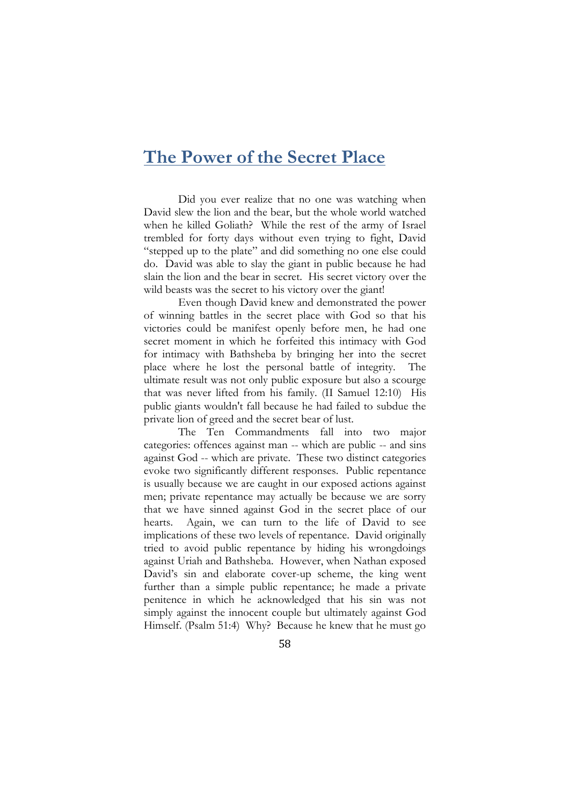### **The Power of the Secret Place**

Did you ever realize that no one was watching when David slew the lion and the bear, but the whole world watched when he killed Goliath? While the rest of the army of Israel trembled for forty days without even trying to fight, David "stepped up to the plate" and did something no one else could do. David was able to slay the giant in public because he had slain the lion and the bear in secret. His secret victory over the wild beasts was the secret to his victory over the giant!

Even though David knew and demonstrated the power of winning battles in the secret place with God so that his victories could be manifest openly before men, he had one secret moment in which he forfeited this intimacy with God for intimacy with Bathsheba by bringing her into the secret place where he lost the personal battle of integrity. The ultimate result was not only public exposure but also a scourge that was never lifted from his family. (II Samuel 12:10) His public giants wouldn't fall because he had failed to subdue the private lion of greed and the secret bear of lust.

The Ten Commandments fall into two major categories: offences against man -- which are public -- and sins against God -- which are private. These two distinct categories evoke two significantly different responses. Public repentance is usually because we are caught in our exposed actions against men; private repentance may actually be because we are sorry that we have sinned against God in the secret place of our hearts. Again, we can turn to the life of David to see implications of these two levels of repentance. David originally tried to avoid public repentance by hiding his wrongdoings against Uriah and Bathsheba. However, when Nathan exposed David's sin and elaborate cover-up scheme, the king went further than a simple public repentance; he made a private penitence in which he acknowledged that his sin was not simply against the innocent couple but ultimately against God Himself. (Psalm 51:4) Why? Because he knew that he must go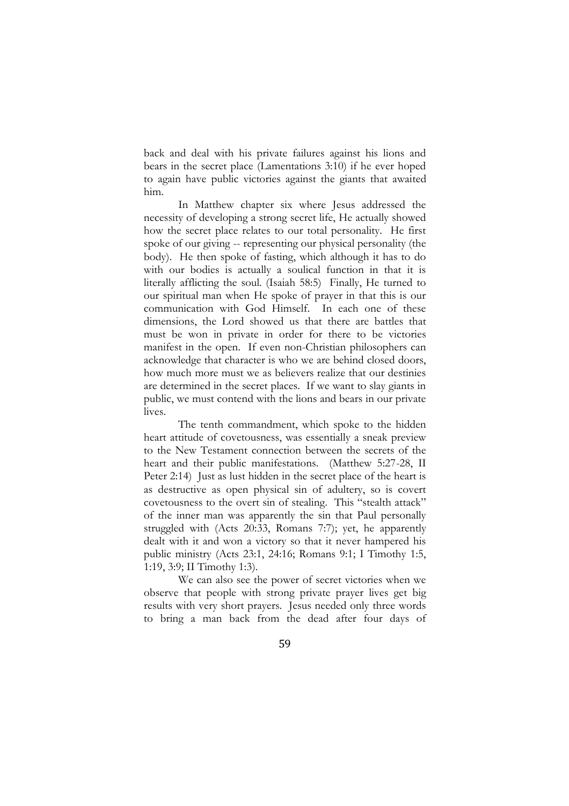back and deal with his private failures against his lions and bears in the secret place (Lamentations 3:10) if he ever hoped to again have public victories against the giants that awaited him.

In Matthew chapter six where Jesus addressed the necessity of developing a strong secret life, He actually showed how the secret place relates to our total personality. He first spoke of our giving -- representing our physical personality (the body). He then spoke of fasting, which although it has to do with our bodies is actually a soulical function in that it is literally afflicting the soul. (Isaiah 58:5) Finally, He turned to our spiritual man when He spoke of prayer in that this is our communication with God Himself. In each one of these dimensions, the Lord showed us that there are battles that must be won in private in order for there to be victories manifest in the open. If even non-Christian philosophers can acknowledge that character is who we are behind closed doors, how much more must we as believers realize that our destinies are determined in the secret places. If we want to slay giants in public, we must contend with the lions and bears in our private lives.

The tenth commandment, which spoke to the hidden heart attitude of covetousness, was essentially a sneak preview to the New Testament connection between the secrets of the heart and their public manifestations. (Matthew 5:27-28, II Peter 2:14) Just as lust hidden in the secret place of the heart is as destructive as open physical sin of adultery, so is covert covetousness to the overt sin of stealing. This "stealth attack" of the inner man was apparently the sin that Paul personally struggled with (Acts 20:33, Romans 7:7); yet, he apparently dealt with it and won a victory so that it never hampered his public ministry (Acts 23:1, 24:16; Romans 9:1; I Timothy 1:5, 1:19, 3:9; II Timothy 1:3).

We can also see the power of secret victories when we observe that people with strong private prayer lives get big results with very short prayers. Jesus needed only three words to bring a man back from the dead after four days of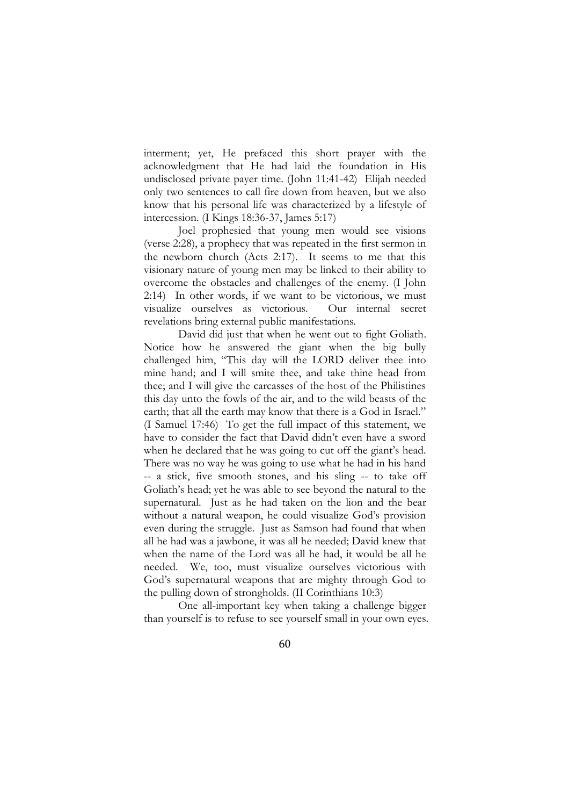interment; yet, He prefaced this short prayer with the acknowledgment that He had laid the foundation in His undisclosed private payer time. (John 11:41-42) Elijah needed only two sentences to call fire down from heaven, but we also know that his personal life was characterized by a lifestyle of intercession. (I Kings 18:36-37, James 5:17)

Joel prophesied that young men would see visions (verse 2:28), a prophecy that was repeated in the first sermon in the newborn church (Acts 2:17). It seems to me that this visionary nature of young men may be linked to their ability to overcome the obstacles and challenges of the enemy. (I John 2:14) In other words, if we want to be victorious, we must visualize ourselves as victorious. Our internal secret revelations bring external public manifestations.

David did just that when he went out to fight Goliath. Notice how he answered the giant when the big bully challenged him, "This day will the LORD deliver thee into mine hand; and I will smite thee, and take thine head from thee; and I will give the carcasses of the host of the Philistines this day unto the fowls of the air, and to the wild beasts of the earth; that all the earth may know that there is a God in Israel." (I Samuel 17:46) To get the full impact of this statement, we have to consider the fact that David didn't even have a sword when he declared that he was going to cut off the giant's head. There was no way he was going to use what he had in his hand -- a stick, five smooth stones, and his sling -- to take off Goliath's head; yet he was able to see beyond the natural to the supernatural. Just as he had taken on the lion and the bear without a natural weapon, he could visualize God's provision even during the struggle. Just as Samson had found that when all he had was a jawbone, it was all he needed; David knew that when the name of the Lord was all he had, it would be all he needed. We, too, must visualize ourselves victorious with God's supernatural weapons that are mighty through God to the pulling down of strongholds. (II Corinthians 10:3)

One all-important key when taking a challenge bigger than yourself is to refuse to see yourself small in your own eyes.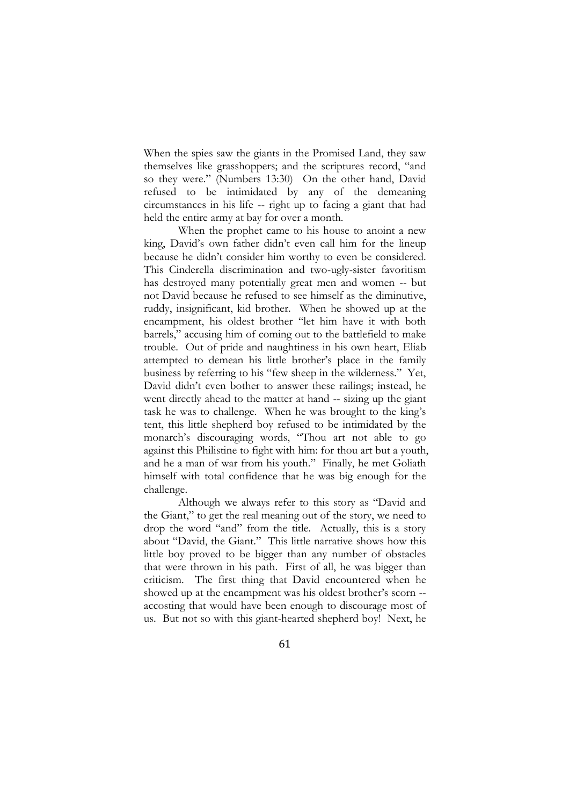When the spies saw the giants in the Promised Land, they saw themselves like grasshoppers; and the scriptures record, "and so they were." (Numbers 13:30) On the other hand, David refused to be intimidated by any of the demeaning circumstances in his life -- right up to facing a giant that had held the entire army at bay for over a month.

When the prophet came to his house to anoint a new king, David's own father didn't even call him for the lineup because he didn't consider him worthy to even be considered. This Cinderella discrimination and two-ugly-sister favoritism has destroyed many potentially great men and women -- but not David because he refused to see himself as the diminutive, ruddy, insignificant, kid brother. When he showed up at the encampment, his oldest brother "let him have it with both barrels," accusing him of coming out to the battlefield to make trouble. Out of pride and naughtiness in his own heart, Eliab attempted to demean his little brother's place in the family business by referring to his "few sheep in the wilderness." Yet, David didn't even bother to answer these railings; instead, he went directly ahead to the matter at hand -- sizing up the giant task he was to challenge. When he was brought to the king's tent, this little shepherd boy refused to be intimidated by the monarch's discouraging words, "Thou art not able to go against this Philistine to fight with him: for thou art but a youth, and he a man of war from his youth." Finally, he met Goliath himself with total confidence that he was big enough for the challenge.

Although we always refer to this story as "David and the Giant," to get the real meaning out of the story, we need to drop the word "and" from the title. Actually, this is a story about "David, the Giant." This little narrative shows how this little boy proved to be bigger than any number of obstacles that were thrown in his path. First of all, he was bigger than criticism. The first thing that David encountered when he showed up at the encampment was his oldest brother's scorn - accosting that would have been enough to discourage most of us. But not so with this giant-hearted shepherd boy! Next, he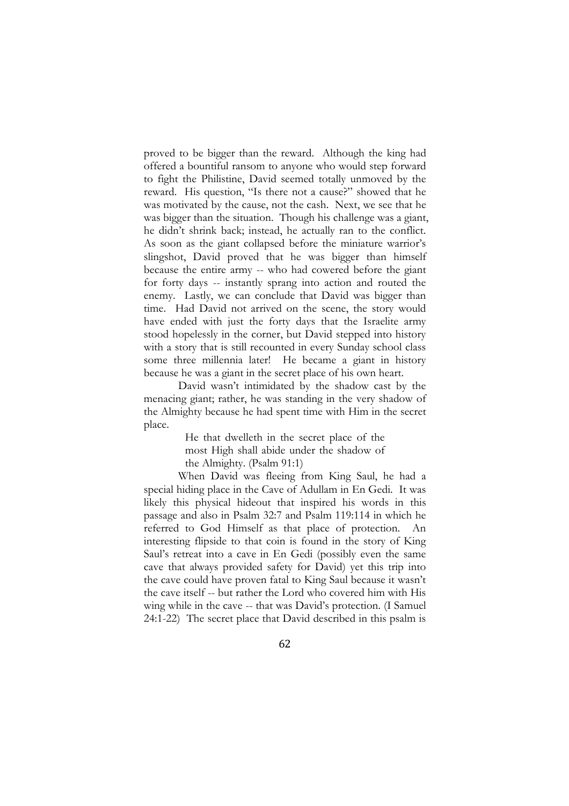proved to be bigger than the reward. Although the king had offered a bountiful ransom to anyone who would step forward to fight the Philistine, David seemed totally unmoved by the reward. His question, "Is there not a cause?" showed that he was motivated by the cause, not the cash. Next, we see that he was bigger than the situation. Though his challenge was a giant, he didn't shrink back; instead, he actually ran to the conflict. As soon as the giant collapsed before the miniature warrior's slingshot, David proved that he was bigger than himself because the entire army -- who had cowered before the giant for forty days -- instantly sprang into action and routed the enemy. Lastly, we can conclude that David was bigger than time. Had David not arrived on the scene, the story would have ended with just the forty days that the Israelite army stood hopelessly in the corner, but David stepped into history with a story that is still recounted in every Sunday school class some three millennia later! He became a giant in history because he was a giant in the secret place of his own heart.

David wasn't intimidated by the shadow cast by the menacing giant; rather, he was standing in the very shadow of the Almighty because he had spent time with Him in the secret place.

> He that dwelleth in the secret place of the most High shall abide under the shadow of the Almighty. (Psalm 91:1)

When David was fleeing from King Saul, he had a special hiding place in the Cave of Adullam in En Gedi. It was likely this physical hideout that inspired his words in this passage and also in Psalm 32:7 and Psalm 119:114 in which he referred to God Himself as that place of protection. An interesting flipside to that coin is found in the story of King Saul's retreat into a cave in En Gedi (possibly even the same cave that always provided safety for David) yet this trip into the cave could have proven fatal to King Saul because it wasn't the cave itself -- but rather the Lord who covered him with His wing while in the cave -- that was David's protection. (I Samuel 24:1-22) The secret place that David described in this psalm is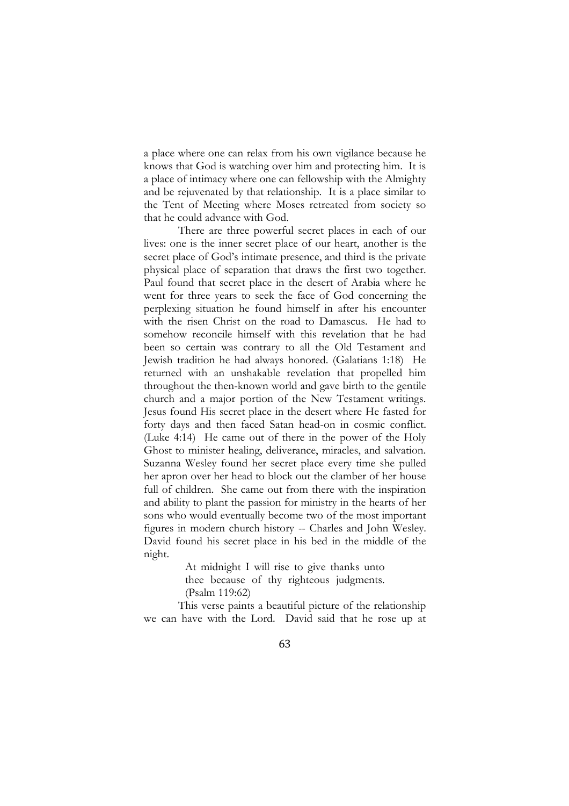a place where one can relax from his own vigilance because he knows that God is watching over him and protecting him. It is a place of intimacy where one can fellowship with the Almighty and be rejuvenated by that relationship. It is a place similar to the Tent of Meeting where Moses retreated from society so that he could advance with God.

There are three powerful secret places in each of our lives: one is the inner secret place of our heart, another is the secret place of God's intimate presence, and third is the private physical place of separation that draws the first two together. Paul found that secret place in the desert of Arabia where he went for three years to seek the face of God concerning the perplexing situation he found himself in after his encounter with the risen Christ on the road to Damascus. He had to somehow reconcile himself with this revelation that he had been so certain was contrary to all the Old Testament and Jewish tradition he had always honored. (Galatians 1:18) He returned with an unshakable revelation that propelled him throughout the then-known world and gave birth to the gentile church and a major portion of the New Testament writings. Jesus found His secret place in the desert where He fasted for forty days and then faced Satan head-on in cosmic conflict. (Luke 4:14) He came out of there in the power of the Holy Ghost to minister healing, deliverance, miracles, and salvation. Suzanna Wesley found her secret place every time she pulled her apron over her head to block out the clamber of her house full of children. She came out from there with the inspiration and ability to plant the passion for ministry in the hearts of her sons who would eventually become two of the most important figures in modern church history -- Charles and John Wesley. David found his secret place in his bed in the middle of the night.

> At midnight I will rise to give thanks unto thee because of thy righteous judgments. (Psalm 119:62)

This verse paints a beautiful picture of the relationship we can have with the Lord. David said that he rose up at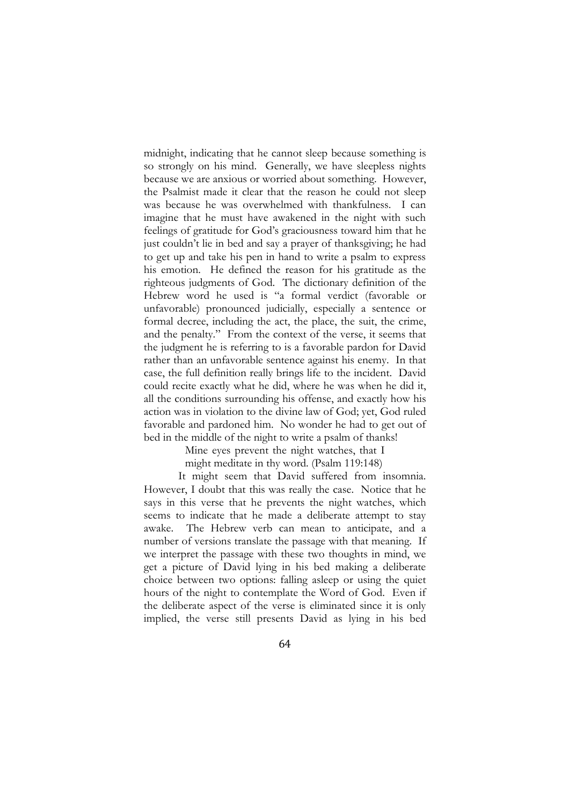midnight, indicating that he cannot sleep because something is so strongly on his mind. Generally, we have sleepless nights because we are anxious or worried about something. However, the Psalmist made it clear that the reason he could not sleep was because he was overwhelmed with thankfulness. I can imagine that he must have awakened in the night with such feelings of gratitude for God's graciousness toward him that he just couldn't lie in bed and say a prayer of thanksgiving; he had to get up and take his pen in hand to write a psalm to express his emotion. He defined the reason for his gratitude as the righteous judgments of God. The dictionary definition of the Hebrew word he used is "a formal verdict (favorable or unfavorable) pronounced judicially, especially a sentence or formal decree, including the act, the place, the suit, the crime, and the penalty." From the context of the verse, it seems that the judgment he is referring to is a favorable pardon for David rather than an unfavorable sentence against his enemy. In that case, the full definition really brings life to the incident. David could recite exactly what he did, where he was when he did it, all the conditions surrounding his offense, and exactly how his action was in violation to the divine law of God; yet, God ruled favorable and pardoned him. No wonder he had to get out of bed in the middle of the night to write a psalm of thanks!

Mine eyes prevent the night watches, that I

might meditate in thy word. (Psalm 119:148)

It might seem that David suffered from insomnia. However, I doubt that this was really the case. Notice that he says in this verse that he prevents the night watches, which seems to indicate that he made a deliberate attempt to stay awake. The Hebrew verb can mean to anticipate, and a number of versions translate the passage with that meaning. If we interpret the passage with these two thoughts in mind, we get a picture of David lying in his bed making a deliberate choice between two options: falling asleep or using the quiet hours of the night to contemplate the Word of God. Even if the deliberate aspect of the verse is eliminated since it is only implied, the verse still presents David as lying in his bed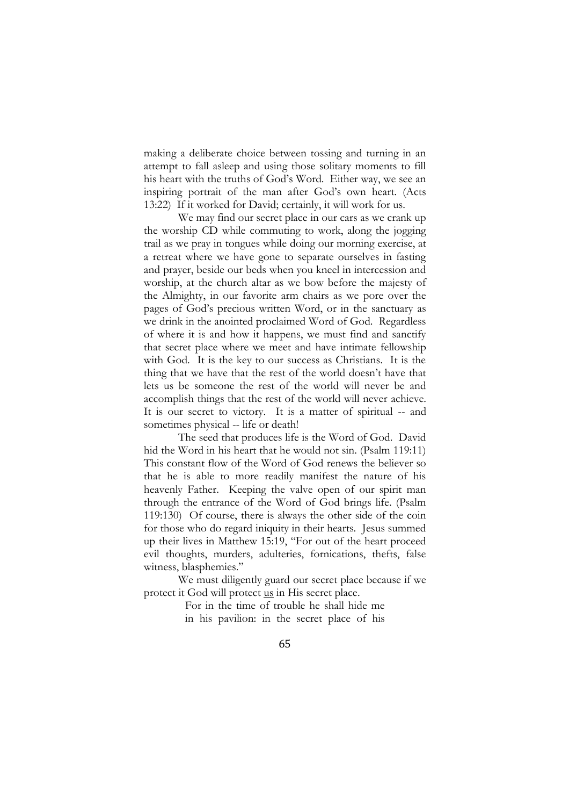making a deliberate choice between tossing and turning in an attempt to fall asleep and using those solitary moments to fill his heart with the truths of God's Word. Either way, we see an inspiring portrait of the man after God's own heart. (Acts 13:22) If it worked for David; certainly, it will work for us.

We may find our secret place in our cars as we crank up the worship CD while commuting to work, along the jogging trail as we pray in tongues while doing our morning exercise, at a retreat where we have gone to separate ourselves in fasting and prayer, beside our beds when you kneel in intercession and worship, at the church altar as we bow before the majesty of the Almighty, in our favorite arm chairs as we pore over the pages of God's precious written Word, or in the sanctuary as we drink in the anointed proclaimed Word of God. Regardless of where it is and how it happens, we must find and sanctify that secret place where we meet and have intimate fellowship with God. It is the key to our success as Christians. It is the thing that we have that the rest of the world doesn't have that lets us be someone the rest of the world will never be and accomplish things that the rest of the world will never achieve. It is our secret to victory. It is a matter of spiritual -- and sometimes physical -- life or death!

The seed that produces life is the Word of God. David hid the Word in his heart that he would not sin. (Psalm 119:11) This constant flow of the Word of God renews the believer so that he is able to more readily manifest the nature of his heavenly Father. Keeping the valve open of our spirit man through the entrance of the Word of God brings life. (Psalm 119:130) Of course, there is always the other side of the coin for those who do regard iniquity in their hearts. Jesus summed up their lives in Matthew 15:19, "For out of the heart proceed evil thoughts, murders, adulteries, fornications, thefts, false witness, blasphemies."

We must diligently guard our secret place because if we protect it God will protect us in His secret place.

> For in the time of trouble he shall hide me in his pavilion: in the secret place of his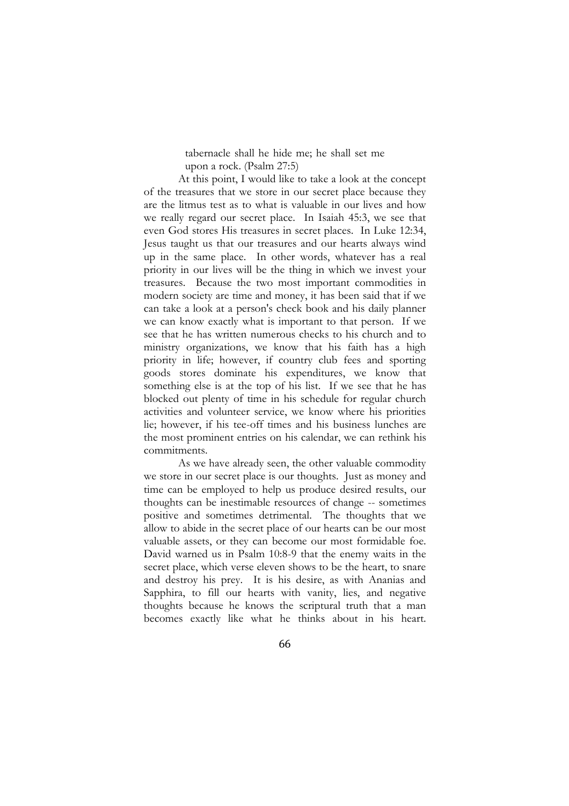tabernacle shall he hide me; he shall set me upon a rock. (Psalm 27:5)

At this point, I would like to take a look at the concept of the treasures that we store in our secret place because they are the litmus test as to what is valuable in our lives and how we really regard our secret place. In Isaiah 45:3, we see that even God stores His treasures in secret places. In Luke 12:34, Jesus taught us that our treasures and our hearts always wind up in the same place. In other words, whatever has a real priority in our lives will be the thing in which we invest your treasures. Because the two most important commodities in modern society are time and money, it has been said that if we can take a look at a person's check book and his daily planner we can know exactly what is important to that person. If we see that he has written numerous checks to his church and to ministry organizations, we know that his faith has a high priority in life; however, if country club fees and sporting goods stores dominate his expenditures, we know that something else is at the top of his list. If we see that he has blocked out plenty of time in his schedule for regular church activities and volunteer service, we know where his priorities lie; however, if his tee-off times and his business lunches are the most prominent entries on his calendar, we can rethink his commitments.

As we have already seen, the other valuable commodity we store in our secret place is our thoughts. Just as money and time can be employed to help us produce desired results, our thoughts can be inestimable resources of change -- sometimes positive and sometimes detrimental. The thoughts that we allow to abide in the secret place of our hearts can be our most valuable assets, or they can become our most formidable foe. David warned us in Psalm 10:8-9 that the enemy waits in the secret place, which verse eleven shows to be the heart, to snare and destroy his prey. It is his desire, as with Ananias and Sapphira, to fill our hearts with vanity, lies, and negative thoughts because he knows the scriptural truth that a man becomes exactly like what he thinks about in his heart.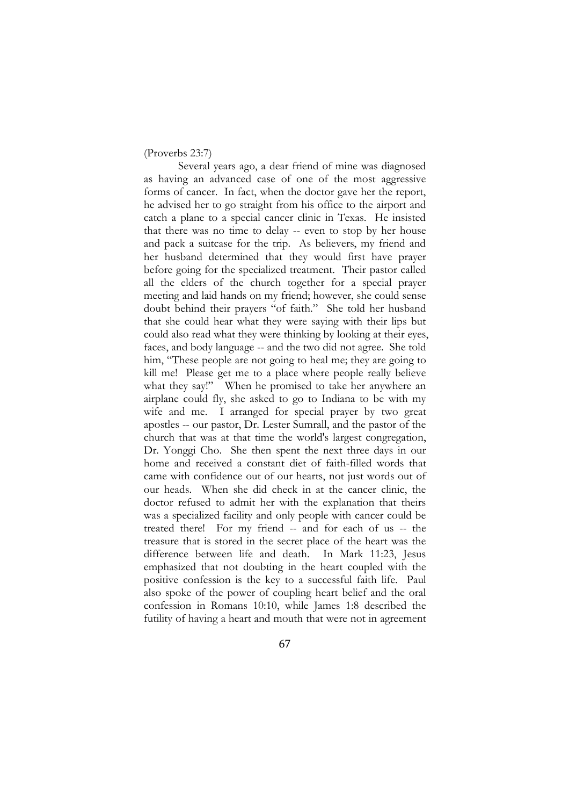#### (Proverbs 23:7)

Several years ago, a dear friend of mine was diagnosed as having an advanced case of one of the most aggressive forms of cancer. In fact, when the doctor gave her the report, he advised her to go straight from his office to the airport and catch a plane to a special cancer clinic in Texas. He insisted that there was no time to delay -- even to stop by her house and pack a suitcase for the trip. As believers, my friend and her husband determined that they would first have prayer before going for the specialized treatment. Their pastor called all the elders of the church together for a special prayer meeting and laid hands on my friend; however, she could sense doubt behind their prayers "of faith." She told her husband that she could hear what they were saying with their lips but could also read what they were thinking by looking at their eyes, faces, and body language -- and the two did not agree. She told him, "These people are not going to heal me; they are going to kill me! Please get me to a place where people really believe what they say!" When he promised to take her anywhere an airplane could fly, she asked to go to Indiana to be with my wife and me. I arranged for special prayer by two great apostles -- our pastor, Dr. Lester Sumrall, and the pastor of the church that was at that time the world's largest congregation, Dr. Yonggi Cho. She then spent the next three days in our home and received a constant diet of faith-filled words that came with confidence out of our hearts, not just words out of our heads. When she did check in at the cancer clinic, the doctor refused to admit her with the explanation that theirs was a specialized facility and only people with cancer could be treated there! For my friend -- and for each of us -- the treasure that is stored in the secret place of the heart was the difference between life and death. In Mark 11:23, Jesus emphasized that not doubting in the heart coupled with the positive confession is the key to a successful faith life. Paul also spoke of the power of coupling heart belief and the oral confession in Romans 10:10, while James 1:8 described the futility of having a heart and mouth that were not in agreement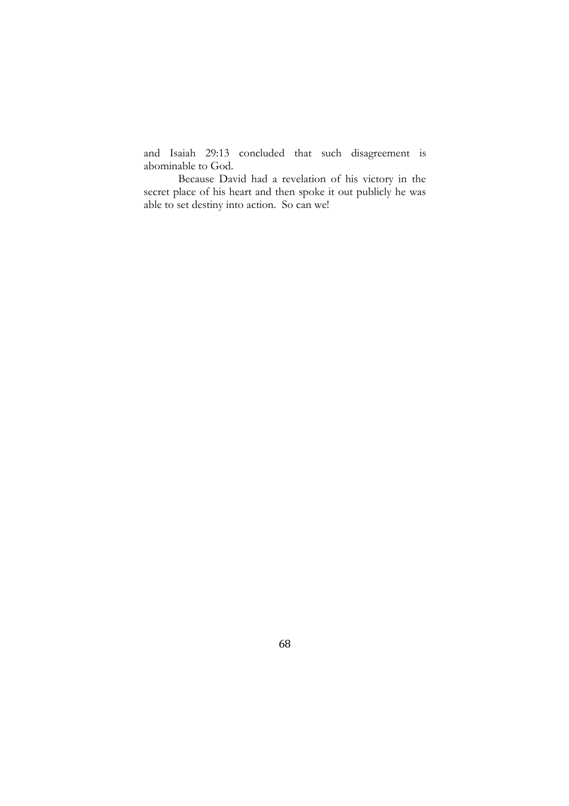and Isaiah 29:13 concluded that such disagreement is abominable to God.

Because David had a revelation of his victory in the secret place of his heart and then spoke it out publicly he was able to set destiny into action. So can we!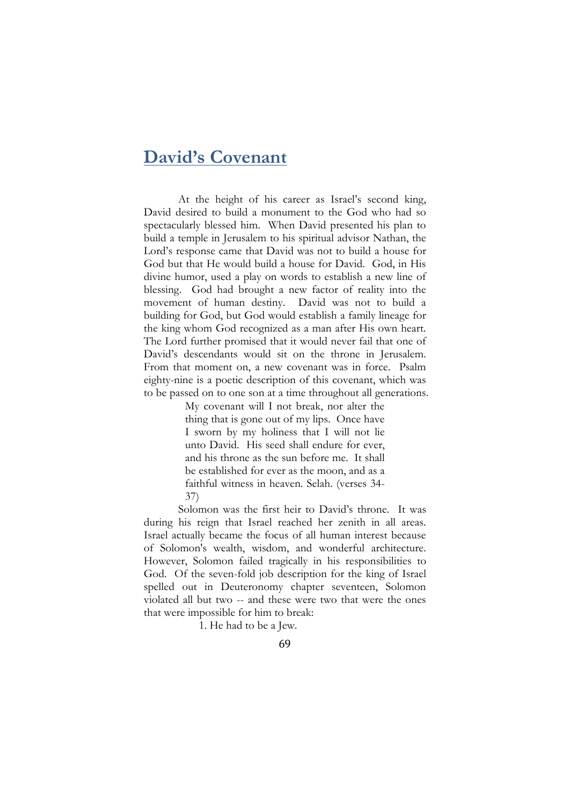## **David's Covenant**

At the height of his career as Israel's second king, David desired to build a monument to the God who had so spectacularly blessed him. When David presented his plan to build a temple in Jerusalem to his spiritual advisor Nathan, the Lord's response came that David was not to build a house for God but that He would build a house for David. God, in His divine humor, used a play on words to establish a new line of blessing. God had brought a new factor of reality into the movement of human destiny. David was not to build a building for God, but God would establish a family lineage for the king whom God recognized as a man after His own heart. The Lord further promised that it would never fail that one of David's descendants would sit on the throne in Jerusalem. From that moment on, a new covenant was in force. Psalm eighty-nine is a poetic description of this covenant, which was to be passed on to one son at a time throughout all generations.

> My covenant will I not break, nor alter the thing that is gone out of my lips. Once have I sworn by my holiness that I will not lie unto David. His seed shall endure for ever, and his throne as the sun before me. It shall be established for ever as the moon, and as a faithful witness in heaven. Selah. (verses 34- 37)

Solomon was the first heir to David's throne. It was during his reign that Israel reached her zenith in all areas. Israel actually became the focus of all human interest because of Solomon's wealth, wisdom, and wonderful architecture. However, Solomon failed tragically in his responsibilities to God. Of the seven-fold job description for the king of Israel spelled out in Deuteronomy chapter seventeen, Solomon violated all but two -- and these were two that were the ones that were impossible for him to break:

1. He had to be a Jew.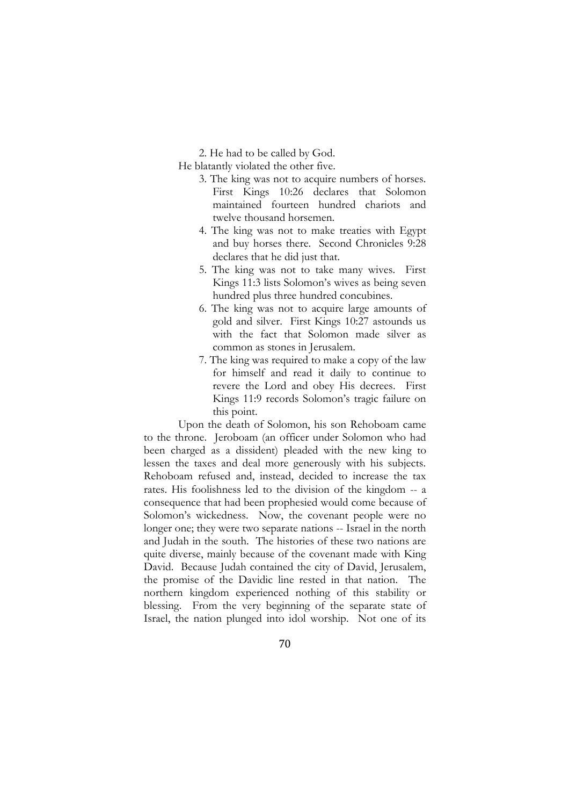2. He had to be called by God.

He blatantly violated the other five.

- 3. The king was not to acquire numbers of horses. First Kings 10:26 declares that Solomon maintained fourteen hundred chariots and twelve thousand horsemen.
- 4. The king was not to make treaties with Egypt and buy horses there. Second Chronicles 9:28 declares that he did just that.
- 5. The king was not to take many wives. First Kings 11:3 lists Solomon's wives as being seven hundred plus three hundred concubines.
- 6. The king was not to acquire large amounts of gold and silver. First Kings 10:27 astounds us with the fact that Solomon made silver as common as stones in Jerusalem.
- 7. The king was required to make a copy of the law for himself and read it daily to continue to revere the Lord and obey His decrees. First Kings 11:9 records Solomon's tragic failure on this point.

Upon the death of Solomon, his son Rehoboam came to the throne. Jeroboam (an officer under Solomon who had been charged as a dissident) pleaded with the new king to lessen the taxes and deal more generously with his subjects. Rehoboam refused and, instead, decided to increase the tax rates. His foolishness led to the division of the kingdom -- a consequence that had been prophesied would come because of Solomon's wickedness. Now, the covenant people were no longer one; they were two separate nations -- Israel in the north and Judah in the south. The histories of these two nations are quite diverse, mainly because of the covenant made with King David. Because Judah contained the city of David, Jerusalem, the promise of the Davidic line rested in that nation. The northern kingdom experienced nothing of this stability or blessing. From the very beginning of the separate state of Israel, the nation plunged into idol worship. Not one of its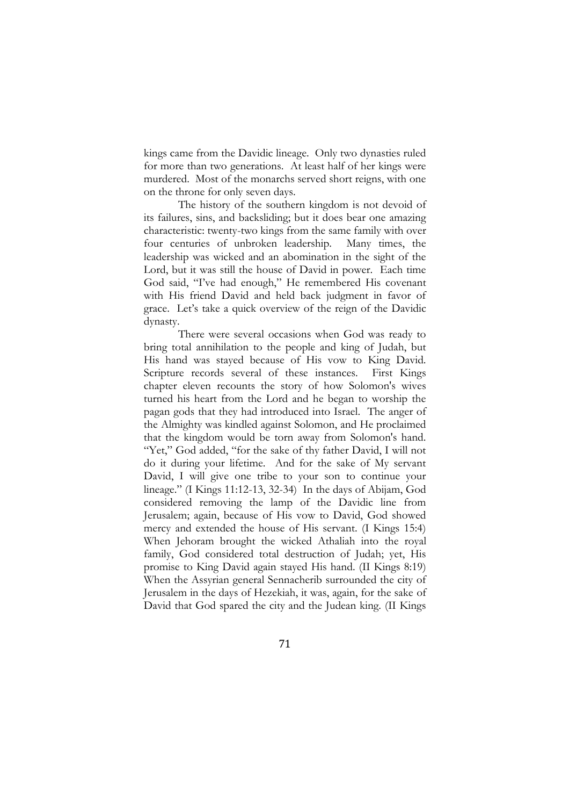kings came from the Davidic lineage. Only two dynasties ruled for more than two generations. At least half of her kings were murdered. Most of the monarchs served short reigns, with one on the throne for only seven days.

The history of the southern kingdom is not devoid of its failures, sins, and backsliding; but it does bear one amazing characteristic: twenty-two kings from the same family with over four centuries of unbroken leadership. Many times, the leadership was wicked and an abomination in the sight of the Lord, but it was still the house of David in power. Each time God said, "I've had enough," He remembered His covenant with His friend David and held back judgment in favor of grace. Let's take a quick overview of the reign of the Davidic dynasty.

There were several occasions when God was ready to bring total annihilation to the people and king of Judah, but His hand was stayed because of His vow to King David. Scripture records several of these instances. First Kings chapter eleven recounts the story of how Solomon's wives turned his heart from the Lord and he began to worship the pagan gods that they had introduced into Israel. The anger of the Almighty was kindled against Solomon, and He proclaimed that the kingdom would be torn away from Solomon's hand. "Yet," God added, "for the sake of thy father David, I will not do it during your lifetime. And for the sake of My servant David, I will give one tribe to your son to continue your lineage." (I Kings 11:12-13, 32-34) In the days of Abijam, God considered removing the lamp of the Davidic line from Jerusalem; again, because of His vow to David, God showed mercy and extended the house of His servant. (I Kings 15:4) When Jehoram brought the wicked Athaliah into the royal family, God considered total destruction of Judah; yet, His promise to King David again stayed His hand. (II Kings 8:19) When the Assyrian general Sennacherib surrounded the city of Jerusalem in the days of Hezekiah, it was, again, for the sake of David that God spared the city and the Judean king. (II Kings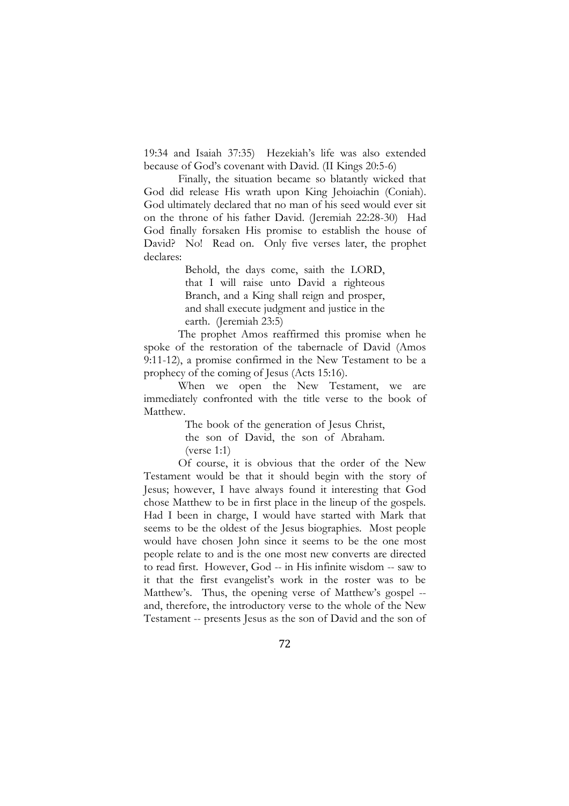19:34 and Isaiah 37:35) Hezekiah's life was also extended because of God's covenant with David. (II Kings 20:5-6)

Finally, the situation became so blatantly wicked that God did release His wrath upon King Jehoiachin (Coniah). God ultimately declared that no man of his seed would ever sit on the throne of his father David. (Jeremiah 22:28-30) Had God finally forsaken His promise to establish the house of David? No! Read on. Only five verses later, the prophet declares:

> Behold, the days come, saith the LORD, that I will raise unto David a righteous Branch, and a King shall reign and prosper, and shall execute judgment and justice in the earth. (Jeremiah 23:5)

The prophet Amos reaffirmed this promise when he spoke of the restoration of the tabernacle of David (Amos 9:11-12), a promise confirmed in the New Testament to be a prophecy of the coming of Jesus (Acts 15:16).

When we open the New Testament, we are immediately confronted with the title verse to the book of Matthew.

> The book of the generation of Jesus Christ, the son of David, the son of Abraham. (verse 1:1)

Of course, it is obvious that the order of the New Testament would be that it should begin with the story of Jesus; however, I have always found it interesting that God chose Matthew to be in first place in the lineup of the gospels. Had I been in charge, I would have started with Mark that seems to be the oldest of the Jesus biographies. Most people would have chosen John since it seems to be the one most people relate to and is the one most new converts are directed to read first. However, God -- in His infinite wisdom -- saw to it that the first evangelist's work in the roster was to be Matthew's. Thus, the opening verse of Matthew's gospel - and, therefore, the introductory verse to the whole of the New Testament -- presents Jesus as the son of David and the son of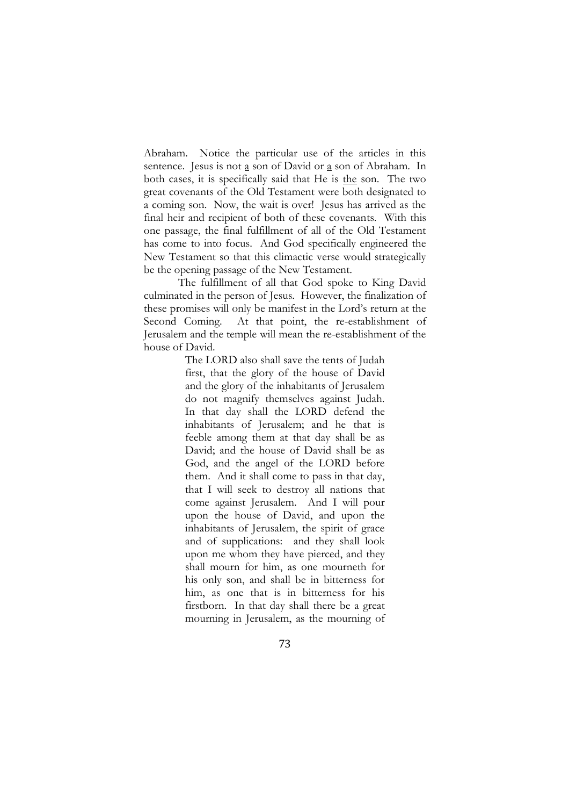Abraham. Notice the particular use of the articles in this sentence. Jesus is not a son of David or a son of Abraham. In both cases, it is specifically said that He is the son. The two great covenants of the Old Testament were both designated to a coming son. Now, the wait is over! Jesus has arrived as the final heir and recipient of both of these covenants. With this one passage, the final fulfillment of all of the Old Testament has come to into focus. And God specifically engineered the New Testament so that this climactic verse would strategically be the opening passage of the New Testament.

The fulfillment of all that God spoke to King David culminated in the person of Jesus. However, the finalization of these promises will only be manifest in the Lord's return at the Second Coming. At that point, the re-establishment of Jerusalem and the temple will mean the re-establishment of the house of David.

> The LORD also shall save the tents of Judah first, that the glory of the house of David and the glory of the inhabitants of Jerusalem do not magnify themselves against Judah. In that day shall the LORD defend the inhabitants of Jerusalem; and he that is feeble among them at that day shall be as David; and the house of David shall be as God, and the angel of the LORD before them. And it shall come to pass in that day, that I will seek to destroy all nations that come against Jerusalem. And I will pour upon the house of David, and upon the inhabitants of Jerusalem, the spirit of grace and of supplications: and they shall look upon me whom they have pierced, and they shall mourn for him, as one mourneth for his only son, and shall be in bitterness for him, as one that is in bitterness for his firstborn. In that day shall there be a great mourning in Jerusalem, as the mourning of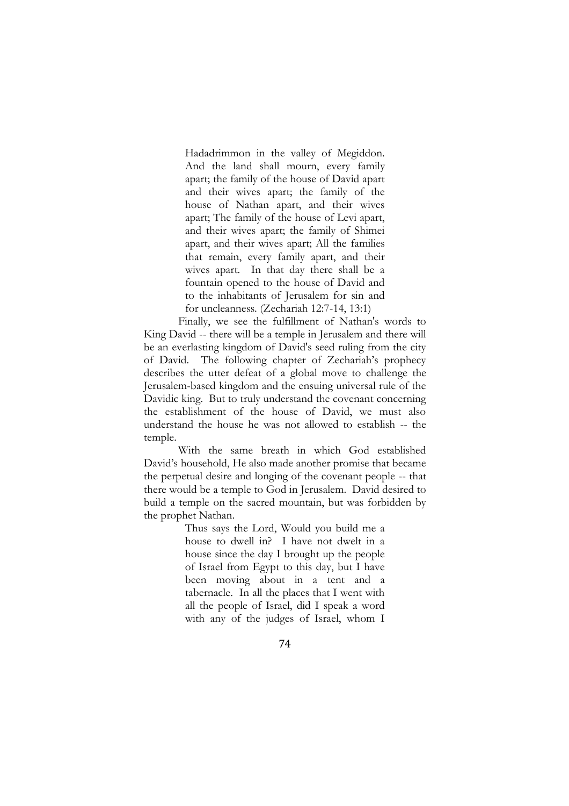Hadadrimmon in the valley of Megiddon. And the land shall mourn, every family apart; the family of the house of David apart and their wives apart; the family of the house of Nathan apart, and their wives apart; The family of the house of Levi apart, and their wives apart; the family of Shimei apart, and their wives apart; All the families that remain, every family apart, and their wives apart. In that day there shall be a fountain opened to the house of David and to the inhabitants of Jerusalem for sin and for uncleanness. (Zechariah 12:7-14, 13:1)

Finally, we see the fulfillment of Nathan's words to King David -- there will be a temple in Jerusalem and there will be an everlasting kingdom of David's seed ruling from the city of David. The following chapter of Zechariah's prophecy describes the utter defeat of a global move to challenge the Jerusalem-based kingdom and the ensuing universal rule of the Davidic king. But to truly understand the covenant concerning the establishment of the house of David, we must also understand the house he was not allowed to establish -- the temple.

With the same breath in which God established David's household, He also made another promise that became the perpetual desire and longing of the covenant people -- that there would be a temple to God in Jerusalem. David desired to build a temple on the sacred mountain, but was forbidden by the prophet Nathan.

> Thus says the Lord, Would you build me a house to dwell in? I have not dwelt in a house since the day I brought up the people of Israel from Egypt to this day, but I have been moving about in a tent and a tabernacle. In all the places that I went with all the people of Israel, did I speak a word with any of the judges of Israel, whom I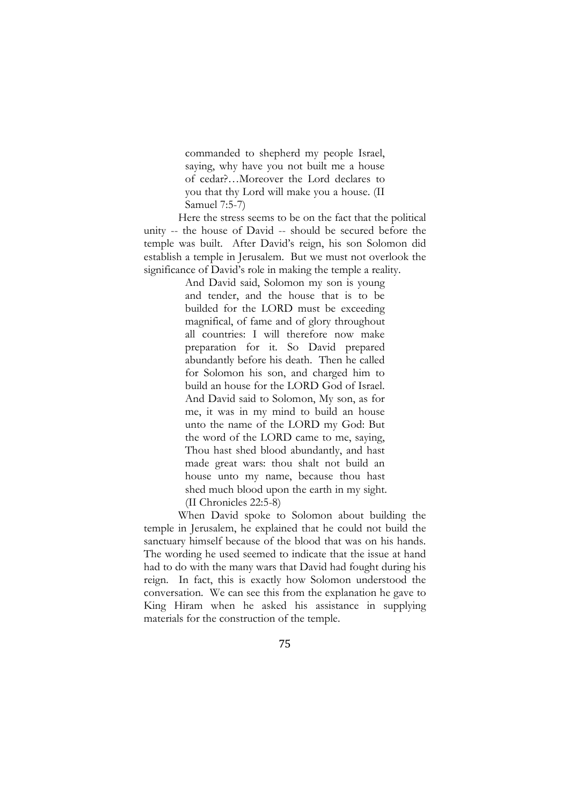commanded to shepherd my people Israel, saying, why have you not built me a house of cedar?…Moreover the Lord declares to you that thy Lord will make you a house. (II Samuel 7:5-7)

Here the stress seems to be on the fact that the political unity -- the house of David -- should be secured before the temple was built. After David's reign, his son Solomon did establish a temple in Jerusalem. But we must not overlook the significance of David's role in making the temple a reality.

> And David said, Solomon my son is young and tender, and the house that is to be builded for the LORD must be exceeding magnifical, of fame and of glory throughout all countries: I will therefore now make preparation for it. So David prepared abundantly before his death. Then he called for Solomon his son, and charged him to build an house for the LORD God of Israel. And David said to Solomon, My son, as for me, it was in my mind to build an house unto the name of the LORD my God: But the word of the LORD came to me, saying, Thou hast shed blood abundantly, and hast made great wars: thou shalt not build an house unto my name, because thou hast shed much blood upon the earth in my sight. (II Chronicles 22:5-8)

When David spoke to Solomon about building the temple in Jerusalem, he explained that he could not build the sanctuary himself because of the blood that was on his hands. The wording he used seemed to indicate that the issue at hand had to do with the many wars that David had fought during his reign. In fact, this is exactly how Solomon understood the conversation. We can see this from the explanation he gave to King Hiram when he asked his assistance in supplying materials for the construction of the temple.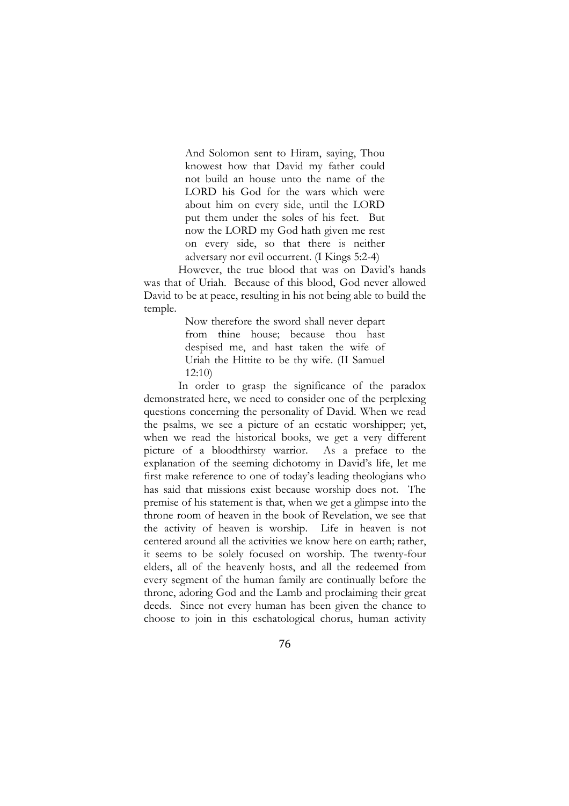And Solomon sent to Hiram, saying, Thou knowest how that David my father could not build an house unto the name of the LORD his God for the wars which were about him on every side, until the LORD put them under the soles of his feet. But now the LORD my God hath given me rest on every side, so that there is neither adversary nor evil occurrent. (I Kings 5:2-4)

However, the true blood that was on David's hands was that of Uriah. Because of this blood, God never allowed David to be at peace, resulting in his not being able to build the temple.

> Now therefore the sword shall never depart from thine house; because thou hast despised me, and hast taken the wife of Uriah the Hittite to be thy wife. (II Samuel 12:10)

In order to grasp the significance of the paradox demonstrated here, we need to consider one of the perplexing questions concerning the personality of David. When we read the psalms, we see a picture of an ecstatic worshipper; yet, when we read the historical books, we get a very different picture of a bloodthirsty warrior. As a preface to the explanation of the seeming dichotomy in David's life, let me first make reference to one of today's leading theologians who has said that missions exist because worship does not. The premise of his statement is that, when we get a glimpse into the throne room of heaven in the book of Revelation, we see that the activity of heaven is worship. Life in heaven is not centered around all the activities we know here on earth; rather, it seems to be solely focused on worship. The twenty-four elders, all of the heavenly hosts, and all the redeemed from every segment of the human family are continually before the throne, adoring God and the Lamb and proclaiming their great deeds. Since not every human has been given the chance to choose to join in this eschatological chorus, human activity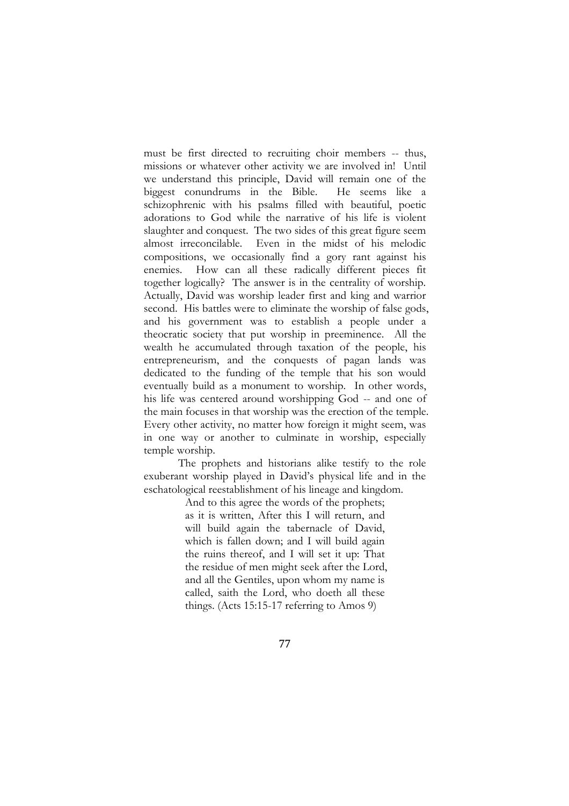must be first directed to recruiting choir members -- thus, missions or whatever other activity we are involved in! Until we understand this principle, David will remain one of the biggest conundrums in the Bible. He seems like a schizophrenic with his psalms filled with beautiful, poetic adorations to God while the narrative of his life is violent slaughter and conquest. The two sides of this great figure seem almost irreconcilable. Even in the midst of his melodic compositions, we occasionally find a gory rant against his enemies. How can all these radically different pieces fit together logically? The answer is in the centrality of worship. Actually, David was worship leader first and king and warrior second. His battles were to eliminate the worship of false gods, and his government was to establish a people under a theocratic society that put worship in preeminence. All the wealth he accumulated through taxation of the people, his entrepreneurism, and the conquests of pagan lands was dedicated to the funding of the temple that his son would eventually build as a monument to worship. In other words, his life was centered around worshipping God -- and one of the main focuses in that worship was the erection of the temple. Every other activity, no matter how foreign it might seem, was in one way or another to culminate in worship, especially temple worship.

The prophets and historians alike testify to the role exuberant worship played in David's physical life and in the eschatological reestablishment of his lineage and kingdom.

And to this agree the words of the prophets; as it is written, After this I will return, and will build again the tabernacle of David, which is fallen down; and I will build again the ruins thereof, and I will set it up: That the residue of men might seek after the Lord, and all the Gentiles, upon whom my name is called, saith the Lord, who doeth all these things. (Acts 15:15-17 referring to Amos 9)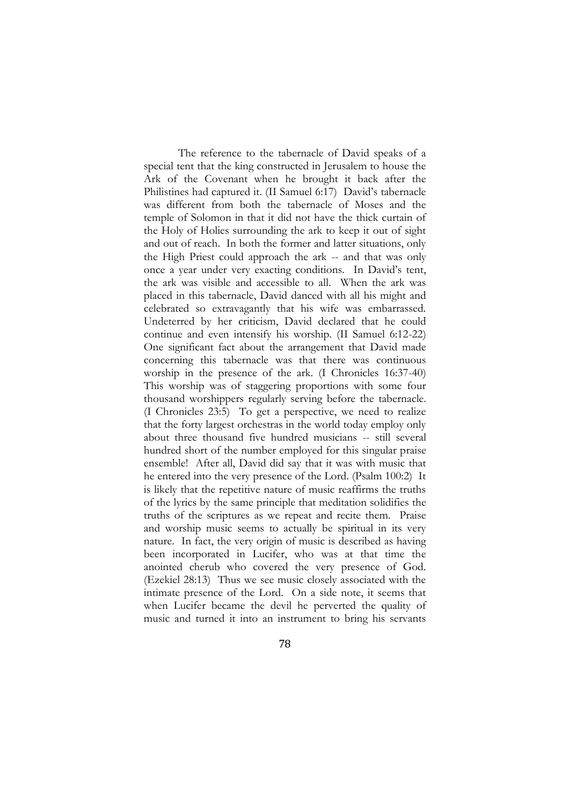The reference to the tabernacle of David speaks of a special tent that the king constructed in Jerusalem to house the Ark of the Covenant when he brought it back after the Philistines had captured it. (II Samuel 6:17) David's tabernacle was different from both the tabernacle of Moses and the temple of Solomon in that it did not have the thick curtain of the Holy of Holies surrounding the ark to keep it out of sight and out of reach. In both the former and latter situations, only the High Priest could approach the ark -- and that was only once a year under very exacting conditions. In David's tent, the ark was visible and accessible to all. When the ark was placed in this tabernacle, David danced with all his might and celebrated so extravagantly that his wife was embarrassed. Undeterred by her criticism, David declared that he could continue and even intensify his worship. (II Samuel 6:12-22) One significant fact about the arrangement that David made concerning this tabernacle was that there was continuous worship in the presence of the ark. (I Chronicles 16:37-40) This worship was of staggering proportions with some four thousand worshippers regularly serving before the tabernacle. (I Chronicles 23:5) To get a perspective, we need to realize that the forty largest orchestras in the world today employ only about three thousand five hundred musicians -- still several hundred short of the number employed for this singular praise ensemble! After all, David did say that it was with music that he entered into the very presence of the Lord. (Psalm 100:2) It is likely that the repetitive nature of music reaffirms the truths of the lyrics by the same principle that meditation solidifies the truths of the scriptures as we repeat and recite them. Praise and worship music seems to actually be spiritual in its very nature. In fact, the very origin of music is described as having been incorporated in Lucifer, who was at that time the anointed cherub who covered the very presence of God. (Ezekiel 28:13) Thus we see music closely associated with the intimate presence of the Lord. On a side note, it seems that when Lucifer became the devil he perverted the quality of music and turned it into an instrument to bring his servants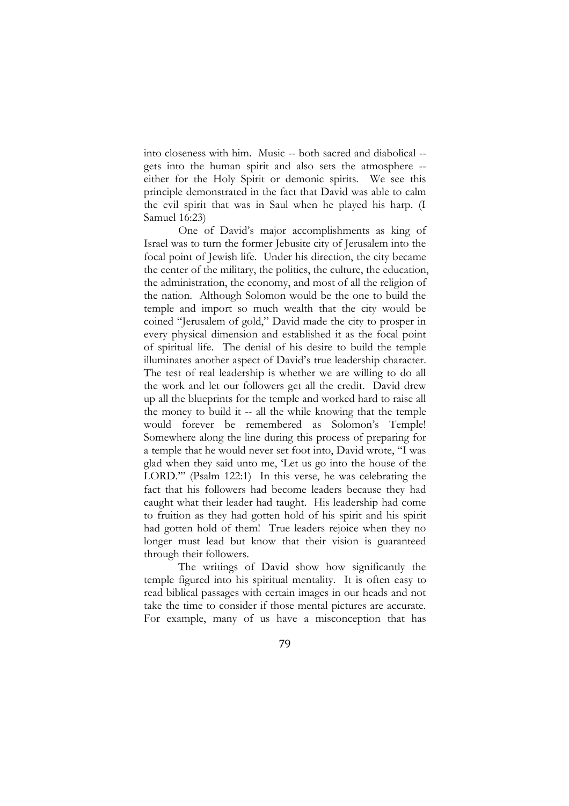into closeness with him. Music -- both sacred and diabolical - gets into the human spirit and also sets the atmosphere - either for the Holy Spirit or demonic spirits. We see this principle demonstrated in the fact that David was able to calm the evil spirit that was in Saul when he played his harp. (I Samuel 16:23)

One of David's major accomplishments as king of Israel was to turn the former Jebusite city of Jerusalem into the focal point of Jewish life. Under his direction, the city became the center of the military, the politics, the culture, the education, the administration, the economy, and most of all the religion of the nation. Although Solomon would be the one to build the temple and import so much wealth that the city would be coined "Jerusalem of gold," David made the city to prosper in every physical dimension and established it as the focal point of spiritual life. The denial of his desire to build the temple illuminates another aspect of David's true leadership character. The test of real leadership is whether we are willing to do all the work and let our followers get all the credit. David drew up all the blueprints for the temple and worked hard to raise all the money to build it -- all the while knowing that the temple would forever be remembered as Solomon's Temple! Somewhere along the line during this process of preparing for a temple that he would never set foot into, David wrote, "I was glad when they said unto me, 'Let us go into the house of the LORD.'" (Psalm 122:1) In this verse, he was celebrating the fact that his followers had become leaders because they had caught what their leader had taught. His leadership had come to fruition as they had gotten hold of his spirit and his spirit had gotten hold of them! True leaders rejoice when they no longer must lead but know that their vision is guaranteed through their followers.

The writings of David show how significantly the temple figured into his spiritual mentality. It is often easy to read biblical passages with certain images in our heads and not take the time to consider if those mental pictures are accurate. For example, many of us have a misconception that has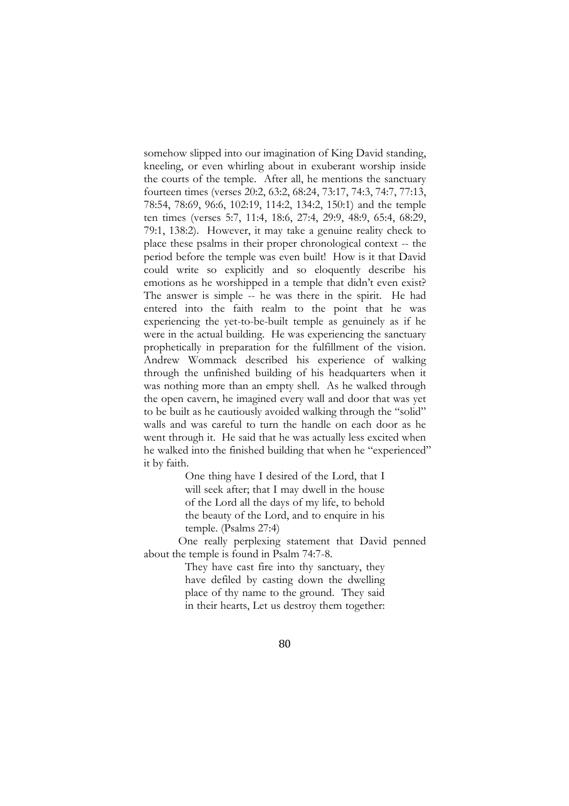somehow slipped into our imagination of King David standing, kneeling, or even whirling about in exuberant worship inside the courts of the temple. After all, he mentions the sanctuary fourteen times (verses 20:2, 63:2, 68:24, 73:17, 74:3, 74:7, 77:13, 78:54, 78:69, 96:6, 102:19, 114:2, 134:2, 150:1) and the temple ten times (verses 5:7, 11:4, 18:6, 27:4, 29:9, 48:9, 65:4, 68:29, 79:1, 138:2). However, it may take a genuine reality check to place these psalms in their proper chronological context -- the period before the temple was even built! How is it that David could write so explicitly and so eloquently describe his emotions as he worshipped in a temple that didn't even exist? The answer is simple -- he was there in the spirit. He had entered into the faith realm to the point that he was experiencing the yet-to-be-built temple as genuinely as if he were in the actual building. He was experiencing the sanctuary prophetically in preparation for the fulfillment of the vision. Andrew Wommack described his experience of walking through the unfinished building of his headquarters when it was nothing more than an empty shell. As he walked through the open cavern, he imagined every wall and door that was yet to be built as he cautiously avoided walking through the "solid" walls and was careful to turn the handle on each door as he went through it. He said that he was actually less excited when he walked into the finished building that when he "experienced" it by faith.

> One thing have I desired of the Lord, that I will seek after; that I may dwell in the house of the Lord all the days of my life, to behold the beauty of the Lord, and to enquire in his temple. (Psalms 27:4)

One really perplexing statement that David penned about the temple is found in Psalm 74:7-8.

> They have cast fire into thy sanctuary, they have defiled by casting down the dwelling place of thy name to the ground. They said in their hearts, Let us destroy them together: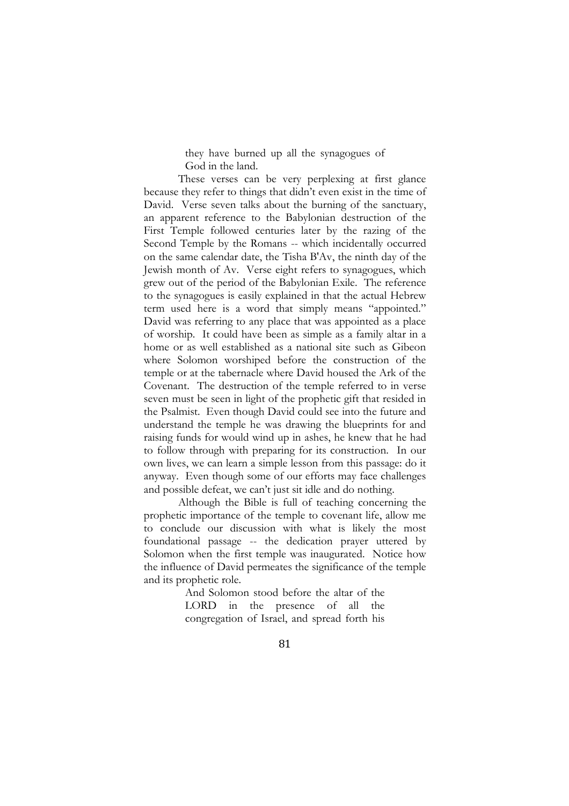they have burned up all the synagogues of God in the land.

These verses can be very perplexing at first glance because they refer to things that didn't even exist in the time of David. Verse seven talks about the burning of the sanctuary, an apparent reference to the Babylonian destruction of the First Temple followed centuries later by the razing of the Second Temple by the Romans -- which incidentally occurred on the same calendar date, the [Tisha B'Av,](http://upload.wikimedia.org/wikipedia/commons/9/91/He-TishaBAv.ogg) the ninth day of the Jewish month of Av. Verse eight refers to synagogues, which grew out of the period of the Babylonian Exile. The reference to the synagogues is easily explained in that the actual Hebrew term used here is a word that simply means "appointed." David was referring to any place that was appointed as a place of worship. It could have been as simple as a family altar in a home or as well established as a national site such as Gibeon where Solomon worshiped before the construction of the temple or at the tabernacle where David housed the Ark of the Covenant. The destruction of the temple referred to in verse seven must be seen in light of the prophetic gift that resided in the Psalmist. Even though David could see into the future and understand the temple he was drawing the blueprints for and raising funds for would wind up in ashes, he knew that he had to follow through with preparing for its construction. In our own lives, we can learn a simple lesson from this passage: do it anyway. Even though some of our efforts may face challenges and possible defeat, we can't just sit idle and do nothing.

Although the Bible is full of teaching concerning the prophetic importance of the temple to covenant life, allow me to conclude our discussion with what is likely the most foundational passage -- the dedication prayer uttered by Solomon when the first temple was inaugurated. Notice how the influence of David permeates the significance of the temple and its prophetic role.

> And Solomon stood before the altar of the LORD in the presence of all the congregation of Israel, and spread forth his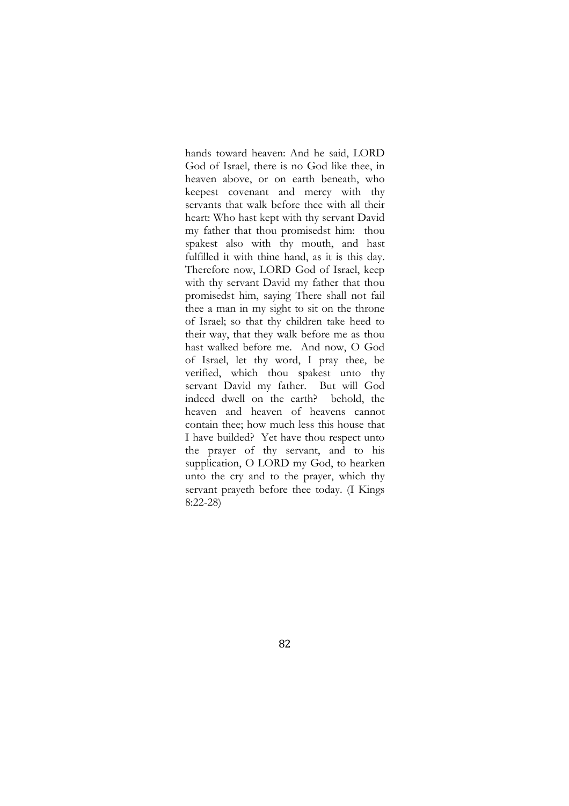hands toward heaven: And he said, LORD God of Israel, there is no God like thee, in heaven above, or on earth beneath, who keepest covenant and mercy with thy servants that walk before thee with all their heart: Who hast kept with thy servant David my father that thou promisedst him: thou spakest also with thy mouth, and hast fulfilled it with thine hand, as it is this day. Therefore now, LORD God of Israel, keep with thy servant David my father that thou promisedst him, saying There shall not fail thee a man in my sight to sit on the throne of Israel; so that thy children take heed to their way, that they walk before me as thou hast walked before me. And now, O God of Israel, let thy word, I pray thee, be verified, which thou spakest unto thy servant David my father. But will God indeed dwell on the earth? behold, the heaven and heaven of heavens cannot contain thee; how much less this house that I have builded? Yet have thou respect unto the prayer of thy servant, and to his supplication, O LORD my God, to hearken unto the cry and to the prayer, which thy servant prayeth before thee today. (I Kings 8:22-28)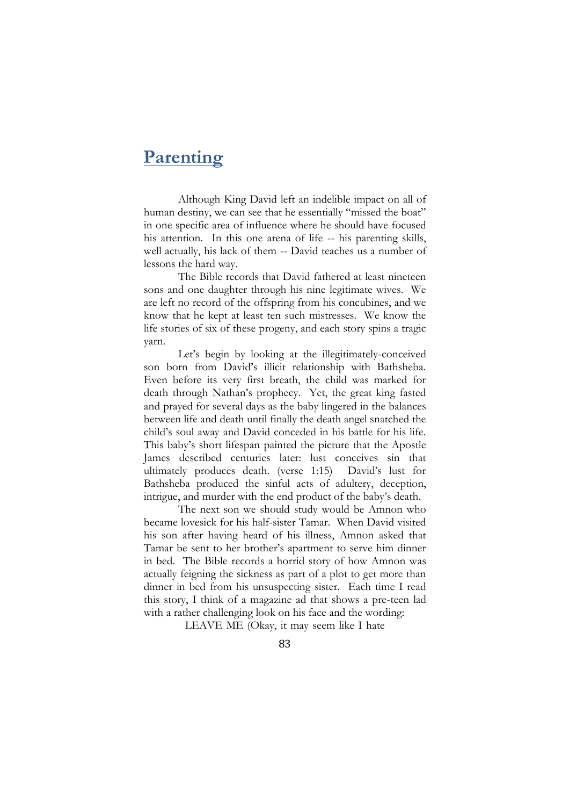# **Parenting**

Although King David left an indelible impact on all of human destiny, we can see that he essentially "missed the boat" in one specific area of influence where he should have focused his attention. In this one arena of life -- his parenting skills, well actually, his lack of them -- David teaches us a number of lessons the hard way.

The Bible records that David fathered at least nineteen sons and one daughter through his nine legitimate wives. We are left no record of the offspring from his concubines, and we know that he kept at least ten such mistresses. We know the life stories of six of these progeny, and each story spins a tragic yarn.

Let's begin by looking at the illegitimately-conceived son born from David's illicit relationship with Bathsheba. Even before its very first breath, the child was marked for death through Nathan's prophecy. Yet, the great king fasted and prayed for several days as the baby lingered in the balances between life and death until finally the death angel snatched the child's soul away and David conceded in his battle for his life. This baby's short lifespan painted the picture that the Apostle James described centuries later: lust conceives sin that ultimately produces death. (verse 1:15) David's lust for Bathsheba produced the sinful acts of adultery, deception, intrigue, and murder with the end product of the baby's death.

The next son we should study would be Amnon who became lovesick for his half-sister Tamar. When David visited his son after having heard of his illness, Amnon asked that Tamar be sent to her brother's apartment to serve him dinner in bed. The Bible records a horrid story of how Amnon was actually feigning the sickness as part of a plot to get more than dinner in bed from his unsuspecting sister. Each time I read this story, I think of a magazine ad that shows a pre-teen lad with a rather challenging look on his face and the wording:

LEAVE ME (Okay, it may seem like I hate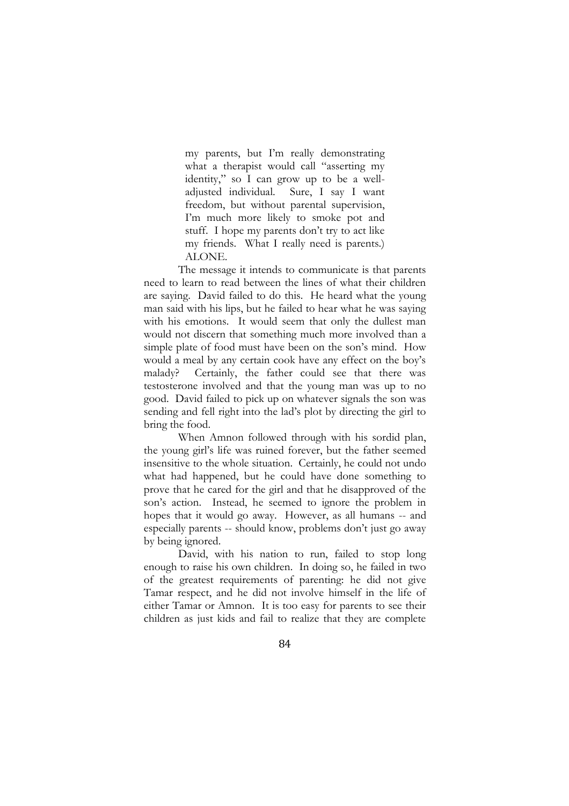my parents, but I'm really demonstrating what a therapist would call "asserting my identity," so I can grow up to be a welladjusted individual. Sure, I say I want freedom, but without parental supervision, I'm much more likely to smoke pot and stuff. I hope my parents don't try to act like my friends. What I really need is parents.) ALONE.

The message it intends to communicate is that parents need to learn to read between the lines of what their children are saying. David failed to do this. He heard what the young man said with his lips, but he failed to hear what he was saying with his emotions. It would seem that only the dullest man would not discern that something much more involved than a simple plate of food must have been on the son's mind. How would a meal by any certain cook have any effect on the boy's malady? Certainly, the father could see that there was testosterone involved and that the young man was up to no good. David failed to pick up on whatever signals the son was sending and fell right into the lad's plot by directing the girl to bring the food.

When Amnon followed through with his sordid plan, the young girl's life was ruined forever, but the father seemed insensitive to the whole situation. Certainly, he could not undo what had happened, but he could have done something to prove that he cared for the girl and that he disapproved of the son's action. Instead, he seemed to ignore the problem in hopes that it would go away. However, as all humans -- and especially parents -- should know, problems don't just go away by being ignored.

David, with his nation to run, failed to stop long enough to raise his own children. In doing so, he failed in two of the greatest requirements of parenting: he did not give Tamar respect, and he did not involve himself in the life of either Tamar or Amnon. It is too easy for parents to see their children as just kids and fail to realize that they are complete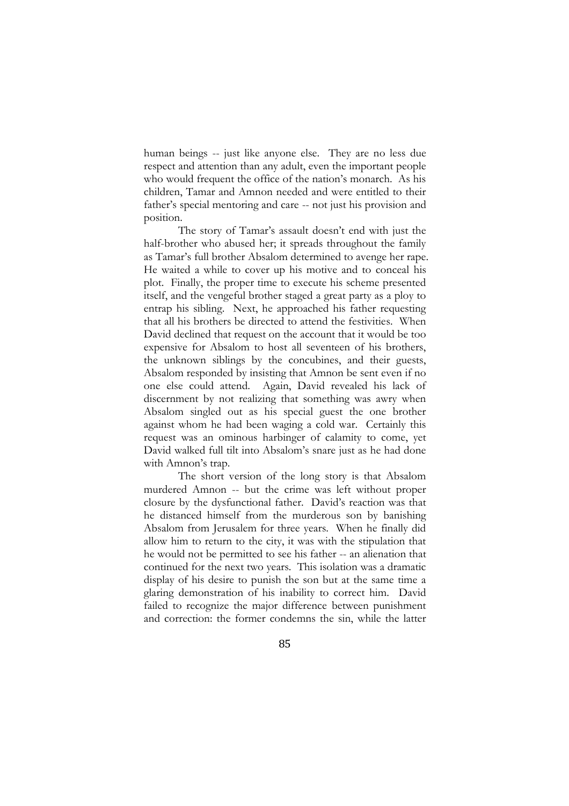human beings -- just like anyone else. They are no less due respect and attention than any adult, even the important people who would frequent the office of the nation's monarch. As his children, Tamar and Amnon needed and were entitled to their father's special mentoring and care -- not just his provision and position.

The story of Tamar's assault doesn't end with just the half-brother who abused her; it spreads throughout the family as Tamar's full brother Absalom determined to avenge her rape. He waited a while to cover up his motive and to conceal his plot. Finally, the proper time to execute his scheme presented itself, and the vengeful brother staged a great party as a ploy to entrap his sibling. Next, he approached his father requesting that all his brothers be directed to attend the festivities. When David declined that request on the account that it would be too expensive for Absalom to host all seventeen of his brothers, the unknown siblings by the concubines, and their guests, Absalom responded by insisting that Amnon be sent even if no one else could attend. Again, David revealed his lack of discernment by not realizing that something was awry when Absalom singled out as his special guest the one brother against whom he had been waging a cold war. Certainly this request was an ominous harbinger of calamity to come, yet David walked full tilt into Absalom's snare just as he had done with Amnon's trap.

The short version of the long story is that Absalom murdered Amnon -- but the crime was left without proper closure by the dysfunctional father. David's reaction was that he distanced himself from the murderous son by banishing Absalom from Jerusalem for three years. When he finally did allow him to return to the city, it was with the stipulation that he would not be permitted to see his father -- an alienation that continued for the next two years. This isolation was a dramatic display of his desire to punish the son but at the same time a glaring demonstration of his inability to correct him. David failed to recognize the major difference between punishment and correction: the former condemns the sin, while the latter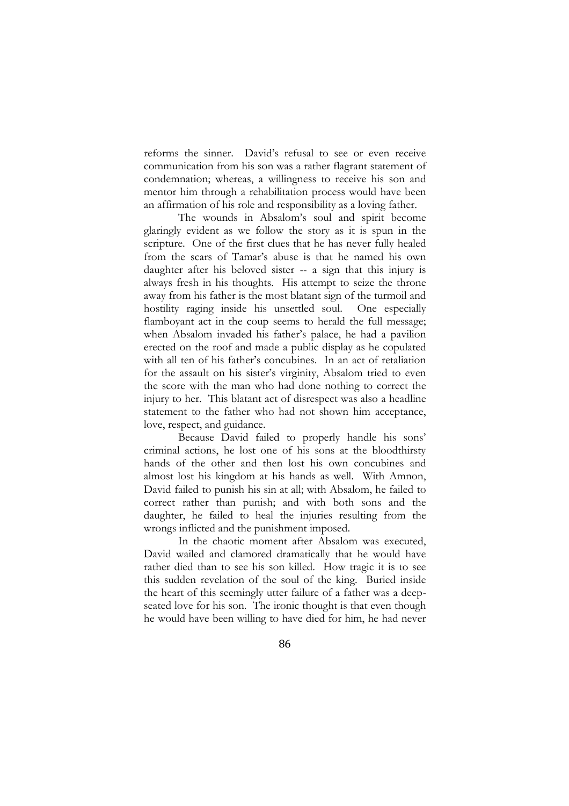reforms the sinner. David's refusal to see or even receive communication from his son was a rather flagrant statement of condemnation; whereas, a willingness to receive his son and mentor him through a rehabilitation process would have been an affirmation of his role and responsibility as a loving father.

The wounds in Absalom's soul and spirit become glaringly evident as we follow the story as it is spun in the scripture. One of the first clues that he has never fully healed from the scars of Tamar's abuse is that he named his own daughter after his beloved sister -- a sign that this injury is always fresh in his thoughts. His attempt to seize the throne away from his father is the most blatant sign of the turmoil and hostility raging inside his unsettled soul. One especially flamboyant act in the coup seems to herald the full message; when Absalom invaded his father's palace, he had a pavilion erected on the roof and made a public display as he copulated with all ten of his father's concubines. In an act of retaliation for the assault on his sister's virginity, Absalom tried to even the score with the man who had done nothing to correct the injury to her. This blatant act of disrespect was also a headline statement to the father who had not shown him acceptance, love, respect, and guidance.

Because David failed to properly handle his sons' criminal actions, he lost one of his sons at the bloodthirsty hands of the other and then lost his own concubines and almost lost his kingdom at his hands as well. With Amnon, David failed to punish his sin at all; with Absalom, he failed to correct rather than punish; and with both sons and the daughter, he failed to heal the injuries resulting from the wrongs inflicted and the punishment imposed.

In the chaotic moment after Absalom was executed, David wailed and clamored dramatically that he would have rather died than to see his son killed. How tragic it is to see this sudden revelation of the soul of the king. Buried inside the heart of this seemingly utter failure of a father was a deepseated love for his son. The ironic thought is that even though he would have been willing to have died for him, he had never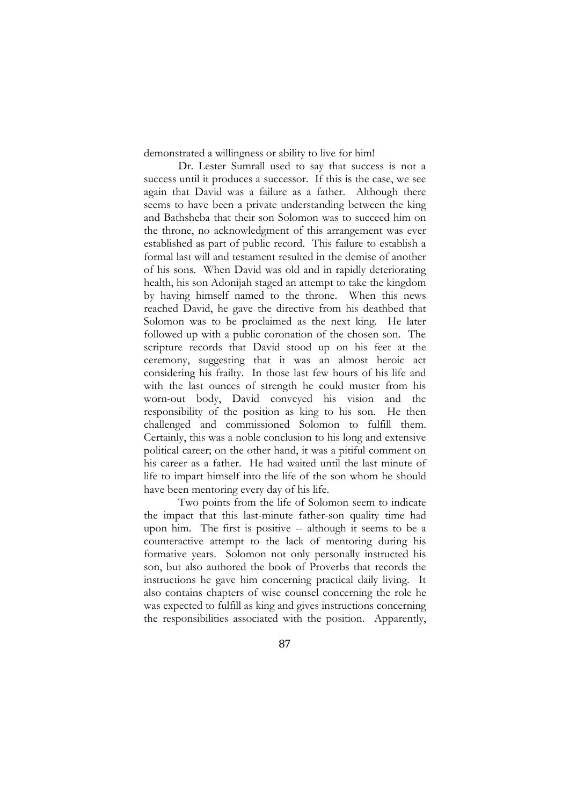demonstrated a willingness or ability to live for him!

Dr. Lester Sumrall used to say that success is not a success until it produces a successor. If this is the case, we see again that David was a failure as a father. Although there seems to have been a private understanding between the king and Bathsheba that their son Solomon was to succeed him on the throne, no acknowledgment of this arrangement was ever established as part of public record. This failure to establish a formal last will and testament resulted in the demise of another of his sons. When David was old and in rapidly deteriorating health, his son Adonijah staged an attempt to take the kingdom by having himself named to the throne. When this news reached David, he gave the directive from his deathbed that Solomon was to be proclaimed as the next king. He later followed up with a public coronation of the chosen son. The scripture records that David stood up on his feet at the ceremony, suggesting that it was an almost heroic act considering his frailty. In those last few hours of his life and with the last ounces of strength he could muster from his worn-out body, David conveyed his vision and the responsibility of the position as king to his son. He then challenged and commissioned Solomon to fulfill them. Certainly, this was a noble conclusion to his long and extensive political career; on the other hand, it was a pitiful comment on his career as a father. He had waited until the last minute of life to impart himself into the life of the son whom he should have been mentoring every day of his life.

Two points from the life of Solomon seem to indicate the impact that this last-minute father-son quality time had upon him. The first is positive -- although it seems to be a counteractive attempt to the lack of mentoring during his formative years. Solomon not only personally instructed his son, but also authored the book of Proverbs that records the instructions he gave him concerning practical daily living. It also contains chapters of wise counsel concerning the role he was expected to fulfill as king and gives instructions concerning the responsibilities associated with the position. Apparently,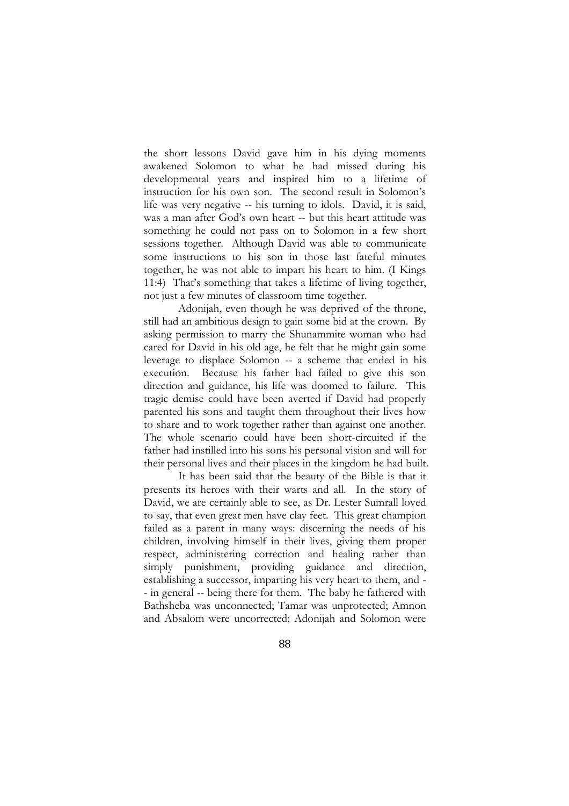the short lessons David gave him in his dying moments awakened Solomon to what he had missed during his developmental years and inspired him to a lifetime of instruction for his own son. The second result in Solomon's life was very negative -- his turning to idols. David, it is said, was a man after God's own heart -- but this heart attitude was something he could not pass on to Solomon in a few short sessions together. Although David was able to communicate some instructions to his son in those last fateful minutes together, he was not able to impart his heart to him. (I Kings 11:4) That's something that takes a lifetime of living together, not just a few minutes of classroom time together.

Adonijah, even though he was deprived of the throne, still had an ambitious design to gain some bid at the crown. By asking permission to marry the Shunammite woman who had cared for David in his old age, he felt that he might gain some leverage to displace Solomon -- a scheme that ended in his execution. Because his father had failed to give this son direction and guidance, his life was doomed to failure. This tragic demise could have been averted if David had properly parented his sons and taught them throughout their lives how to share and to work together rather than against one another. The whole scenario could have been short-circuited if the father had instilled into his sons his personal vision and will for their personal lives and their places in the kingdom he had built.

It has been said that the beauty of the Bible is that it presents its heroes with their warts and all. In the story of David, we are certainly able to see, as Dr. Lester Sumrall loved to say, that even great men have clay feet. This great champion failed as a parent in many ways: discerning the needs of his children, involving himself in their lives, giving them proper respect, administering correction and healing rather than simply punishment, providing guidance and direction, establishing a successor, imparting his very heart to them, and - - in general -- being there for them. The baby he fathered with Bathsheba was unconnected; Tamar was unprotected; Amnon and Absalom were uncorrected; Adonijah and Solomon were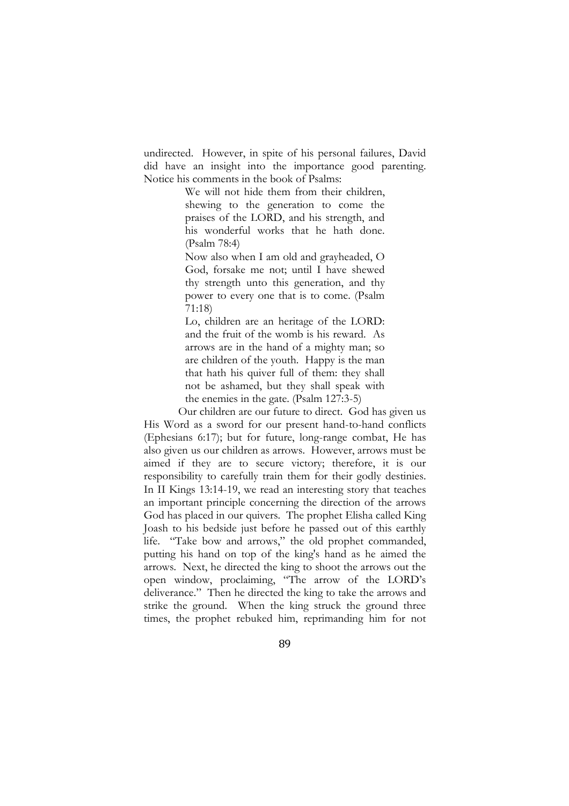undirected. However, in spite of his personal failures, David did have an insight into the importance good parenting. Notice his comments in the book of Psalms:

> We will not hide them from their children, shewing to the generation to come the praises of the LORD, and his strength, and his wonderful works that he hath done. (Psalm 78:4)

> Now also when I am old and grayheaded, O God, forsake me not; until I have shewed thy strength unto this generation, and thy power to every one that is to come. (Psalm 71:18)

> Lo, children are an heritage of the LORD: and the fruit of the womb is his reward. As arrows are in the hand of a mighty man; so are children of the youth. Happy is the man that hath his quiver full of them: they shall not be ashamed, but they shall speak with the enemies in the gate. (Psalm 127:3-5)

Our children are our future to direct. God has given us His Word as a sword for our present hand-to-hand conflicts (Ephesians 6:17); but for future, long-range combat, He has also given us our children as arrows. However, arrows must be aimed if they are to secure victory; therefore, it is our responsibility to carefully train them for their godly destinies. In II Kings 13:14-19, we read an interesting story that teaches an important principle concerning the direction of the arrows God has placed in our quivers. The prophet Elisha called King Joash to his bedside just before he passed out of this earthly life. "Take bow and arrows," the old prophet commanded, putting his hand on top of the king's hand as he aimed the arrows. Next, he directed the king to shoot the arrows out the open window, proclaiming, "The arrow of the LORD's deliverance." Then he directed the king to take the arrows and strike the ground. When the king struck the ground three times, the prophet rebuked him, reprimanding him for not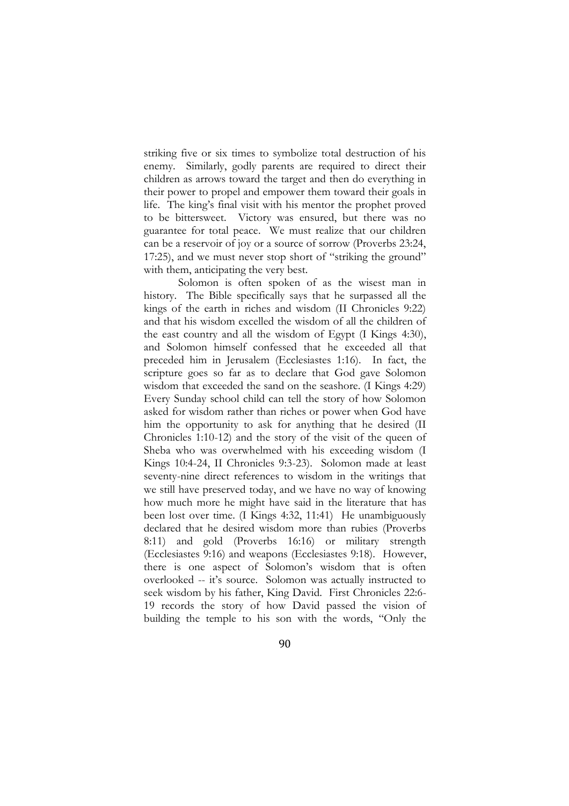striking five or six times to symbolize total destruction of his enemy. Similarly, godly parents are required to direct their children as arrows toward the target and then do everything in their power to propel and empower them toward their goals in life. The king's final visit with his mentor the prophet proved to be bittersweet. Victory was ensured, but there was no guarantee for total peace. We must realize that our children can be a reservoir of joy or a source of sorrow (Proverbs 23:24, 17:25), and we must never stop short of "striking the ground" with them, anticipating the very best.

Solomon is often spoken of as the wisest man in history. The Bible specifically says that he surpassed all the kings of the earth in riches and wisdom (II Chronicles 9:22) and that his wisdom excelled the wisdom of all the children of the east country and all the wisdom of Egypt (I Kings 4:30), and Solomon himself confessed that he exceeded all that preceded him in Jerusalem (Ecclesiastes 1:16). In fact, the scripture goes so far as to declare that God gave Solomon wisdom that exceeded the sand on the seashore. (I Kings 4:29) Every Sunday school child can tell the story of how Solomon asked for wisdom rather than riches or power when God have him the opportunity to ask for anything that he desired (II Chronicles 1:10-12) and the story of the visit of the queen of Sheba who was overwhelmed with his exceeding wisdom (I Kings 10:4-24, II Chronicles 9:3-23). Solomon made at least seventy-nine direct references to wisdom in the writings that we still have preserved today, and we have no way of knowing how much more he might have said in the literature that has been lost over time. (I Kings 4:32, 11:41) He unambiguously declared that he desired wisdom more than rubies (Proverbs 8:11) and gold (Proverbs 16:16) or military strength (Ecclesiastes 9:16) and weapons (Ecclesiastes 9:18). However, there is one aspect of Solomon's wisdom that is often overlooked -- it's source. Solomon was actually instructed to seek wisdom by his father, King David. First Chronicles 22:6- 19 records the story of how David passed the vision of building the temple to his son with the words, "Only the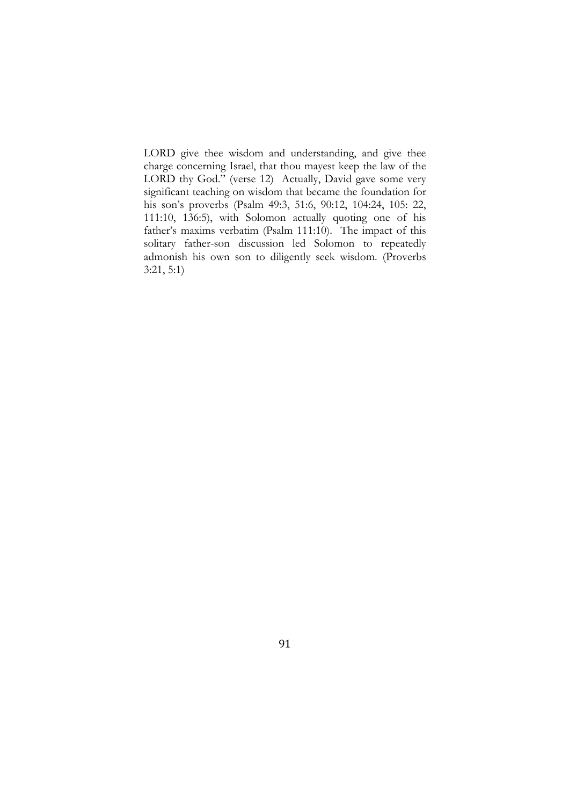LORD give thee wisdom and understanding, and give thee charge concerning Israel, that thou mayest keep the law of the LORD thy God." (verse 12) Actually, David gave some very significant teaching on wisdom that became the foundation for his son's proverbs (Psalm 49:3, 51:6, 90:12, 104:24, 105: 22, 111:10, 136:5), with Solomon actually quoting one of his father's maxims verbatim (Psalm 111:10). The impact of this solitary father-son discussion led Solomon to repeatedly admonish his own son to diligently seek wisdom. (Proverbs 3:21, 5:1)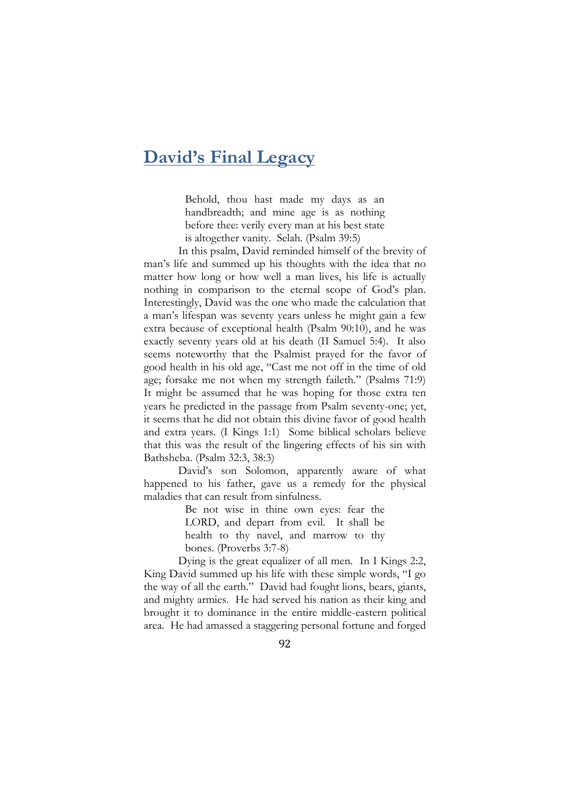### **David's Final Legacy**

Behold, thou hast made my days as an handbreadth; and mine age is as nothing before thee: verily every man at his best state is altogether vanity. Selah. (Psalm 39:5)

In this psalm, David reminded himself of the brevity of man's life and summed up his thoughts with the idea that no matter how long or how well a man lives, his life is actually nothing in comparison to the eternal scope of God's plan. Interestingly, David was the one who made the calculation that a man's lifespan was seventy years unless he might gain a few extra because of exceptional health (Psalm 90:10), and he was exactly seventy years old at his death (II Samuel 5:4). It also seems noteworthy that the Psalmist prayed for the favor of good health in his old age, "Cast me not off in the time of old age; forsake me not when my strength faileth." (Psalms 71:9) It might be assumed that he was hoping for those extra ten years he predicted in the passage from Psalm seventy-one; yet, it seems that he did not obtain this divine favor of good health and extra years. (I Kings 1:1) Some biblical scholars believe that this was the result of the lingering effects of his sin with Bathsheba. (Psalm 32:3, 38:3)

David's son Solomon, apparently aware of what happened to his father, gave us a remedy for the physical maladies that can result from sinfulness.

> Be not wise in thine own eyes: fear the LORD, and depart from evil. It shall be health to thy navel, and marrow to thy bones. (Proverbs 3:7-8)

Dying is the great equalizer of all men. In I Kings 2:2, King David summed up his life with these simple words, "I go the way of all the earth." David had fought lions, bears, giants, and mighty armies. He had served his nation as their king and brought it to dominance in the entire middle-eastern political area. He had amassed a staggering personal fortune and forged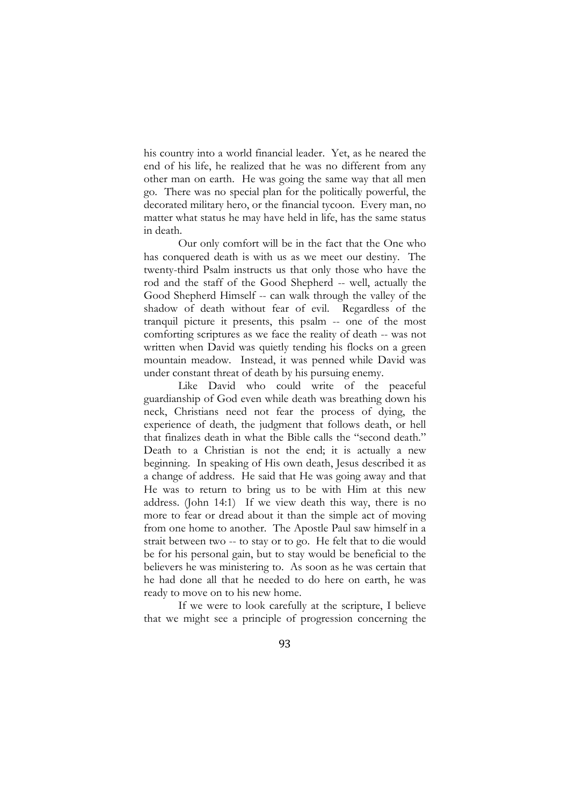his country into a world financial leader. Yet, as he neared the end of his life, he realized that he was no different from any other man on earth. He was going the same way that all men go. There was no special plan for the politically powerful, the decorated military hero, or the financial tycoon. Every man, no matter what status he may have held in life, has the same status in death.

Our only comfort will be in the fact that the One who has conquered death is with us as we meet our destiny. The twenty-third Psalm instructs us that only those who have the rod and the staff of the Good Shepherd -- well, actually the Good Shepherd Himself -- can walk through the valley of the shadow of death without fear of evil. Regardless of the tranquil picture it presents, this psalm -- one of the most comforting scriptures as we face the reality of death -- was not written when David was quietly tending his flocks on a green mountain meadow. Instead, it was penned while David was under constant threat of death by his pursuing enemy.

Like David who could write of the peaceful guardianship of God even while death was breathing down his neck, Christians need not fear the process of dying, the experience of death, the judgment that follows death, or hell that finalizes death in what the Bible calls the "second death." Death to a Christian is not the end; it is actually a new beginning. In speaking of His own death, Jesus described it as a change of address. He said that He was going away and that He was to return to bring us to be with Him at this new address. (John 14:1) If we view death this way, there is no more to fear or dread about it than the simple act of moving from one home to another. The Apostle Paul saw himself in a strait between two -- to stay or to go. He felt that to die would be for his personal gain, but to stay would be beneficial to the believers he was ministering to. As soon as he was certain that he had done all that he needed to do here on earth, he was ready to move on to his new home.

If we were to look carefully at the scripture, I believe that we might see a principle of progression concerning the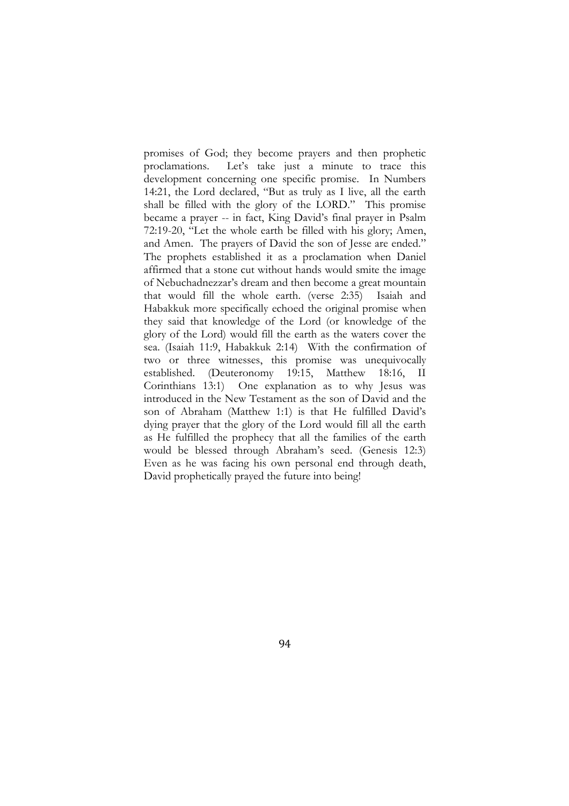promises of God; they become prayers and then prophetic proclamations. Let's take just a minute to trace this development concerning one specific promise. In Numbers 14:21, the Lord declared, "But as truly as I live, all the earth shall be filled with the glory of the LORD." This promise became a prayer -- in fact, King David's final prayer in Psalm 72:19-20, "Let the whole earth be filled with his glory; Amen, and Amen. The prayers of David the son of Jesse are ended." The prophets established it as a proclamation when Daniel affirmed that a stone cut without hands would smite the image of Nebuchadnezzar's dream and then become a great mountain that would fill the whole earth. (verse 2:35) Isaiah and Habakkuk more specifically echoed the original promise when they said that knowledge of the Lord (or knowledge of the glory of the Lord) would fill the earth as the waters cover the sea. (Isaiah 11:9, Habakkuk 2:14) With the confirmation of two or three witnesses, this promise was unequivocally established. (Deuteronomy 19:15, Matthew 18:16, II Corinthians 13:1) One explanation as to why Jesus was introduced in the New Testament as the son of David and the son of Abraham (Matthew 1:1) is that He fulfilled David's dying prayer that the glory of the Lord would fill all the earth as He fulfilled the prophecy that all the families of the earth would be blessed through Abraham's seed. (Genesis 12:3) Even as he was facing his own personal end through death, David prophetically prayed the future into being!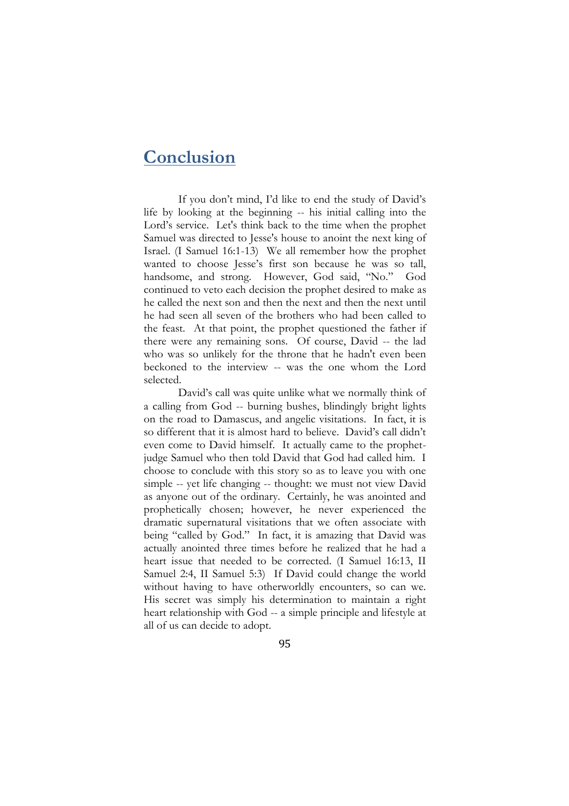# **Conclusion**

If you don't mind, I'd like to end the study of David's life by looking at the beginning -- his initial calling into the Lord's service. Let's think back to the time when the prophet Samuel was directed to Jesse's house to anoint the next king of Israel. (I Samuel 16:1-13) We all remember how the prophet wanted to choose Jesse's first son because he was so tall, handsome, and strong. However, God said, "No." God continued to veto each decision the prophet desired to make as he called the next son and then the next and then the next until he had seen all seven of the brothers who had been called to the feast. At that point, the prophet questioned the father if there were any remaining sons. Of course, David -- the lad who was so unlikely for the throne that he hadn't even been beckoned to the interview -- was the one whom the Lord selected.

David's call was quite unlike what we normally think of a calling from God -- burning bushes, blindingly bright lights on the road to Damascus, and angelic visitations. In fact, it is so different that it is almost hard to believe. David's call didn't even come to David himself. It actually came to the prophetjudge Samuel who then told David that God had called him. I choose to conclude with this story so as to leave you with one simple -- yet life changing -- thought: we must not view David as anyone out of the ordinary. Certainly, he was anointed and prophetically chosen; however, he never experienced the dramatic supernatural visitations that we often associate with being "called by God." In fact, it is amazing that David was actually anointed three times before he realized that he had a heart issue that needed to be corrected. (I Samuel 16:13, II Samuel 2:4, II Samuel 5:3) If David could change the world without having to have otherworldly encounters, so can we. His secret was simply his determination to maintain a right heart relationship with God -- a simple principle and lifestyle at all of us can decide to adopt.